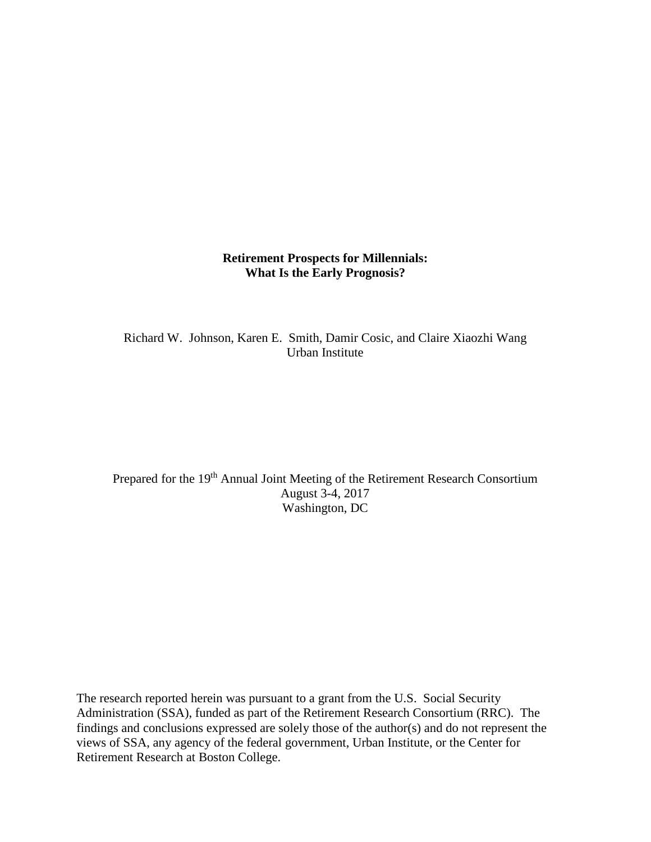# **Retirement Prospects for Millennials: What Is the Early Prognosis?**

Richard W. Johnson, Karen E. Smith, Damir Cosic, and Claire Xiaozhi Wang Urban Institute

Prepared for the 19<sup>th</sup> Annual Joint Meeting of the Retirement Research Consortium August 3-4, 2017 Washington, DC

The research reported herein was pursuant to a grant from the U.S. Social Security Administration (SSA), funded as part of the Retirement Research Consortium (RRC). The findings and conclusions expressed are solely those of the author(s) and do not represent the views of SSA, any agency of the federal government, Urban Institute, or the Center for Retirement Research at Boston College.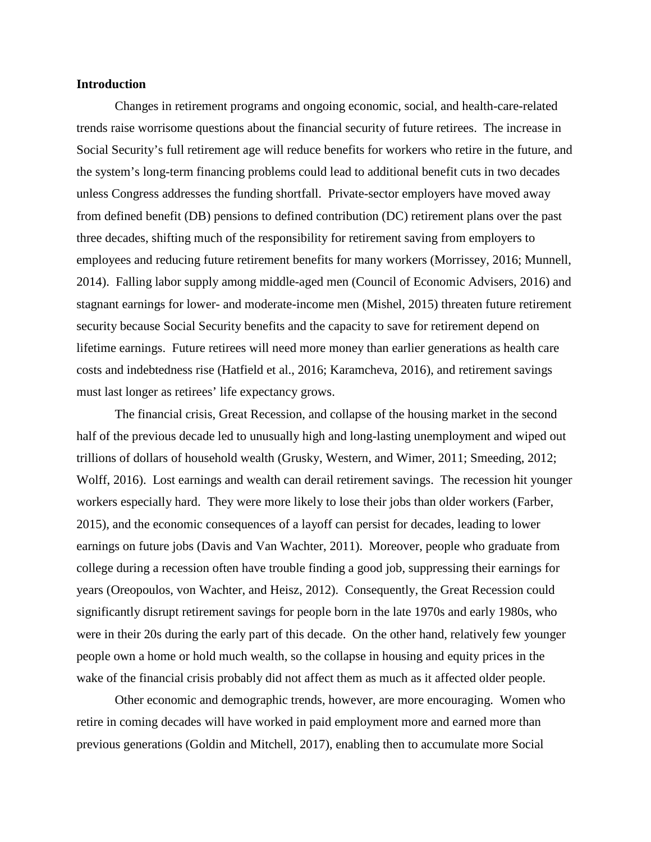### **Introduction**

Changes in retirement programs and ongoing economic, social, and health-care-related trends raise worrisome questions about the financial security of future retirees. The increase in Social Security's full retirement age will reduce benefits for workers who retire in the future, and the system's long-term financing problems could lead to additional benefit cuts in two decades unless Congress addresses the funding shortfall. Private-sector employers have moved away from defined benefit (DB) pensions to defined contribution (DC) retirement plans over the past three decades, shifting much of the responsibility for retirement saving from employers to employees and reducing future retirement benefits for many workers (Morrissey, 2016; Munnell, 2014). Falling labor supply among middle-aged men (Council of Economic Advisers, 2016) and stagnant earnings for lower- and moderate-income men (Mishel, 2015) threaten future retirement security because Social Security benefits and the capacity to save for retirement depend on lifetime earnings. Future retirees will need more money than earlier generations as health care costs and indebtedness rise (Hatfield et al., 2016; Karamcheva, 2016), and retirement savings must last longer as retirees' life expectancy grows.

The financial crisis, Great Recession, and collapse of the housing market in the second half of the previous decade led to unusually high and long-lasting unemployment and wiped out trillions of dollars of household wealth (Grusky, Western, and Wimer, 2011; Smeeding, 2012; Wolff, 2016). Lost earnings and wealth can derail retirement savings. The recession hit younger workers especially hard. They were more likely to lose their jobs than older workers (Farber, 2015), and the economic consequences of a layoff can persist for decades, leading to lower earnings on future jobs (Davis and Van Wachter, 2011). Moreover, people who graduate from college during a recession often have trouble finding a good job, suppressing their earnings for years (Oreopoulos, von Wachter, and Heisz, 2012). Consequently, the Great Recession could significantly disrupt retirement savings for people born in the late 1970s and early 1980s, who were in their 20s during the early part of this decade. On the other hand, relatively few younger people own a home or hold much wealth, so the collapse in housing and equity prices in the wake of the financial crisis probably did not affect them as much as it affected older people.

Other economic and demographic trends, however, are more encouraging. Women who retire in coming decades will have worked in paid employment more and earned more than previous generations (Goldin and Mitchell, 2017), enabling then to accumulate more Social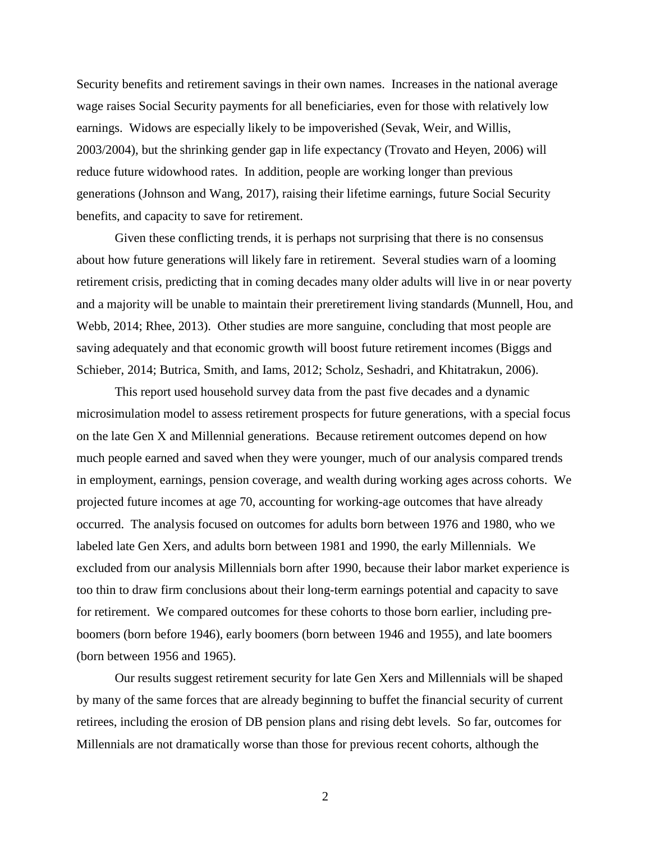Security benefits and retirement savings in their own names. Increases in the national average wage raises Social Security payments for all beneficiaries, even for those with relatively low earnings. Widows are especially likely to be impoverished (Sevak, Weir, and Willis, 2003/2004), but the shrinking gender gap in life expectancy (Trovato and Heyen, 2006) will reduce future widowhood rates. In addition, people are working longer than previous generations (Johnson and Wang, 2017), raising their lifetime earnings, future Social Security benefits, and capacity to save for retirement.

Given these conflicting trends, it is perhaps not surprising that there is no consensus about how future generations will likely fare in retirement. Several studies warn of a looming retirement crisis, predicting that in coming decades many older adults will live in or near poverty and a majority will be unable to maintain their preretirement living standards (Munnell, Hou, and Webb, 2014; Rhee, 2013). Other studies are more sanguine, concluding that most people are saving adequately and that economic growth will boost future retirement incomes (Biggs and Schieber, 2014; Butrica, Smith, and Iams, 2012; Scholz, Seshadri, and Khitatrakun, 2006).

This report used household survey data from the past five decades and a dynamic microsimulation model to assess retirement prospects for future generations, with a special focus on the late Gen X and Millennial generations. Because retirement outcomes depend on how much people earned and saved when they were younger, much of our analysis compared trends in employment, earnings, pension coverage, and wealth during working ages across cohorts. We projected future incomes at age 70, accounting for working-age outcomes that have already occurred. The analysis focused on outcomes for adults born between 1976 and 1980, who we labeled late Gen Xers, and adults born between 1981 and 1990, the early Millennials. We excluded from our analysis Millennials born after 1990, because their labor market experience is too thin to draw firm conclusions about their long-term earnings potential and capacity to save for retirement. We compared outcomes for these cohorts to those born earlier, including preboomers (born before 1946), early boomers (born between 1946 and 1955), and late boomers (born between 1956 and 1965).

Our results suggest retirement security for late Gen Xers and Millennials will be shaped by many of the same forces that are already beginning to buffet the financial security of current retirees, including the erosion of DB pension plans and rising debt levels. So far, outcomes for Millennials are not dramatically worse than those for previous recent cohorts, although the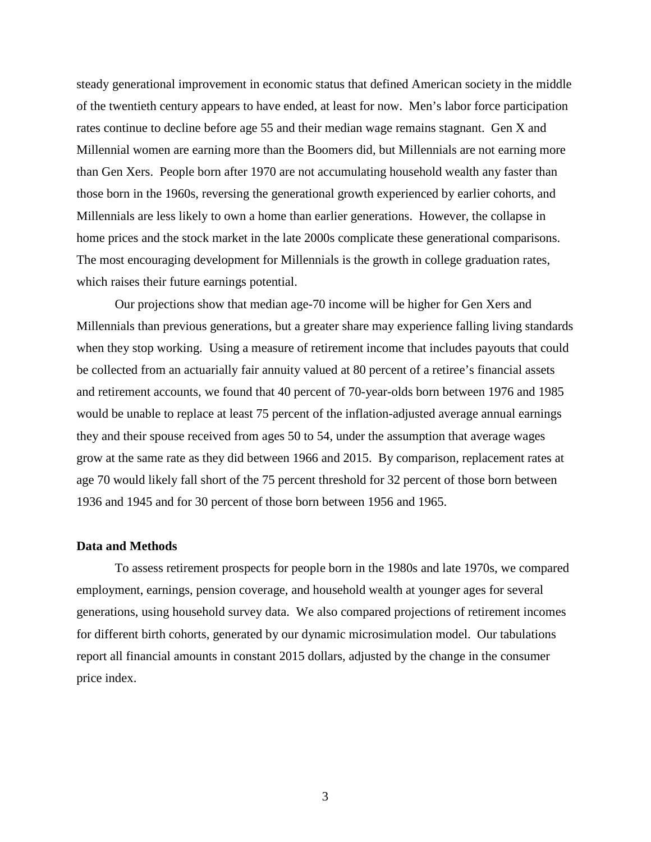steady generational improvement in economic status that defined American society in the middle of the twentieth century appears to have ended, at least for now. Men's labor force participation rates continue to decline before age 55 and their median wage remains stagnant. Gen X and Millennial women are earning more than the Boomers did, but Millennials are not earning more than Gen Xers. People born after 1970 are not accumulating household wealth any faster than those born in the 1960s, reversing the generational growth experienced by earlier cohorts, and Millennials are less likely to own a home than earlier generations. However, the collapse in home prices and the stock market in the late 2000s complicate these generational comparisons. The most encouraging development for Millennials is the growth in college graduation rates, which raises their future earnings potential.

Our projections show that median age-70 income will be higher for Gen Xers and Millennials than previous generations, but a greater share may experience falling living standards when they stop working. Using a measure of retirement income that includes payouts that could be collected from an actuarially fair annuity valued at 80 percent of a retiree's financial assets and retirement accounts, we found that 40 percent of 70-year-olds born between 1976 and 1985 would be unable to replace at least 75 percent of the inflation-adjusted average annual earnings they and their spouse received from ages 50 to 54, under the assumption that average wages grow at the same rate as they did between 1966 and 2015. By comparison, replacement rates at age 70 would likely fall short of the 75 percent threshold for 32 percent of those born between 1936 and 1945 and for 30 percent of those born between 1956 and 1965.

# **Data and Methods**

To assess retirement prospects for people born in the 1980s and late 1970s, we compared employment, earnings, pension coverage, and household wealth at younger ages for several generations, using household survey data. We also compared projections of retirement incomes for different birth cohorts, generated by our dynamic microsimulation model. Our tabulations report all financial amounts in constant 2015 dollars, adjusted by the change in the consumer price index.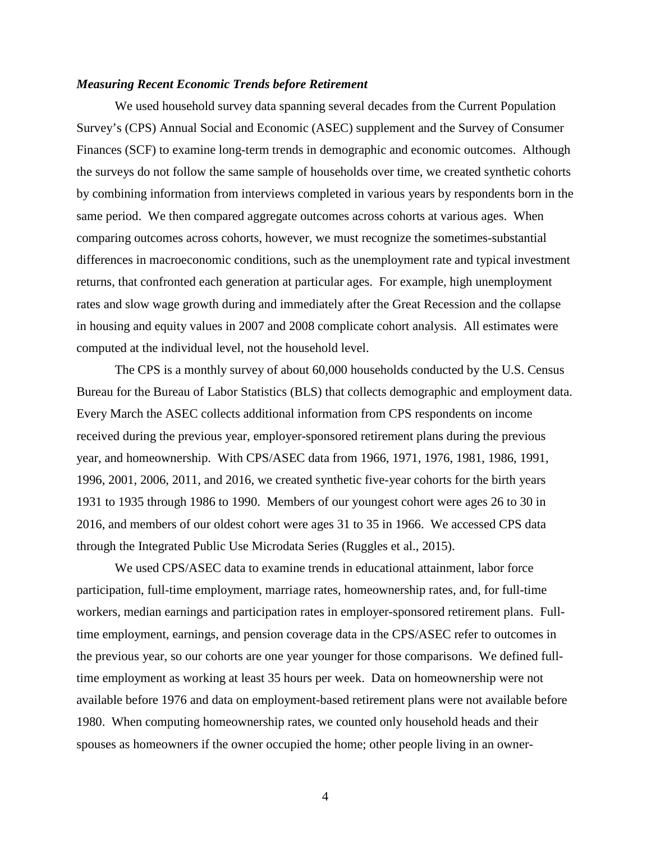### *Measuring Recent Economic Trends before Retirement*

We used household survey data spanning several decades from the Current Population Survey's (CPS) Annual Social and Economic (ASEC) supplement and the Survey of Consumer Finances (SCF) to examine long-term trends in demographic and economic outcomes. Although the surveys do not follow the same sample of households over time, we created synthetic cohorts by combining information from interviews completed in various years by respondents born in the same period. We then compared aggregate outcomes across cohorts at various ages. When comparing outcomes across cohorts, however, we must recognize the sometimes-substantial differences in macroeconomic conditions, such as the unemployment rate and typical investment returns, that confronted each generation at particular ages. For example, high unemployment rates and slow wage growth during and immediately after the Great Recession and the collapse in housing and equity values in 2007 and 2008 complicate cohort analysis. All estimates were computed at the individual level, not the household level.

The CPS is a monthly survey of about 60,000 households conducted by the U.S. Census Bureau for the Bureau of Labor Statistics (BLS) that collects demographic and employment data. Every March the ASEC collects additional information from CPS respondents on income received during the previous year, employer-sponsored retirement plans during the previous year, and homeownership. With CPS/ASEC data from 1966, 1971, 1976, 1981, 1986, 1991, 1996, 2001, 2006, 2011, and 2016, we created synthetic five-year cohorts for the birth years 1931 to 1935 through 1986 to 1990. Members of our youngest cohort were ages 26 to 30 in 2016, and members of our oldest cohort were ages 31 to 35 in 1966. We accessed CPS data through the Integrated Public Use Microdata Series (Ruggles et al., 2015).

We used CPS/ASEC data to examine trends in educational attainment, labor force participation, full-time employment, marriage rates, homeownership rates, and, for full-time workers, median earnings and participation rates in employer-sponsored retirement plans. Fulltime employment, earnings, and pension coverage data in the CPS/ASEC refer to outcomes in the previous year, so our cohorts are one year younger for those comparisons. We defined fulltime employment as working at least 35 hours per week. Data on homeownership were not available before 1976 and data on employment-based retirement plans were not available before 1980. When computing homeownership rates, we counted only household heads and their spouses as homeowners if the owner occupied the home; other people living in an owner-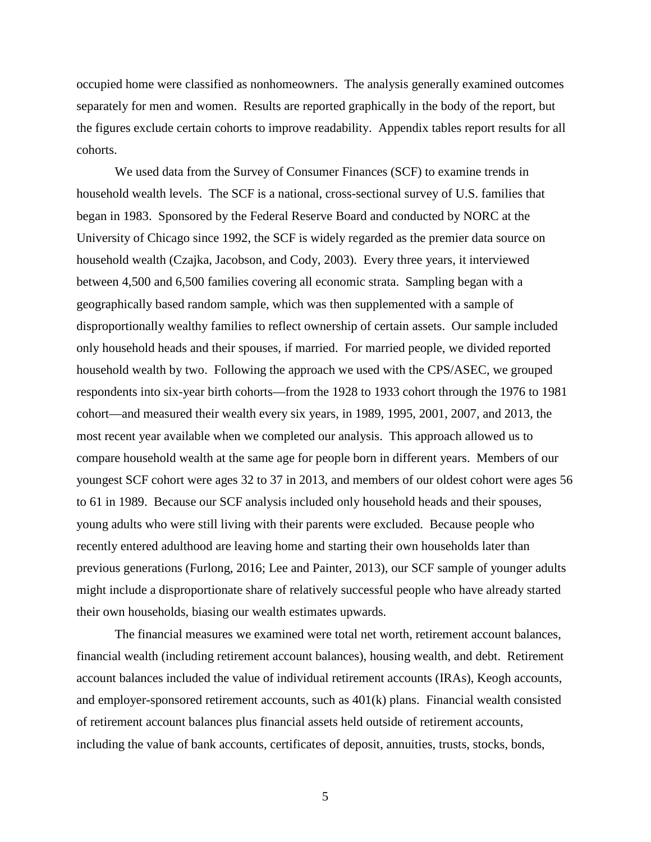occupied home were classified as nonhomeowners. The analysis generally examined outcomes separately for men and women. Results are reported graphically in the body of the report, but the figures exclude certain cohorts to improve readability. Appendix tables report results for all cohorts.

We used data from the Survey of Consumer Finances (SCF) to examine trends in household wealth levels. The SCF is a national, cross-sectional survey of U.S. families that began in 1983. Sponsored by the Federal Reserve Board and conducted by NORC at the University of Chicago since 1992, the SCF is widely regarded as the premier data source on household wealth (Czajka, Jacobson, and Cody, 2003). Every three years, it interviewed between 4,500 and 6,500 families covering all economic strata. Sampling began with a geographically based random sample, which was then supplemented with a sample of disproportionally wealthy families to reflect ownership of certain assets. Our sample included only household heads and their spouses, if married. For married people, we divided reported household wealth by two. Following the approach we used with the CPS/ASEC, we grouped respondents into six-year birth cohorts—from the 1928 to 1933 cohort through the 1976 to 1981 cohort—and measured their wealth every six years, in 1989, 1995, 2001, 2007, and 2013, the most recent year available when we completed our analysis. This approach allowed us to compare household wealth at the same age for people born in different years. Members of our youngest SCF cohort were ages 32 to 37 in 2013, and members of our oldest cohort were ages 56 to 61 in 1989. Because our SCF analysis included only household heads and their spouses, young adults who were still living with their parents were excluded. Because people who recently entered adulthood are leaving home and starting their own households later than previous generations (Furlong, 2016; Lee and Painter, 2013), our SCF sample of younger adults might include a disproportionate share of relatively successful people who have already started their own households, biasing our wealth estimates upwards.

The financial measures we examined were total net worth, retirement account balances, financial wealth (including retirement account balances), housing wealth, and debt. Retirement account balances included the value of individual retirement accounts (IRAs), Keogh accounts, and employer-sponsored retirement accounts, such as 401(k) plans. Financial wealth consisted of retirement account balances plus financial assets held outside of retirement accounts, including the value of bank accounts, certificates of deposit, annuities, trusts, stocks, bonds,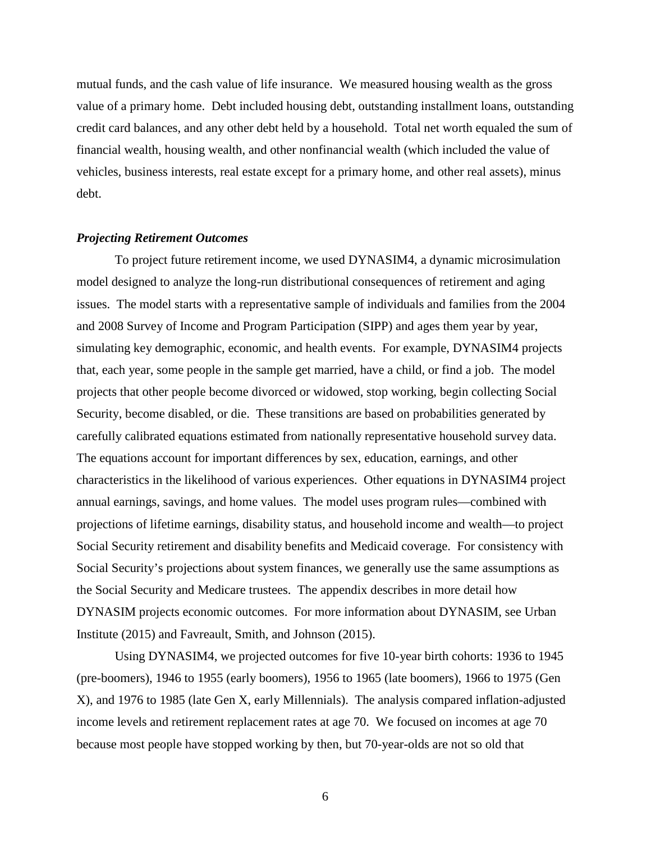mutual funds, and the cash value of life insurance. We measured housing wealth as the gross value of a primary home. Debt included housing debt, outstanding installment loans, outstanding credit card balances, and any other debt held by a household. Total net worth equaled the sum of financial wealth, housing wealth, and other nonfinancial wealth (which included the value of vehicles, business interests, real estate except for a primary home, and other real assets), minus debt.

#### *Projecting Retirement Outcomes*

To project future retirement income, we used DYNASIM4, a dynamic microsimulation model designed to analyze the long-run distributional consequences of retirement and aging issues. The model starts with a representative sample of individuals and families from the 2004 and 2008 Survey of Income and Program Participation (SIPP) and ages them year by year, simulating key demographic, economic, and health events. For example, DYNASIM4 projects that, each year, some people in the sample get married, have a child, or find a job. The model projects that other people become divorced or widowed, stop working, begin collecting Social Security, become disabled, or die. These transitions are based on probabilities generated by carefully calibrated equations estimated from nationally representative household survey data. The equations account for important differences by sex, education, earnings, and other characteristics in the likelihood of various experiences. Other equations in DYNASIM4 project annual earnings, savings, and home values. The model uses program rules—combined with projections of lifetime earnings, disability status, and household income and wealth—to project Social Security retirement and disability benefits and Medicaid coverage. For consistency with Social Security's projections about system finances, we generally use the same assumptions as the Social Security and Medicare trustees. The appendix describes in more detail how DYNASIM projects economic outcomes. For more information about DYNASIM, see Urban Institute (2015) and Favreault, Smith, and Johnson (2015).

Using DYNASIM4, we projected outcomes for five 10-year birth cohorts: 1936 to 1945 (pre-boomers), 1946 to 1955 (early boomers), 1956 to 1965 (late boomers), 1966 to 1975 (Gen X), and 1976 to 1985 (late Gen X, early Millennials). The analysis compared inflation-adjusted income levels and retirement replacement rates at age 70. We focused on incomes at age 70 because most people have stopped working by then, but 70-year-olds are not so old that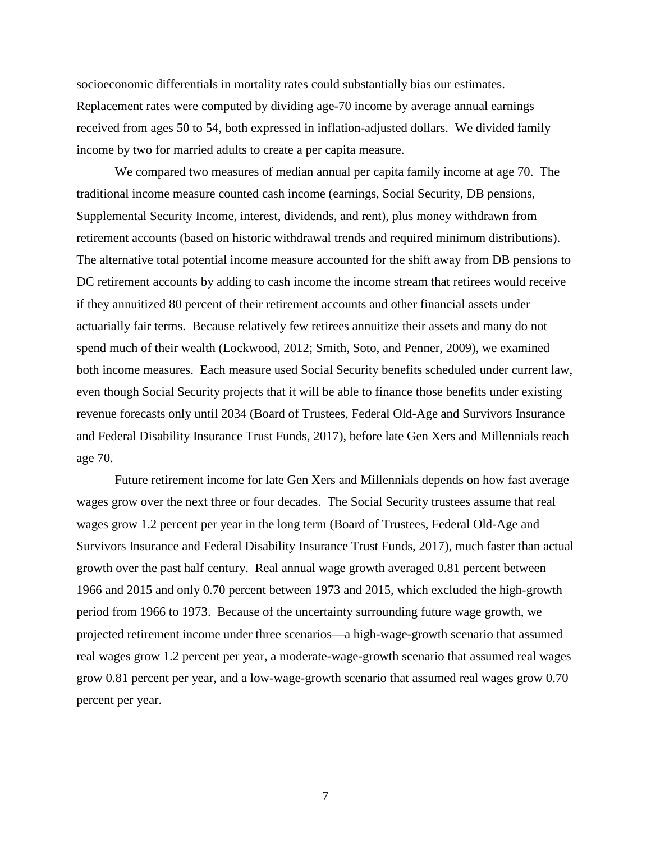socioeconomic differentials in mortality rates could substantially bias our estimates. Replacement rates were computed by dividing age-70 income by average annual earnings received from ages 50 to 54, both expressed in inflation-adjusted dollars. We divided family income by two for married adults to create a per capita measure.

We compared two measures of median annual per capita family income at age 70. The traditional income measure counted cash income (earnings, Social Security, DB pensions, Supplemental Security Income, interest, dividends, and rent), plus money withdrawn from retirement accounts (based on historic withdrawal trends and required minimum distributions). The alternative total potential income measure accounted for the shift away from DB pensions to DC retirement accounts by adding to cash income the income stream that retirees would receive if they annuitized 80 percent of their retirement accounts and other financial assets under actuarially fair terms. Because relatively few retirees annuitize their assets and many do not spend much of their wealth (Lockwood, 2012; Smith, Soto, and Penner, 2009), we examined both income measures. Each measure used Social Security benefits scheduled under current law, even though Social Security projects that it will be able to finance those benefits under existing revenue forecasts only until 2034 (Board of Trustees, Federal Old-Age and Survivors Insurance and Federal Disability Insurance Trust Funds, 2017), before late Gen Xers and Millennials reach age 70.

Future retirement income for late Gen Xers and Millennials depends on how fast average wages grow over the next three or four decades. The Social Security trustees assume that real wages grow 1.2 percent per year in the long term (Board of Trustees, Federal Old-Age and Survivors Insurance and Federal Disability Insurance Trust Funds, 2017), much faster than actual growth over the past half century. Real annual wage growth averaged 0.81 percent between 1966 and 2015 and only 0.70 percent between 1973 and 2015, which excluded the high-growth period from 1966 to 1973. Because of the uncertainty surrounding future wage growth, we projected retirement income under three scenarios—a high-wage-growth scenario that assumed real wages grow 1.2 percent per year, a moderate-wage-growth scenario that assumed real wages grow 0.81 percent per year, and a low-wage-growth scenario that assumed real wages grow 0.70 percent per year.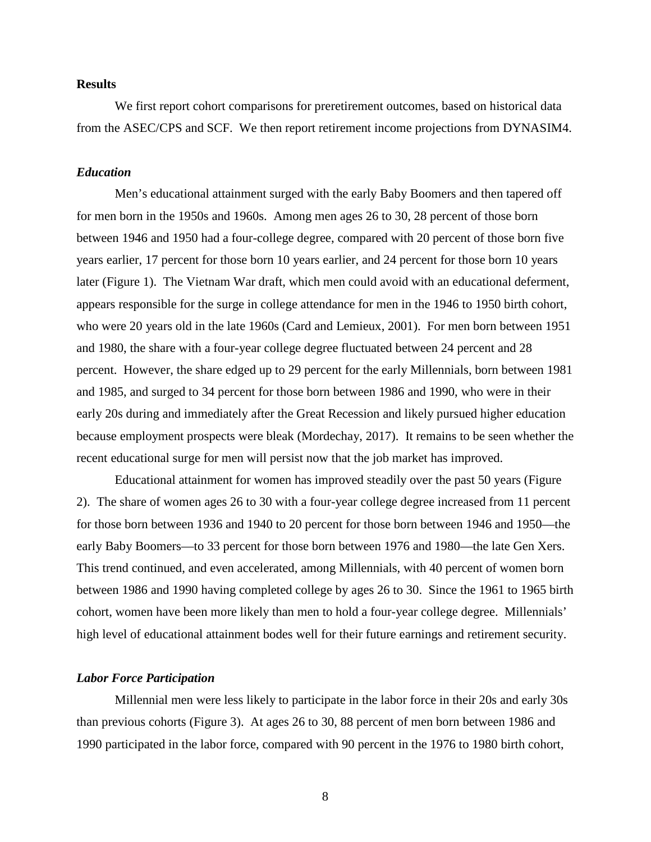### **Results**

We first report cohort comparisons for preretirement outcomes, based on historical data from the ASEC/CPS and SCF. We then report retirement income projections from DYNASIM4.

#### *Education*

Men's educational attainment surged with the early Baby Boomers and then tapered off for men born in the 1950s and 1960s. Among men ages 26 to 30, 28 percent of those born between 1946 and 1950 had a four-college degree, compared with 20 percent of those born five years earlier, 17 percent for those born 10 years earlier, and 24 percent for those born 10 years later (Figure 1). The Vietnam War draft, which men could avoid with an educational deferment, appears responsible for the surge in college attendance for men in the 1946 to 1950 birth cohort, who were 20 years old in the late 1960s (Card and Lemieux, 2001). For men born between 1951 and 1980, the share with a four-year college degree fluctuated between 24 percent and 28 percent. However, the share edged up to 29 percent for the early Millennials, born between 1981 and 1985, and surged to 34 percent for those born between 1986 and 1990, who were in their early 20s during and immediately after the Great Recession and likely pursued higher education because employment prospects were bleak (Mordechay, 2017). It remains to be seen whether the recent educational surge for men will persist now that the job market has improved.

Educational attainment for women has improved steadily over the past 50 years (Figure 2). The share of women ages 26 to 30 with a four-year college degree increased from 11 percent for those born between 1936 and 1940 to 20 percent for those born between 1946 and 1950—the early Baby Boomers—to 33 percent for those born between 1976 and 1980—the late Gen Xers. This trend continued, and even accelerated, among Millennials, with 40 percent of women born between 1986 and 1990 having completed college by ages 26 to 30. Since the 1961 to 1965 birth cohort, women have been more likely than men to hold a four-year college degree. Millennials' high level of educational attainment bodes well for their future earnings and retirement security.

#### *Labor Force Participation*

Millennial men were less likely to participate in the labor force in their 20s and early 30s than previous cohorts (Figure 3). At ages 26 to 30, 88 percent of men born between 1986 and 1990 participated in the labor force, compared with 90 percent in the 1976 to 1980 birth cohort,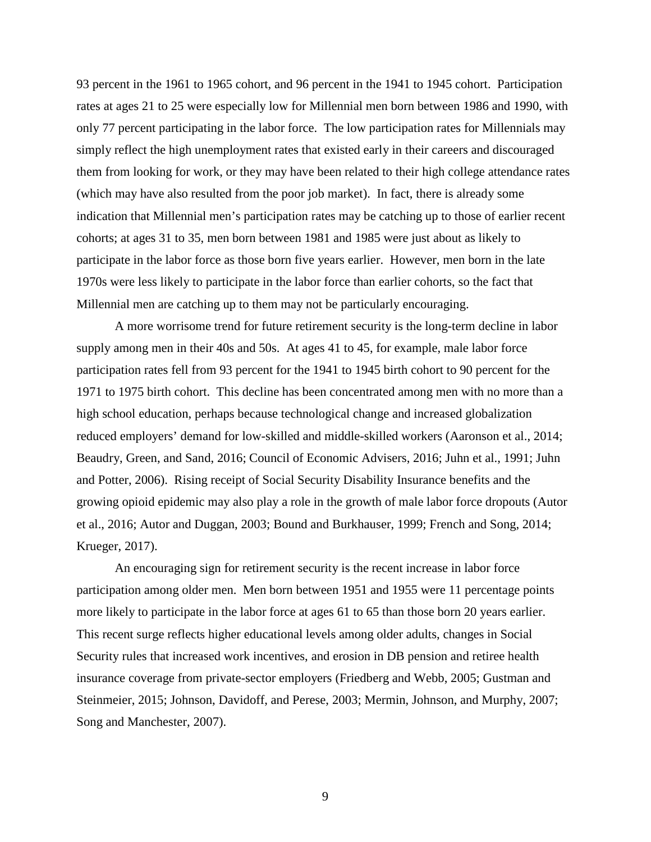93 percent in the 1961 to 1965 cohort, and 96 percent in the 1941 to 1945 cohort. Participation rates at ages 21 to 25 were especially low for Millennial men born between 1986 and 1990, with only 77 percent participating in the labor force. The low participation rates for Millennials may simply reflect the high unemployment rates that existed early in their careers and discouraged them from looking for work, or they may have been related to their high college attendance rates (which may have also resulted from the poor job market). In fact, there is already some indication that Millennial men's participation rates may be catching up to those of earlier recent cohorts; at ages 31 to 35, men born between 1981 and 1985 were just about as likely to participate in the labor force as those born five years earlier. However, men born in the late 1970s were less likely to participate in the labor force than earlier cohorts, so the fact that Millennial men are catching up to them may not be particularly encouraging.

A more worrisome trend for future retirement security is the long-term decline in labor supply among men in their 40s and 50s. At ages 41 to 45, for example, male labor force participation rates fell from 93 percent for the 1941 to 1945 birth cohort to 90 percent for the 1971 to 1975 birth cohort. This decline has been concentrated among men with no more than a high school education, perhaps because technological change and increased globalization reduced employers' demand for low-skilled and middle-skilled workers (Aaronson et al., 2014; Beaudry, Green, and Sand, 2016; Council of Economic Advisers, 2016; Juhn et al., 1991; Juhn and Potter, 2006). Rising receipt of Social Security Disability Insurance benefits and the growing opioid epidemic may also play a role in the growth of male labor force dropouts (Autor et al., 2016; Autor and Duggan, 2003; Bound and Burkhauser, 1999; French and Song, 2014; Krueger, 2017).

An encouraging sign for retirement security is the recent increase in labor force participation among older men. Men born between 1951 and 1955 were 11 percentage points more likely to participate in the labor force at ages 61 to 65 than those born 20 years earlier. This recent surge reflects higher educational levels among older adults, changes in Social Security rules that increased work incentives, and erosion in DB pension and retiree health insurance coverage from private-sector employers (Friedberg and Webb, 2005; Gustman and Steinmeier, 2015; Johnson, Davidoff, and Perese, 2003; Mermin, Johnson, and Murphy, 2007; Song and Manchester, 2007).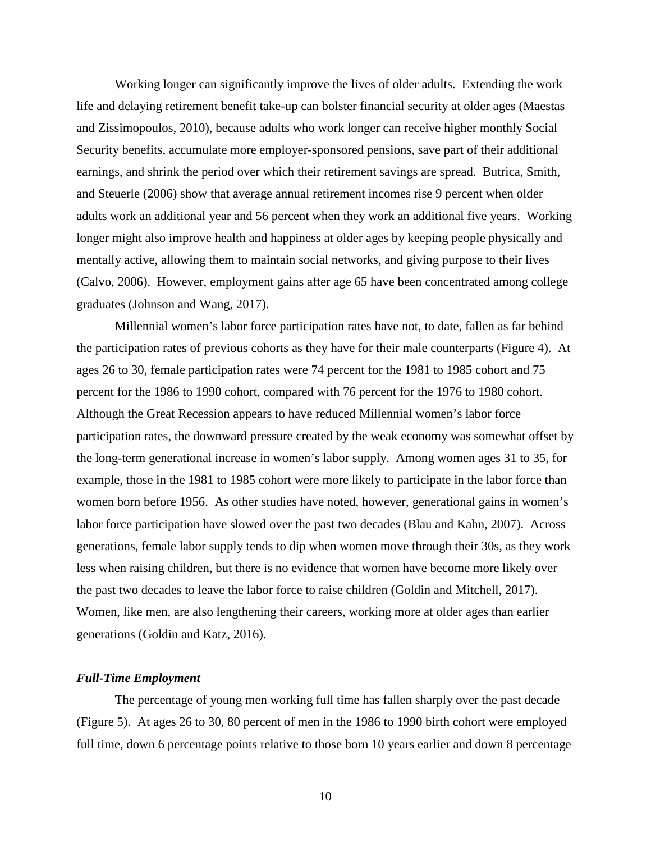Working longer can significantly improve the lives of older adults. Extending the work life and delaying retirement benefit take-up can bolster financial security at older ages (Maestas and Zissimopoulos, 2010), because adults who work longer can receive higher monthly Social Security benefits, accumulate more employer-sponsored pensions, save part of their additional earnings, and shrink the period over which their retirement savings are spread. Butrica, Smith, and Steuerle (2006) show that average annual retirement incomes rise 9 percent when older adults work an additional year and 56 percent when they work an additional five years. Working longer might also improve health and happiness at older ages by keeping people physically and mentally active, allowing them to maintain social networks, and giving purpose to their lives (Calvo, 2006). However, employment gains after age 65 have been concentrated among college graduates (Johnson and Wang, 2017).

Millennial women's labor force participation rates have not, to date, fallen as far behind the participation rates of previous cohorts as they have for their male counterparts (Figure 4). At ages 26 to 30, female participation rates were 74 percent for the 1981 to 1985 cohort and 75 percent for the 1986 to 1990 cohort, compared with 76 percent for the 1976 to 1980 cohort. Although the Great Recession appears to have reduced Millennial women's labor force participation rates, the downward pressure created by the weak economy was somewhat offset by the long-term generational increase in women's labor supply. Among women ages 31 to 35, for example, those in the 1981 to 1985 cohort were more likely to participate in the labor force than women born before 1956. As other studies have noted, however, generational gains in women's labor force participation have slowed over the past two decades (Blau and Kahn, 2007). Across generations, female labor supply tends to dip when women move through their 30s, as they work less when raising children, but there is no evidence that women have become more likely over the past two decades to leave the labor force to raise children (Goldin and Mitchell, 2017). Women, like men, are also lengthening their careers, working more at older ages than earlier generations (Goldin and Katz, 2016).

#### *Full-Time Employment*

The percentage of young men working full time has fallen sharply over the past decade (Figure 5). At ages 26 to 30, 80 percent of men in the 1986 to 1990 birth cohort were employed full time, down 6 percentage points relative to those born 10 years earlier and down 8 percentage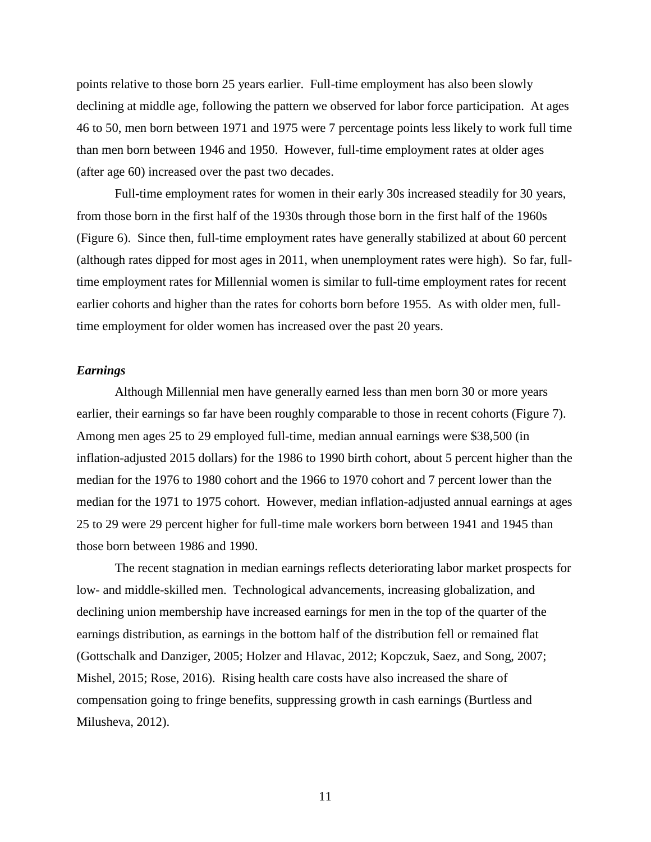points relative to those born 25 years earlier. Full-time employment has also been slowly declining at middle age, following the pattern we observed for labor force participation. At ages 46 to 50, men born between 1971 and 1975 were 7 percentage points less likely to work full time than men born between 1946 and 1950. However, full-time employment rates at older ages (after age 60) increased over the past two decades.

Full-time employment rates for women in their early 30s increased steadily for 30 years, from those born in the first half of the 1930s through those born in the first half of the 1960s (Figure 6). Since then, full-time employment rates have generally stabilized at about 60 percent (although rates dipped for most ages in 2011, when unemployment rates were high). So far, fulltime employment rates for Millennial women is similar to full-time employment rates for recent earlier cohorts and higher than the rates for cohorts born before 1955. As with older men, fulltime employment for older women has increased over the past 20 years.

### *Earnings*

Although Millennial men have generally earned less than men born 30 or more years earlier, their earnings so far have been roughly comparable to those in recent cohorts (Figure 7). Among men ages 25 to 29 employed full-time, median annual earnings were \$38,500 (in inflation-adjusted 2015 dollars) for the 1986 to 1990 birth cohort, about 5 percent higher than the median for the 1976 to 1980 cohort and the 1966 to 1970 cohort and 7 percent lower than the median for the 1971 to 1975 cohort. However, median inflation-adjusted annual earnings at ages 25 to 29 were 29 percent higher for full-time male workers born between 1941 and 1945 than those born between 1986 and 1990.

The recent stagnation in median earnings reflects deteriorating labor market prospects for low- and middle-skilled men. Technological advancements, increasing globalization, and declining union membership have increased earnings for men in the top of the quarter of the earnings distribution, as earnings in the bottom half of the distribution fell or remained flat (Gottschalk and Danziger, 2005; Holzer and Hlavac, 2012; Kopczuk, Saez, and Song, 2007; Mishel, 2015; Rose, 2016). Rising health care costs have also increased the share of compensation going to fringe benefits, suppressing growth in cash earnings (Burtless and Milusheva, 2012).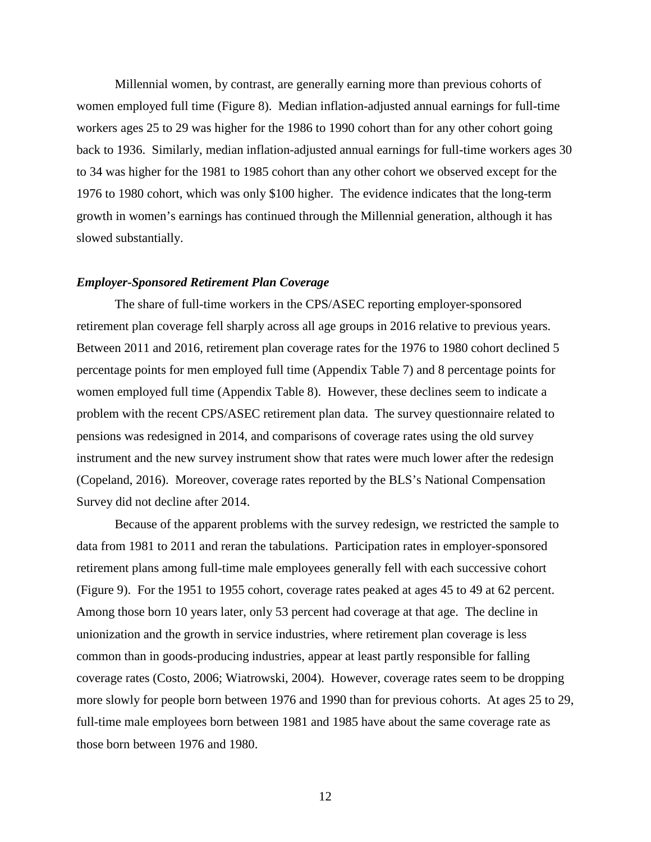Millennial women, by contrast, are generally earning more than previous cohorts of women employed full time (Figure 8). Median inflation-adjusted annual earnings for full-time workers ages 25 to 29 was higher for the 1986 to 1990 cohort than for any other cohort going back to 1936. Similarly, median inflation-adjusted annual earnings for full-time workers ages 30 to 34 was higher for the 1981 to 1985 cohort than any other cohort we observed except for the 1976 to 1980 cohort, which was only \$100 higher. The evidence indicates that the long-term growth in women's earnings has continued through the Millennial generation, although it has slowed substantially.

#### *Employer-Sponsored Retirement Plan Coverage*

The share of full-time workers in the CPS/ASEC reporting employer-sponsored retirement plan coverage fell sharply across all age groups in 2016 relative to previous years. Between 2011 and 2016, retirement plan coverage rates for the 1976 to 1980 cohort declined 5 percentage points for men employed full time (Appendix Table 7) and 8 percentage points for women employed full time (Appendix Table 8). However, these declines seem to indicate a problem with the recent CPS/ASEC retirement plan data. The survey questionnaire related to pensions was redesigned in 2014, and comparisons of coverage rates using the old survey instrument and the new survey instrument show that rates were much lower after the redesign (Copeland, 2016). Moreover, coverage rates reported by the BLS's National Compensation Survey did not decline after 2014.

Because of the apparent problems with the survey redesign, we restricted the sample to data from 1981 to 2011 and reran the tabulations. Participation rates in employer-sponsored retirement plans among full-time male employees generally fell with each successive cohort (Figure 9). For the 1951 to 1955 cohort, coverage rates peaked at ages 45 to 49 at 62 percent. Among those born 10 years later, only 53 percent had coverage at that age. The decline in unionization and the growth in service industries, where retirement plan coverage is less common than in goods-producing industries, appear at least partly responsible for falling coverage rates (Costo, 2006; Wiatrowski, 2004). However, coverage rates seem to be dropping more slowly for people born between 1976 and 1990 than for previous cohorts. At ages 25 to 29, full-time male employees born between 1981 and 1985 have about the same coverage rate as those born between 1976 and 1980.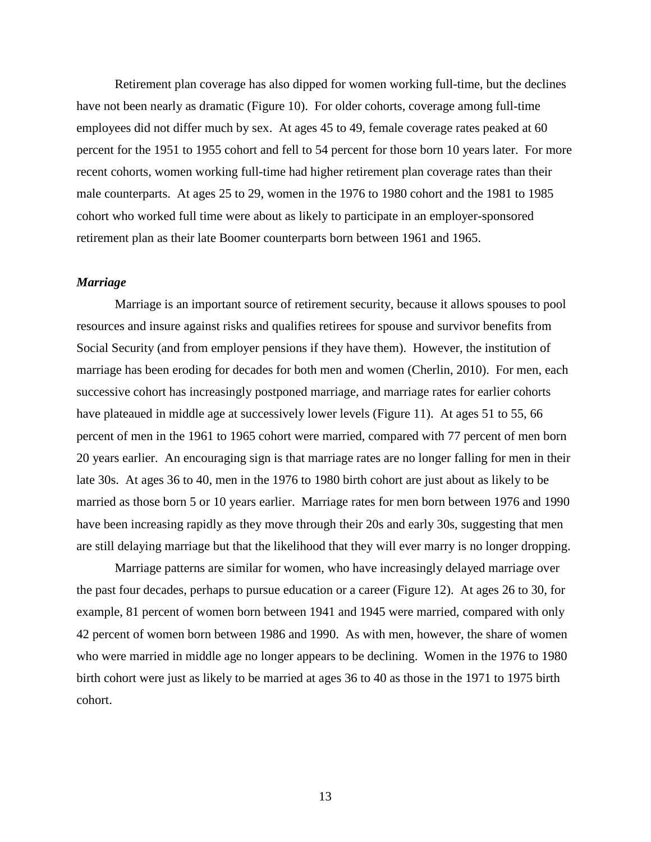Retirement plan coverage has also dipped for women working full-time, but the declines have not been nearly as dramatic (Figure 10). For older cohorts, coverage among full-time employees did not differ much by sex. At ages 45 to 49, female coverage rates peaked at 60 percent for the 1951 to 1955 cohort and fell to 54 percent for those born 10 years later. For more recent cohorts, women working full-time had higher retirement plan coverage rates than their male counterparts. At ages 25 to 29, women in the 1976 to 1980 cohort and the 1981 to 1985 cohort who worked full time were about as likely to participate in an employer-sponsored retirement plan as their late Boomer counterparts born between 1961 and 1965.

#### *Marriage*

Marriage is an important source of retirement security, because it allows spouses to pool resources and insure against risks and qualifies retirees for spouse and survivor benefits from Social Security (and from employer pensions if they have them). However, the institution of marriage has been eroding for decades for both men and women (Cherlin, 2010). For men, each successive cohort has increasingly postponed marriage, and marriage rates for earlier cohorts have plateaued in middle age at successively lower levels (Figure 11). At ages 51 to 55, 66 percent of men in the 1961 to 1965 cohort were married, compared with 77 percent of men born 20 years earlier. An encouraging sign is that marriage rates are no longer falling for men in their late 30s. At ages 36 to 40, men in the 1976 to 1980 birth cohort are just about as likely to be married as those born 5 or 10 years earlier. Marriage rates for men born between 1976 and 1990 have been increasing rapidly as they move through their 20s and early 30s, suggesting that men are still delaying marriage but that the likelihood that they will ever marry is no longer dropping.

Marriage patterns are similar for women, who have increasingly delayed marriage over the past four decades, perhaps to pursue education or a career (Figure 12). At ages 26 to 30, for example, 81 percent of women born between 1941 and 1945 were married, compared with only 42 percent of women born between 1986 and 1990. As with men, however, the share of women who were married in middle age no longer appears to be declining. Women in the 1976 to 1980 birth cohort were just as likely to be married at ages 36 to 40 as those in the 1971 to 1975 birth cohort.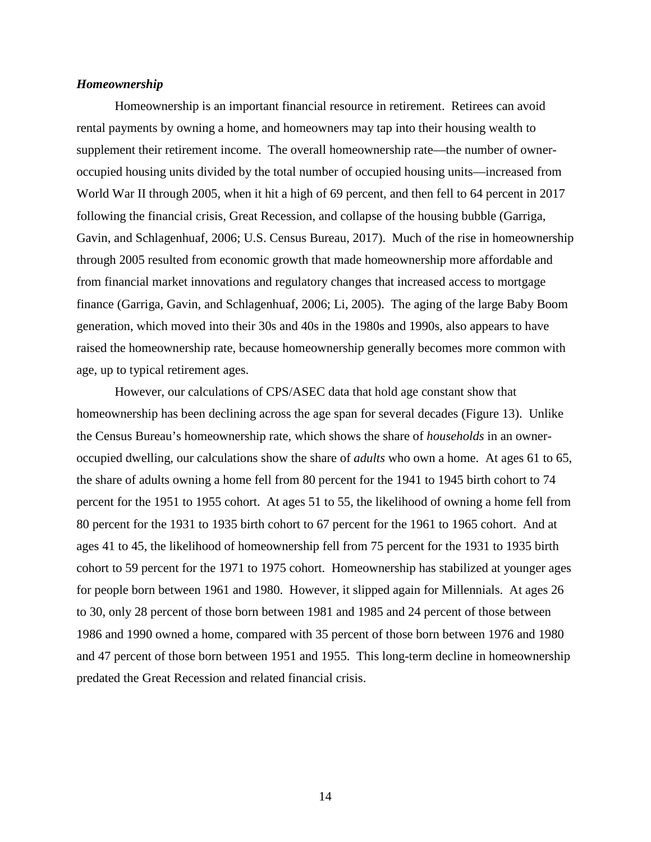### *Homeownership*

Homeownership is an important financial resource in retirement. Retirees can avoid rental payments by owning a home, and homeowners may tap into their housing wealth to supplement their retirement income. The overall homeownership rate—the number of owneroccupied housing units divided by the total number of occupied housing units—increased from World War II through 2005, when it hit a high of 69 percent, and then fell to 64 percent in 2017 following the financial crisis, Great Recession, and collapse of the housing bubble (Garriga, Gavin, and Schlagenhuaf, 2006; U.S. Census Bureau, 2017). Much of the rise in homeownership through 2005 resulted from economic growth that made homeownership more affordable and from financial market innovations and regulatory changes that increased access to mortgage finance (Garriga, Gavin, and Schlagenhuaf, 2006; Li, 2005). The aging of the large Baby Boom generation, which moved into their 30s and 40s in the 1980s and 1990s, also appears to have raised the homeownership rate, because homeownership generally becomes more common with age, up to typical retirement ages.

However, our calculations of CPS/ASEC data that hold age constant show that homeownership has been declining across the age span for several decades (Figure 13). Unlike the Census Bureau's homeownership rate, which shows the share of *households* in an owneroccupied dwelling, our calculations show the share of *adults* who own a home. At ages 61 to 65, the share of adults owning a home fell from 80 percent for the 1941 to 1945 birth cohort to 74 percent for the 1951 to 1955 cohort. At ages 51 to 55, the likelihood of owning a home fell from 80 percent for the 1931 to 1935 birth cohort to 67 percent for the 1961 to 1965 cohort. And at ages 41 to 45, the likelihood of homeownership fell from 75 percent for the 1931 to 1935 birth cohort to 59 percent for the 1971 to 1975 cohort. Homeownership has stabilized at younger ages for people born between 1961 and 1980. However, it slipped again for Millennials. At ages 26 to 30, only 28 percent of those born between 1981 and 1985 and 24 percent of those between 1986 and 1990 owned a home, compared with 35 percent of those born between 1976 and 1980 and 47 percent of those born between 1951 and 1955. This long-term decline in homeownership predated the Great Recession and related financial crisis.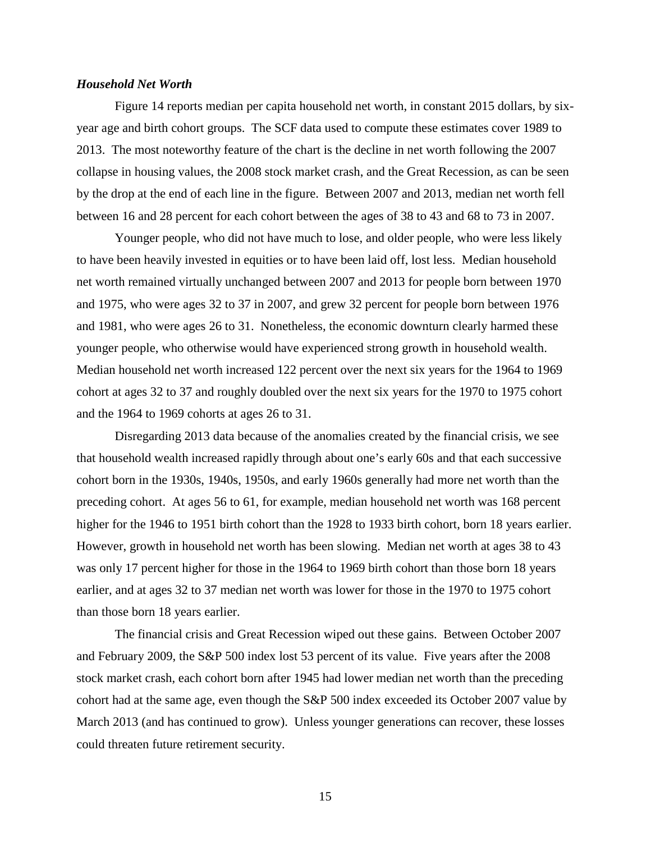### *Household Net Worth*

Figure 14 reports median per capita household net worth, in constant 2015 dollars, by sixyear age and birth cohort groups. The SCF data used to compute these estimates cover 1989 to 2013. The most noteworthy feature of the chart is the decline in net worth following the 2007 collapse in housing values, the 2008 stock market crash, and the Great Recession, as can be seen by the drop at the end of each line in the figure. Between 2007 and 2013, median net worth fell between 16 and 28 percent for each cohort between the ages of 38 to 43 and 68 to 73 in 2007.

Younger people, who did not have much to lose, and older people, who were less likely to have been heavily invested in equities or to have been laid off, lost less. Median household net worth remained virtually unchanged between 2007 and 2013 for people born between 1970 and 1975, who were ages 32 to 37 in 2007, and grew 32 percent for people born between 1976 and 1981, who were ages 26 to 31. Nonetheless, the economic downturn clearly harmed these younger people, who otherwise would have experienced strong growth in household wealth. Median household net worth increased 122 percent over the next six years for the 1964 to 1969 cohort at ages 32 to 37 and roughly doubled over the next six years for the 1970 to 1975 cohort and the 1964 to 1969 cohorts at ages 26 to 31.

Disregarding 2013 data because of the anomalies created by the financial crisis, we see that household wealth increased rapidly through about one's early 60s and that each successive cohort born in the 1930s, 1940s, 1950s, and early 1960s generally had more net worth than the preceding cohort. At ages 56 to 61, for example, median household net worth was 168 percent higher for the 1946 to 1951 birth cohort than the 1928 to 1933 birth cohort, born 18 years earlier. However, growth in household net worth has been slowing. Median net worth at ages 38 to 43 was only 17 percent higher for those in the 1964 to 1969 birth cohort than those born 18 years earlier, and at ages 32 to 37 median net worth was lower for those in the 1970 to 1975 cohort than those born 18 years earlier.

The financial crisis and Great Recession wiped out these gains. Between October 2007 and February 2009, the S&P 500 index lost 53 percent of its value. Five years after the 2008 stock market crash, each cohort born after 1945 had lower median net worth than the preceding cohort had at the same age, even though the S&P 500 index exceeded its October 2007 value by March 2013 (and has continued to grow). Unless younger generations can recover, these losses could threaten future retirement security.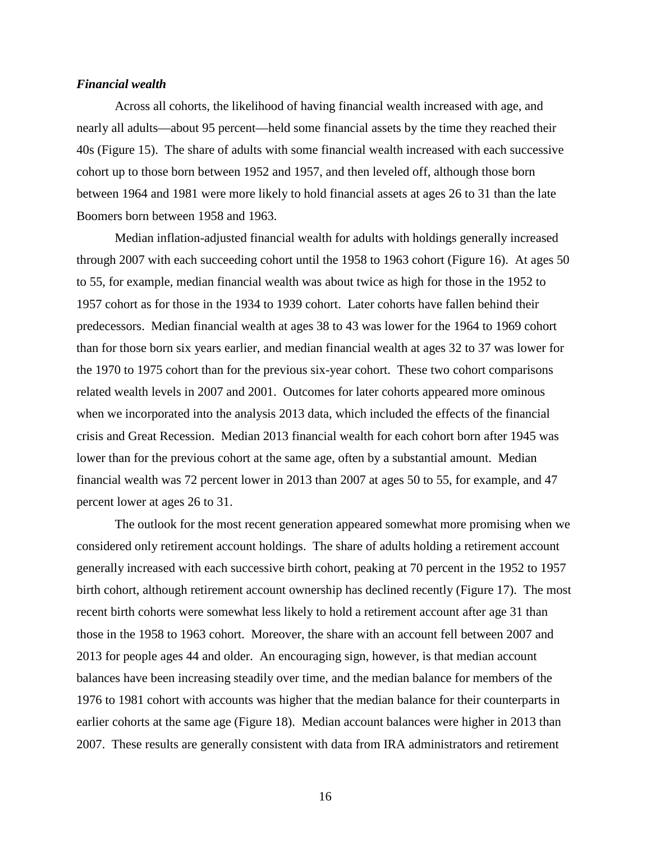### *Financial wealth*

Across all cohorts, the likelihood of having financial wealth increased with age, and nearly all adults—about 95 percent—held some financial assets by the time they reached their 40s (Figure 15). The share of adults with some financial wealth increased with each successive cohort up to those born between 1952 and 1957, and then leveled off, although those born between 1964 and 1981 were more likely to hold financial assets at ages 26 to 31 than the late Boomers born between 1958 and 1963.

Median inflation-adjusted financial wealth for adults with holdings generally increased through 2007 with each succeeding cohort until the 1958 to 1963 cohort (Figure 16). At ages 50 to 55, for example, median financial wealth was about twice as high for those in the 1952 to 1957 cohort as for those in the 1934 to 1939 cohort. Later cohorts have fallen behind their predecessors. Median financial wealth at ages 38 to 43 was lower for the 1964 to 1969 cohort than for those born six years earlier, and median financial wealth at ages 32 to 37 was lower for the 1970 to 1975 cohort than for the previous six-year cohort. These two cohort comparisons related wealth levels in 2007 and 2001. Outcomes for later cohorts appeared more ominous when we incorporated into the analysis 2013 data, which included the effects of the financial crisis and Great Recession. Median 2013 financial wealth for each cohort born after 1945 was lower than for the previous cohort at the same age, often by a substantial amount. Median financial wealth was 72 percent lower in 2013 than 2007 at ages 50 to 55, for example, and 47 percent lower at ages 26 to 31.

The outlook for the most recent generation appeared somewhat more promising when we considered only retirement account holdings. The share of adults holding a retirement account generally increased with each successive birth cohort, peaking at 70 percent in the 1952 to 1957 birth cohort, although retirement account ownership has declined recently (Figure 17). The most recent birth cohorts were somewhat less likely to hold a retirement account after age 31 than those in the 1958 to 1963 cohort. Moreover, the share with an account fell between 2007 and 2013 for people ages 44 and older. An encouraging sign, however, is that median account balances have been increasing steadily over time, and the median balance for members of the 1976 to 1981 cohort with accounts was higher that the median balance for their counterparts in earlier cohorts at the same age (Figure 18). Median account balances were higher in 2013 than 2007. These results are generally consistent with data from IRA administrators and retirement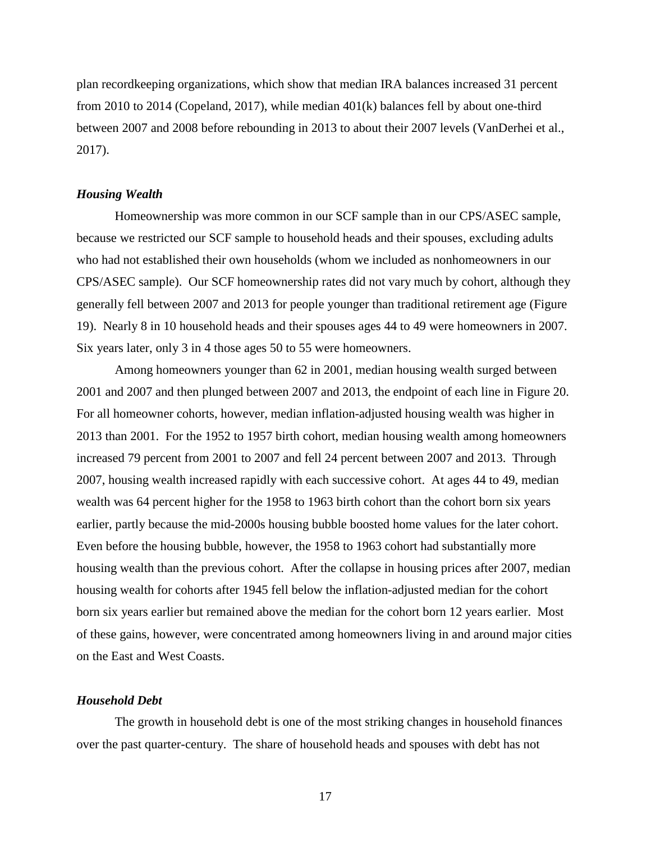plan recordkeeping organizations, which show that median IRA balances increased 31 percent from 2010 to 2014 (Copeland, 2017), while median 401(k) balances fell by about one-third between 2007 and 2008 before rebounding in 2013 to about their 2007 levels (VanDerhei et al., 2017).

### *Housing Wealth*

Homeownership was more common in our SCF sample than in our CPS/ASEC sample, because we restricted our SCF sample to household heads and their spouses, excluding adults who had not established their own households (whom we included as nonhomeowners in our CPS/ASEC sample). Our SCF homeownership rates did not vary much by cohort, although they generally fell between 2007 and 2013 for people younger than traditional retirement age (Figure 19). Nearly 8 in 10 household heads and their spouses ages 44 to 49 were homeowners in 2007. Six years later, only 3 in 4 those ages 50 to 55 were homeowners.

Among homeowners younger than 62 in 2001, median housing wealth surged between 2001 and 2007 and then plunged between 2007 and 2013, the endpoint of each line in Figure 20. For all homeowner cohorts, however, median inflation-adjusted housing wealth was higher in 2013 than 2001. For the 1952 to 1957 birth cohort, median housing wealth among homeowners increased 79 percent from 2001 to 2007 and fell 24 percent between 2007 and 2013. Through 2007, housing wealth increased rapidly with each successive cohort. At ages 44 to 49, median wealth was 64 percent higher for the 1958 to 1963 birth cohort than the cohort born six years earlier, partly because the mid-2000s housing bubble boosted home values for the later cohort. Even before the housing bubble, however, the 1958 to 1963 cohort had substantially more housing wealth than the previous cohort. After the collapse in housing prices after 2007, median housing wealth for cohorts after 1945 fell below the inflation-adjusted median for the cohort born six years earlier but remained above the median for the cohort born 12 years earlier. Most of these gains, however, were concentrated among homeowners living in and around major cities on the East and West Coasts.

#### *Household Debt*

The growth in household debt is one of the most striking changes in household finances over the past quarter-century. The share of household heads and spouses with debt has not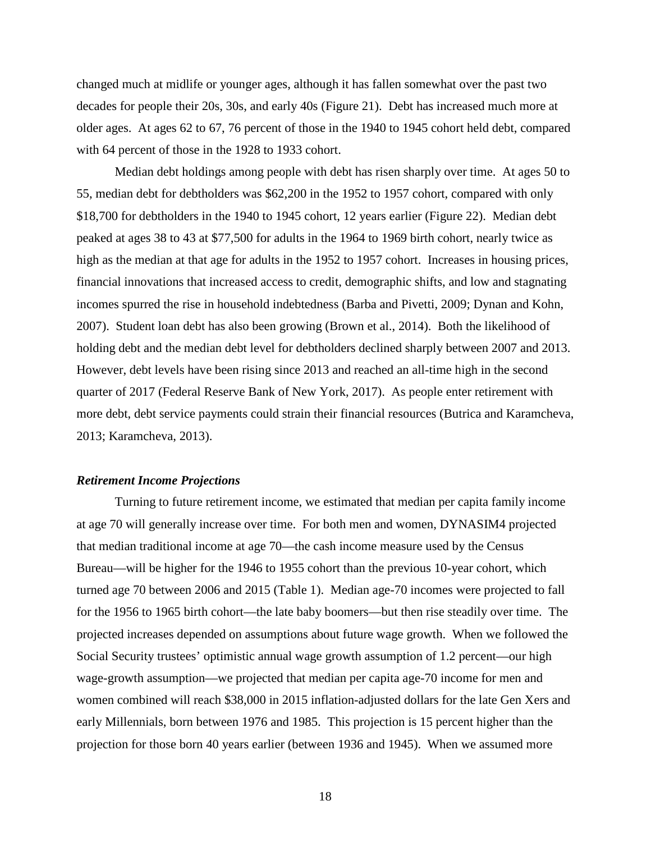changed much at midlife or younger ages, although it has fallen somewhat over the past two decades for people their 20s, 30s, and early 40s (Figure 21). Debt has increased much more at older ages. At ages 62 to 67, 76 percent of those in the 1940 to 1945 cohort held debt, compared with 64 percent of those in the 1928 to 1933 cohort.

Median debt holdings among people with debt has risen sharply over time. At ages 50 to 55, median debt for debtholders was \$62,200 in the 1952 to 1957 cohort, compared with only \$18,700 for debtholders in the 1940 to 1945 cohort, 12 years earlier (Figure 22). Median debt peaked at ages 38 to 43 at \$77,500 for adults in the 1964 to 1969 birth cohort, nearly twice as high as the median at that age for adults in the 1952 to 1957 cohort. Increases in housing prices, financial innovations that increased access to credit, demographic shifts, and low and stagnating incomes spurred the rise in household indebtedness (Barba and Pivetti, 2009; Dynan and Kohn, 2007). Student loan debt has also been growing (Brown et al., 2014). Both the likelihood of holding debt and the median debt level for debtholders declined sharply between 2007 and 2013. However, debt levels have been rising since 2013 and reached an all-time high in the second quarter of 2017 (Federal Reserve Bank of New York, 2017). As people enter retirement with more debt, debt service payments could strain their financial resources (Butrica and Karamcheva, 2013; Karamcheva, 2013).

### *Retirement Income Projections*

Turning to future retirement income, we estimated that median per capita family income at age 70 will generally increase over time. For both men and women, DYNASIM4 projected that median traditional income at age 70—the cash income measure used by the Census Bureau—will be higher for the 1946 to 1955 cohort than the previous 10-year cohort, which turned age 70 between 2006 and 2015 (Table 1). Median age-70 incomes were projected to fall for the 1956 to 1965 birth cohort—the late baby boomers—but then rise steadily over time. The projected increases depended on assumptions about future wage growth. When we followed the Social Security trustees' optimistic annual wage growth assumption of 1.2 percent—our high wage-growth assumption—we projected that median per capita age-70 income for men and women combined will reach \$38,000 in 2015 inflation-adjusted dollars for the late Gen Xers and early Millennials, born between 1976 and 1985. This projection is 15 percent higher than the projection for those born 40 years earlier (between 1936 and 1945). When we assumed more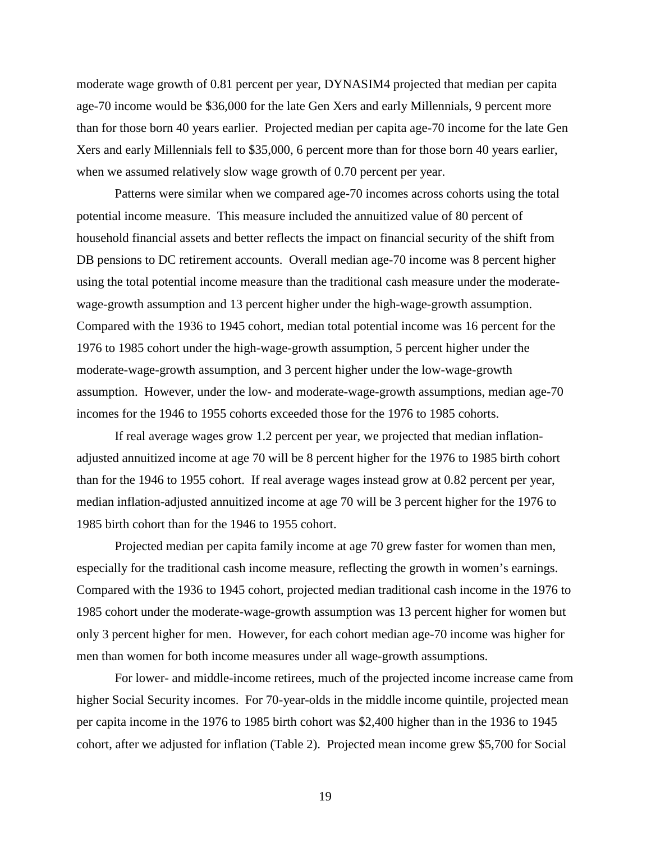moderate wage growth of 0.81 percent per year, DYNASIM4 projected that median per capita age-70 income would be \$36,000 for the late Gen Xers and early Millennials, 9 percent more than for those born 40 years earlier. Projected median per capita age-70 income for the late Gen Xers and early Millennials fell to \$35,000, 6 percent more than for those born 40 years earlier, when we assumed relatively slow wage growth of 0.70 percent per year.

Patterns were similar when we compared age-70 incomes across cohorts using the total potential income measure. This measure included the annuitized value of 80 percent of household financial assets and better reflects the impact on financial security of the shift from DB pensions to DC retirement accounts. Overall median age-70 income was 8 percent higher using the total potential income measure than the traditional cash measure under the moderatewage-growth assumption and 13 percent higher under the high-wage-growth assumption. Compared with the 1936 to 1945 cohort, median total potential income was 16 percent for the 1976 to 1985 cohort under the high-wage-growth assumption, 5 percent higher under the moderate-wage-growth assumption, and 3 percent higher under the low-wage-growth assumption. However, under the low- and moderate-wage-growth assumptions, median age-70 incomes for the 1946 to 1955 cohorts exceeded those for the 1976 to 1985 cohorts.

If real average wages grow 1.2 percent per year, we projected that median inflationadjusted annuitized income at age 70 will be 8 percent higher for the 1976 to 1985 birth cohort than for the 1946 to 1955 cohort. If real average wages instead grow at 0.82 percent per year, median inflation-adjusted annuitized income at age 70 will be 3 percent higher for the 1976 to 1985 birth cohort than for the 1946 to 1955 cohort.

Projected median per capita family income at age 70 grew faster for women than men, especially for the traditional cash income measure, reflecting the growth in women's earnings. Compared with the 1936 to 1945 cohort, projected median traditional cash income in the 1976 to 1985 cohort under the moderate-wage-growth assumption was 13 percent higher for women but only 3 percent higher for men. However, for each cohort median age-70 income was higher for men than women for both income measures under all wage-growth assumptions.

For lower- and middle-income retirees, much of the projected income increase came from higher Social Security incomes. For 70-year-olds in the middle income quintile, projected mean per capita income in the 1976 to 1985 birth cohort was \$2,400 higher than in the 1936 to 1945 cohort, after we adjusted for inflation (Table 2). Projected mean income grew \$5,700 for Social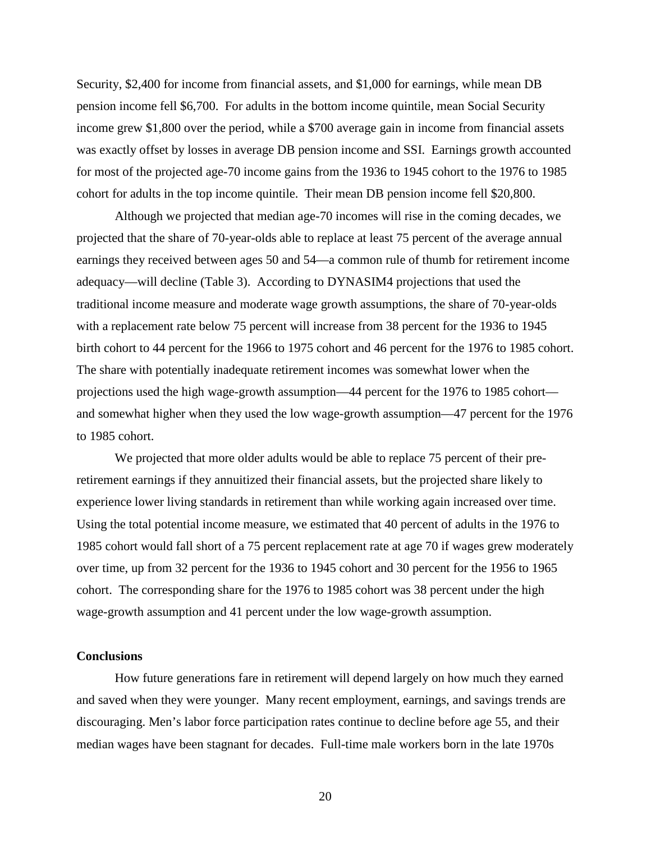Security, \$2,400 for income from financial assets, and \$1,000 for earnings, while mean DB pension income fell \$6,700. For adults in the bottom income quintile, mean Social Security income grew \$1,800 over the period, while a \$700 average gain in income from financial assets was exactly offset by losses in average DB pension income and SSI. Earnings growth accounted for most of the projected age-70 income gains from the 1936 to 1945 cohort to the 1976 to 1985 cohort for adults in the top income quintile. Their mean DB pension income fell \$20,800.

Although we projected that median age-70 incomes will rise in the coming decades, we projected that the share of 70-year-olds able to replace at least 75 percent of the average annual earnings they received between ages 50 and 54—a common rule of thumb for retirement income adequacy—will decline (Table 3). According to DYNASIM4 projections that used the traditional income measure and moderate wage growth assumptions, the share of 70-year-olds with a replacement rate below 75 percent will increase from 38 percent for the 1936 to 1945 birth cohort to 44 percent for the 1966 to 1975 cohort and 46 percent for the 1976 to 1985 cohort. The share with potentially inadequate retirement incomes was somewhat lower when the projections used the high wage-growth assumption—44 percent for the 1976 to 1985 cohort and somewhat higher when they used the low wage-growth assumption—47 percent for the 1976 to 1985 cohort.

We projected that more older adults would be able to replace 75 percent of their preretirement earnings if they annuitized their financial assets, but the projected share likely to experience lower living standards in retirement than while working again increased over time. Using the total potential income measure, we estimated that 40 percent of adults in the 1976 to 1985 cohort would fall short of a 75 percent replacement rate at age 70 if wages grew moderately over time, up from 32 percent for the 1936 to 1945 cohort and 30 percent for the 1956 to 1965 cohort. The corresponding share for the 1976 to 1985 cohort was 38 percent under the high wage-growth assumption and 41 percent under the low wage-growth assumption.

# **Conclusions**

How future generations fare in retirement will depend largely on how much they earned and saved when they were younger. Many recent employment, earnings, and savings trends are discouraging. Men's labor force participation rates continue to decline before age 55, and their median wages have been stagnant for decades. Full-time male workers born in the late 1970s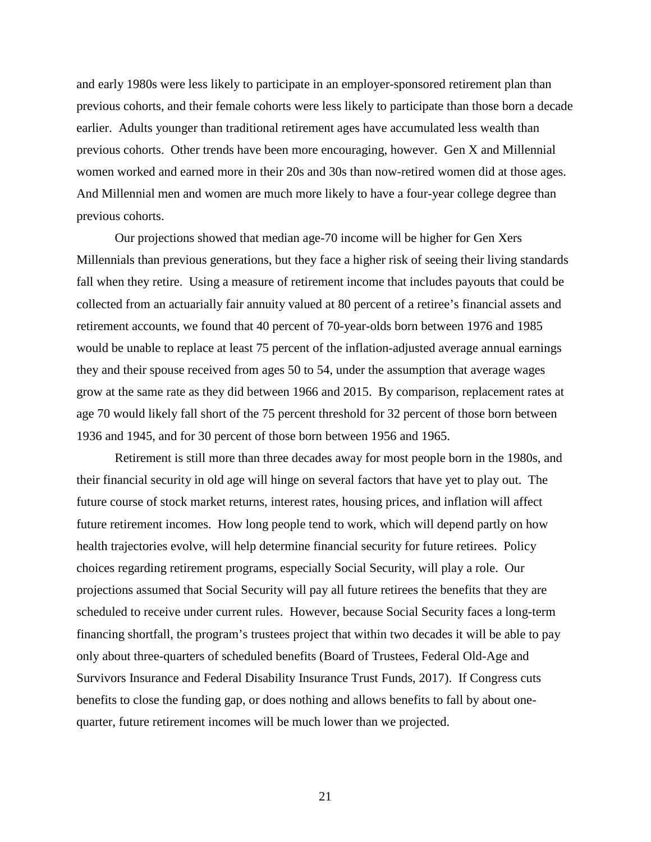and early 1980s were less likely to participate in an employer-sponsored retirement plan than previous cohorts, and their female cohorts were less likely to participate than those born a decade earlier. Adults younger than traditional retirement ages have accumulated less wealth than previous cohorts. Other trends have been more encouraging, however. Gen X and Millennial women worked and earned more in their 20s and 30s than now-retired women did at those ages. And Millennial men and women are much more likely to have a four-year college degree than previous cohorts.

Our projections showed that median age-70 income will be higher for Gen Xers Millennials than previous generations, but they face a higher risk of seeing their living standards fall when they retire. Using a measure of retirement income that includes payouts that could be collected from an actuarially fair annuity valued at 80 percent of a retiree's financial assets and retirement accounts, we found that 40 percent of 70-year-olds born between 1976 and 1985 would be unable to replace at least 75 percent of the inflation-adjusted average annual earnings they and their spouse received from ages 50 to 54, under the assumption that average wages grow at the same rate as they did between 1966 and 2015. By comparison, replacement rates at age 70 would likely fall short of the 75 percent threshold for 32 percent of those born between 1936 and 1945, and for 30 percent of those born between 1956 and 1965.

Retirement is still more than three decades away for most people born in the 1980s, and their financial security in old age will hinge on several factors that have yet to play out. The future course of stock market returns, interest rates, housing prices, and inflation will affect future retirement incomes. How long people tend to work, which will depend partly on how health trajectories evolve, will help determine financial security for future retirees. Policy choices regarding retirement programs, especially Social Security, will play a role. Our projections assumed that Social Security will pay all future retirees the benefits that they are scheduled to receive under current rules. However, because Social Security faces a long-term financing shortfall, the program's trustees project that within two decades it will be able to pay only about three-quarters of scheduled benefits (Board of Trustees, Federal Old-Age and Survivors Insurance and Federal Disability Insurance Trust Funds, 2017). If Congress cuts benefits to close the funding gap, or does nothing and allows benefits to fall by about onequarter, future retirement incomes will be much lower than we projected.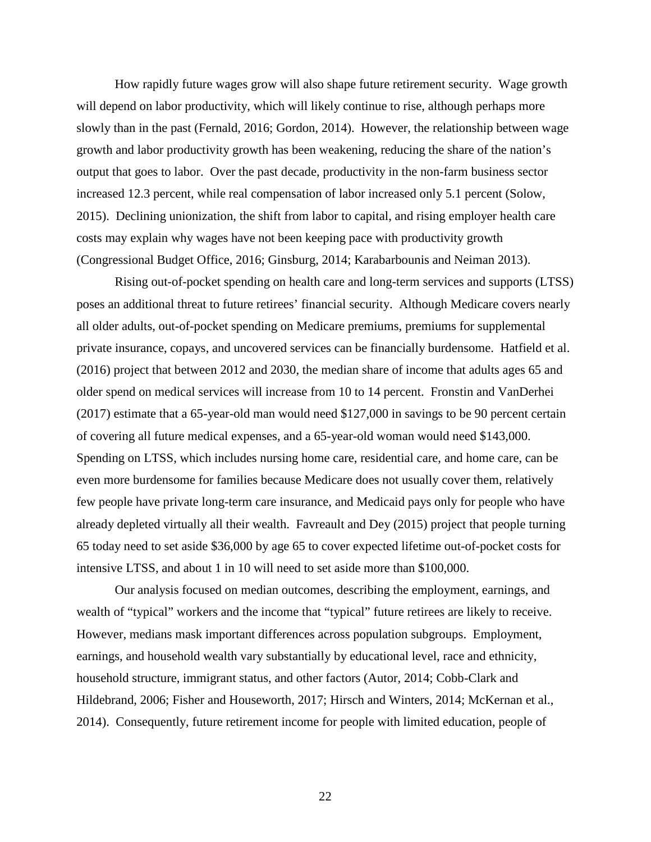How rapidly future wages grow will also shape future retirement security. Wage growth will depend on labor productivity, which will likely continue to rise, although perhaps more slowly than in the past (Fernald, 2016; Gordon, 2014). However, the relationship between wage growth and labor productivity growth has been weakening, reducing the share of the nation's output that goes to labor. Over the past decade, productivity in the non-farm business sector increased 12.3 percent, while real compensation of labor increased only 5.1 percent (Solow, 2015). Declining unionization, the shift from labor to capital, and rising employer health care costs may explain why wages have not been keeping pace with productivity growth (Congressional Budget Office, 2016; Ginsburg, 2014; Karabarbounis and Neiman 2013).

Rising out-of-pocket spending on health care and long-term services and supports (LTSS) poses an additional threat to future retirees' financial security. Although Medicare covers nearly all older adults, out-of-pocket spending on Medicare premiums, premiums for supplemental private insurance, copays, and uncovered services can be financially burdensome. Hatfield et al. (2016) project that between 2012 and 2030, the median share of income that adults ages 65 and older spend on medical services will increase from 10 to 14 percent. Fronstin and VanDerhei (2017) estimate that a 65-year-old man would need \$127,000 in savings to be 90 percent certain of covering all future medical expenses, and a 65-year-old woman would need \$143,000. Spending on LTSS, which includes nursing home care, residential care, and home care, can be even more burdensome for families because Medicare does not usually cover them, relatively few people have private long-term care insurance, and Medicaid pays only for people who have already depleted virtually all their wealth. Favreault and Dey (2015) project that people turning 65 today need to set aside \$36,000 by age 65 to cover expected lifetime out-of-pocket costs for intensive LTSS, and about 1 in 10 will need to set aside more than \$100,000.

Our analysis focused on median outcomes, describing the employment, earnings, and wealth of "typical" workers and the income that "typical" future retirees are likely to receive. However, medians mask important differences across population subgroups. Employment, earnings, and household wealth vary substantially by educational level, race and ethnicity, household structure, immigrant status, and other factors (Autor, 2014; Cobb-Clark and Hildebrand, 2006; Fisher and Houseworth, 2017; Hirsch and Winters, 2014; McKernan et al., 2014). Consequently, future retirement income for people with limited education, people of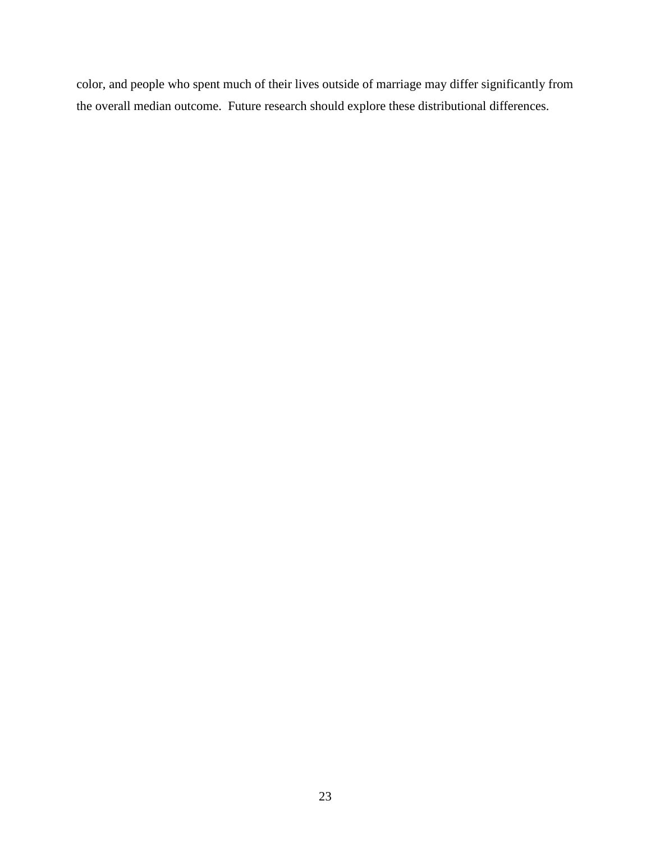color, and people who spent much of their lives outside of marriage may differ significantly from the overall median outcome. Future research should explore these distributional differences.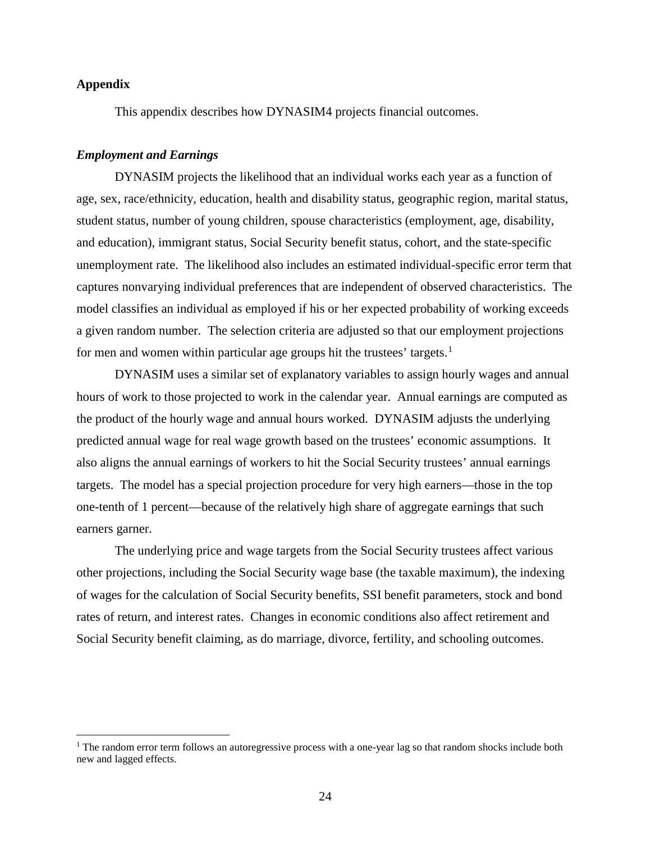## **Appendix**

l

This appendix describes how DYNASIM4 projects financial outcomes.

#### *Employment and Earnings*

DYNASIM projects the likelihood that an individual works each year as a function of age, sex, race/ethnicity, education, health and disability status, geographic region, marital status, student status, number of young children, spouse characteristics (employment, age, disability, and education), immigrant status, Social Security benefit status, cohort, and the state-specific unemployment rate. The likelihood also includes an estimated individual-specific error term that captures nonvarying individual preferences that are independent of observed characteristics. The model classifies an individual as employed if his or her expected probability of working exceeds a given random number. The selection criteria are adjusted so that our employment projections for men and women within particular age groups hit the trustees' targets.<sup>[1](#page-24-0)</sup>

DYNASIM uses a similar set of explanatory variables to assign hourly wages and annual hours of work to those projected to work in the calendar year. Annual earnings are computed as the product of the hourly wage and annual hours worked. DYNASIM adjusts the underlying predicted annual wage for real wage growth based on the trustees' economic assumptions. It also aligns the annual earnings of workers to hit the Social Security trustees' annual earnings targets. The model has a special projection procedure for very high earners—those in the top one-tenth of 1 percent—because of the relatively high share of aggregate earnings that such earners garner.

The underlying price and wage targets from the Social Security trustees affect various other projections, including the Social Security wage base (the taxable maximum), the indexing of wages for the calculation of Social Security benefits, SSI benefit parameters, stock and bond rates of return, and interest rates. Changes in economic conditions also affect retirement and Social Security benefit claiming, as do marriage, divorce, fertility, and schooling outcomes.

<span id="page-24-0"></span><sup>&</sup>lt;sup>1</sup> The random error term follows an autoregressive process with a one-year lag so that random shocks include both new and lagged effects.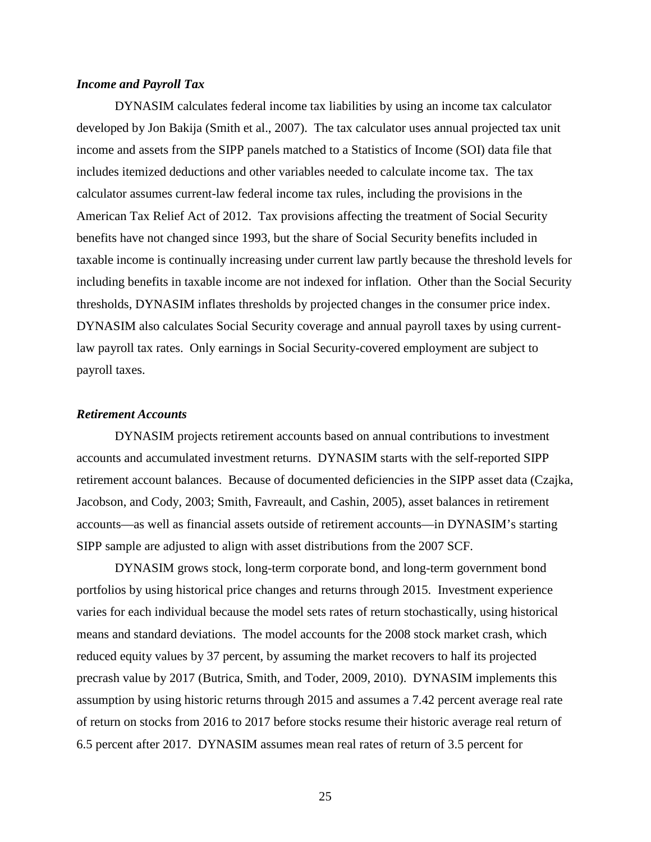### *Income and Payroll Tax*

DYNASIM calculates federal income tax liabilities by using an income tax calculator developed by Jon Bakija (Smith et al., 2007). The tax calculator uses annual projected tax unit income and assets from the SIPP panels matched to a Statistics of Income (SOI) data file that includes itemized deductions and other variables needed to calculate income tax. The tax calculator assumes current-law federal income tax rules, including the provisions in the American Tax Relief Act of 2012. Tax provisions affecting the treatment of Social Security benefits have not changed since 1993, but the share of Social Security benefits included in taxable income is continually increasing under current law partly because the threshold levels for including benefits in taxable income are not indexed for inflation. Other than the Social Security thresholds, DYNASIM inflates thresholds by projected changes in the consumer price index. DYNASIM also calculates Social Security coverage and annual payroll taxes by using currentlaw payroll tax rates. Only earnings in Social Security-covered employment are subject to payroll taxes.

#### *Retirement Accounts*

DYNASIM projects retirement accounts based on annual contributions to investment accounts and accumulated investment returns. DYNASIM starts with the self-reported SIPP retirement account balances. Because of documented deficiencies in the SIPP asset data (Czajka, Jacobson, and Cody, 2003; Smith, Favreault, and Cashin, 2005), asset balances in retirement accounts—as well as financial assets outside of retirement accounts—in DYNASIM's starting SIPP sample are adjusted to align with asset distributions from the 2007 SCF.

DYNASIM grows stock, long-term corporate bond, and long-term government bond portfolios by using historical price changes and returns through 2015. Investment experience varies for each individual because the model sets rates of return stochastically, using historical means and standard deviations. The model accounts for the 2008 stock market crash, which reduced equity values by 37 percent, by assuming the market recovers to half its projected precrash value by 2017 (Butrica, Smith, and Toder, 2009, 2010). DYNASIM implements this assumption by using historic returns through 2015 and assumes a 7.42 percent average real rate of return on stocks from 2016 to 2017 before stocks resume their historic average real return of 6.5 percent after 2017. DYNASIM assumes mean real rates of return of 3.5 percent for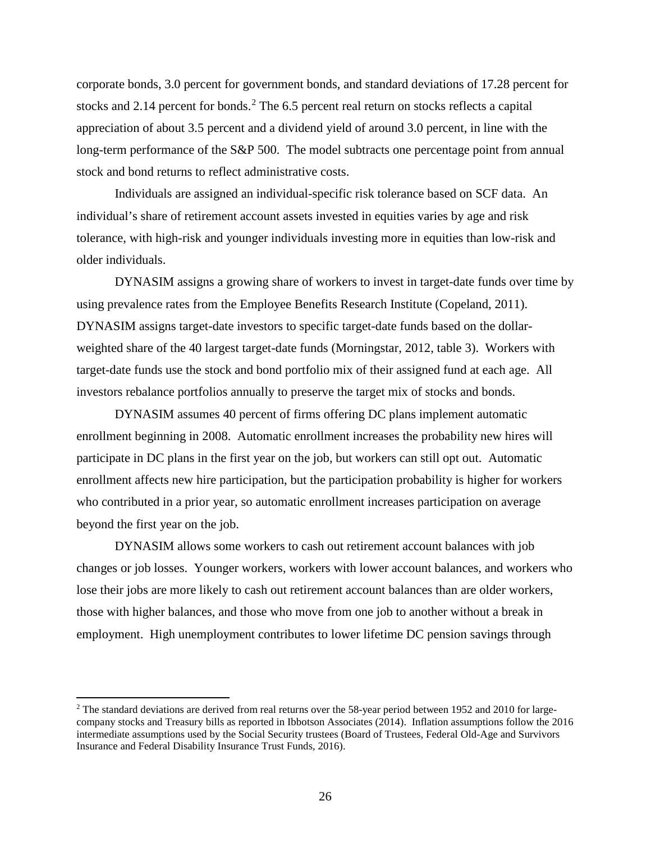corporate bonds, 3.0 percent for government bonds, and standard deviations of 17.28 percent for stocks and [2](#page-26-0).14 percent for bonds.<sup>2</sup> The 6.5 percent real return on stocks reflects a capital appreciation of about 3.5 percent and a dividend yield of around 3.0 percent, in line with the long-term performance of the S&P 500. The model subtracts one percentage point from annual stock and bond returns to reflect administrative costs.

Individuals are assigned an individual-specific risk tolerance based on SCF data. An individual's share of retirement account assets invested in equities varies by age and risk tolerance, with high-risk and younger individuals investing more in equities than low-risk and older individuals.

DYNASIM assigns a growing share of workers to invest in target-date funds over time by using prevalence rates from the Employee Benefits Research Institute (Copeland, 2011). DYNASIM assigns target-date investors to specific target-date funds based on the dollarweighted share of the 40 largest target-date funds (Morningstar, 2012, table 3). Workers with target-date funds use the stock and bond portfolio mix of their assigned fund at each age. All investors rebalance portfolios annually to preserve the target mix of stocks and bonds.

DYNASIM assumes 40 percent of firms offering DC plans implement automatic enrollment beginning in 2008. Automatic enrollment increases the probability new hires will participate in DC plans in the first year on the job, but workers can still opt out. Automatic enrollment affects new hire participation, but the participation probability is higher for workers who contributed in a prior year, so automatic enrollment increases participation on average beyond the first year on the job.

DYNASIM allows some workers to cash out retirement account balances with job changes or job losses. Younger workers, workers with lower account balances, and workers who lose their jobs are more likely to cash out retirement account balances than are older workers, those with higher balances, and those who move from one job to another without a break in employment. High unemployment contributes to lower lifetime DC pension savings through

 $\overline{\phantom{a}}$ 

<span id="page-26-0"></span> $2$  The standard deviations are derived from real returns over the 58-year period between 1952 and 2010 for largecompany stocks and Treasury bills as reported in Ibbotson Associates (2014). Inflation assumptions follow the 2016 intermediate assumptions used by the Social Security trustees (Board of Trustees, Federal Old-Age and Survivors Insurance and Federal Disability Insurance Trust Funds, 2016).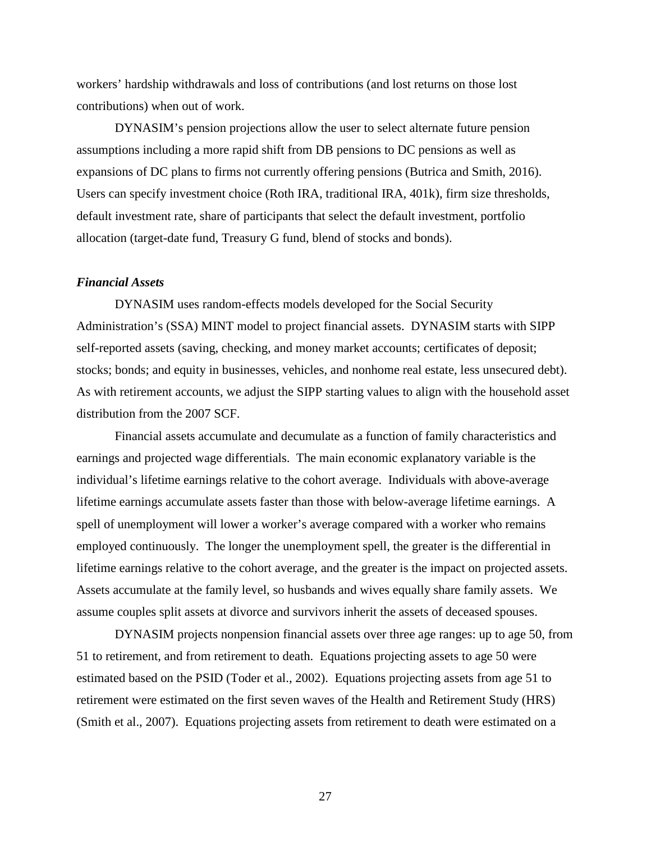workers' hardship withdrawals and loss of contributions (and lost returns on those lost contributions) when out of work.

DYNASIM's pension projections allow the user to select alternate future pension assumptions including a more rapid shift from DB pensions to DC pensions as well as expansions of DC plans to firms not currently offering pensions (Butrica and Smith, 2016). Users can specify investment choice (Roth IRA, traditional IRA, 401k), firm size thresholds, default investment rate, share of participants that select the default investment, portfolio allocation (target-date fund, Treasury G fund, blend of stocks and bonds).

## *Financial Assets*

DYNASIM uses random-effects models developed for the Social Security Administration's (SSA) MINT model to project financial assets. DYNASIM starts with SIPP self-reported assets (saving, checking, and money market accounts; certificates of deposit; stocks; bonds; and equity in businesses, vehicles, and nonhome real estate, less unsecured debt). As with retirement accounts, we adjust the SIPP starting values to align with the household asset distribution from the 2007 SCF.

Financial assets accumulate and decumulate as a function of family characteristics and earnings and projected wage differentials. The main economic explanatory variable is the individual's lifetime earnings relative to the cohort average. Individuals with above-average lifetime earnings accumulate assets faster than those with below-average lifetime earnings. A spell of unemployment will lower a worker's average compared with a worker who remains employed continuously. The longer the unemployment spell, the greater is the differential in lifetime earnings relative to the cohort average, and the greater is the impact on projected assets. Assets accumulate at the family level, so husbands and wives equally share family assets. We assume couples split assets at divorce and survivors inherit the assets of deceased spouses.

DYNASIM projects nonpension financial assets over three age ranges: up to age 50, from 51 to retirement, and from retirement to death. Equations projecting assets to age 50 were estimated based on the PSID (Toder et al., 2002). Equations projecting assets from age 51 to retirement were estimated on the first seven waves of the Health and Retirement Study (HRS) (Smith et al., 2007). Equations projecting assets from retirement to death were estimated on a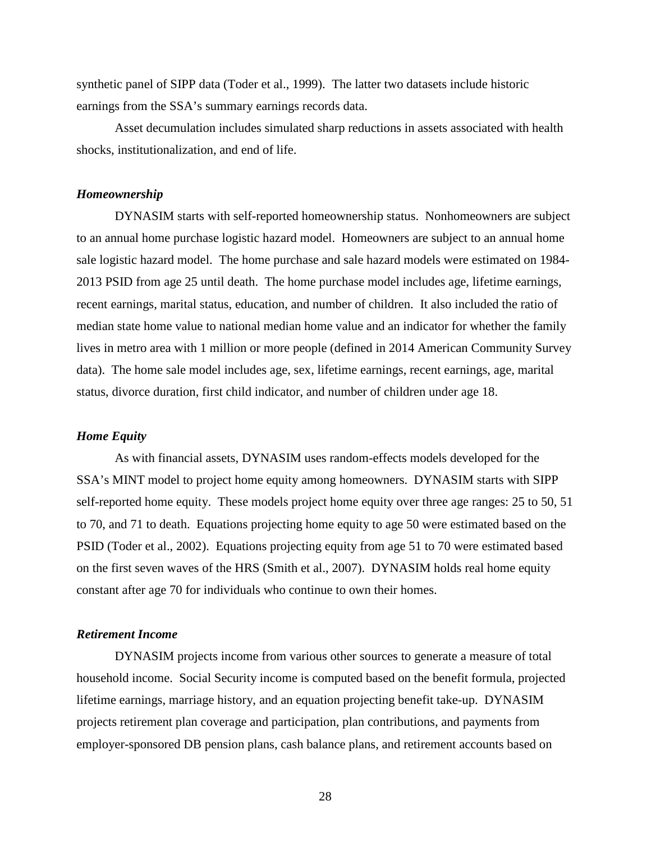synthetic panel of SIPP data (Toder et al., 1999). The latter two datasets include historic earnings from the SSA's summary earnings records data.

Asset decumulation includes simulated sharp reductions in assets associated with health shocks, institutionalization, and end of life.

### *Homeownership*

DYNASIM starts with self-reported homeownership status. Nonhomeowners are subject to an annual home purchase logistic hazard model. Homeowners are subject to an annual home sale logistic hazard model. The home purchase and sale hazard models were estimated on 1984- 2013 PSID from age 25 until death. The home purchase model includes age, lifetime earnings, recent earnings, marital status, education, and number of children. It also included the ratio of median state home value to national median home value and an indicator for whether the family lives in metro area with 1 million or more people (defined in 2014 American Community Survey data). The home sale model includes age, sex, lifetime earnings, recent earnings, age, marital status, divorce duration, first child indicator, and number of children under age 18.

## *Home Equity*

As with financial assets, DYNASIM uses random-effects models developed for the SSA's MINT model to project home equity among homeowners. DYNASIM starts with SIPP self-reported home equity. These models project home equity over three age ranges: 25 to 50, 51 to 70, and 71 to death. Equations projecting home equity to age 50 were estimated based on the PSID (Toder et al., 2002). Equations projecting equity from age 51 to 70 were estimated based on the first seven waves of the HRS (Smith et al., 2007). DYNASIM holds real home equity constant after age 70 for individuals who continue to own their homes.

## *Retirement Income*

DYNASIM projects income from various other sources to generate a measure of total household income. Social Security income is computed based on the benefit formula, projected lifetime earnings, marriage history, and an equation projecting benefit take-up. DYNASIM projects retirement plan coverage and participation, plan contributions, and payments from employer-sponsored DB pension plans, cash balance plans, and retirement accounts based on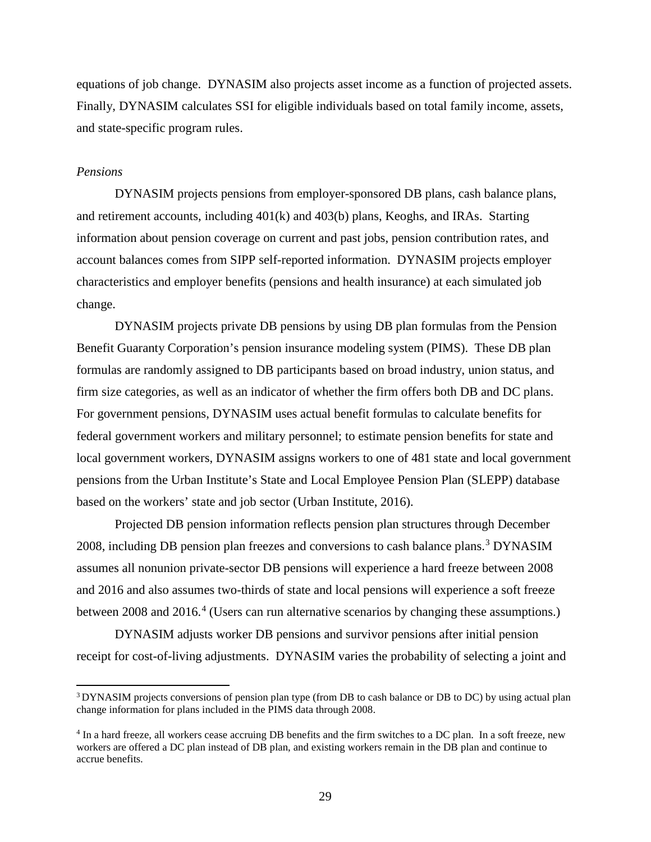equations of job change. DYNASIM also projects asset income as a function of projected assets. Finally, DYNASIM calculates SSI for eligible individuals based on total family income, assets, and state-specific program rules.

#### *Pensions*

 $\overline{\phantom{a}}$ 

DYNASIM projects pensions from employer-sponsored DB plans, cash balance plans, and retirement accounts, including 401(k) and 403(b) plans, Keoghs, and IRAs. Starting information about pension coverage on current and past jobs, pension contribution rates, and account balances comes from SIPP self-reported information. DYNASIM projects employer characteristics and employer benefits (pensions and health insurance) at each simulated job change.

DYNASIM projects private DB pensions by using DB plan formulas from the Pension Benefit Guaranty Corporation's pension insurance modeling system (PIMS). These DB plan formulas are randomly assigned to DB participants based on broad industry, union status, and firm size categories, as well as an indicator of whether the firm offers both DB and DC plans. For government pensions, DYNASIM uses actual benefit formulas to calculate benefits for federal government workers and military personnel; to estimate pension benefits for state and local government workers, DYNASIM assigns workers to one of 481 state and local government pensions from the Urban Institute's State and Local Employee Pension Plan (SLEPP) database based on the workers' state and job sector (Urban Institute, 2016).

Projected DB pension information reflects pension plan structures through December 2008, including DB pension plan freezes and conversions to cash balance plans.[3](#page-29-0) DYNASIM assumes all nonunion private-sector DB pensions will experience a hard freeze between 2008 and 2016 and also assumes two-thirds of state and local pensions will experience a soft freeze between 2008 and 2016.<sup>[4](#page-29-1)</sup> (Users can run alternative scenarios by changing these assumptions.)

DYNASIM adjusts worker DB pensions and survivor pensions after initial pension receipt for cost-of-living adjustments. DYNASIM varies the probability of selecting a joint and

<span id="page-29-0"></span><sup>&</sup>lt;sup>3</sup> DYNASIM projects conversions of pension plan type (from DB to cash balance or DB to DC) by using actual plan change information for plans included in the PIMS data through 2008.

<span id="page-29-1"></span><sup>4</sup> In a hard freeze, all workers cease accruing DB benefits and the firm switches to a DC plan. In a soft freeze, new workers are offered a DC plan instead of DB plan, and existing workers remain in the DB plan and continue to accrue benefits.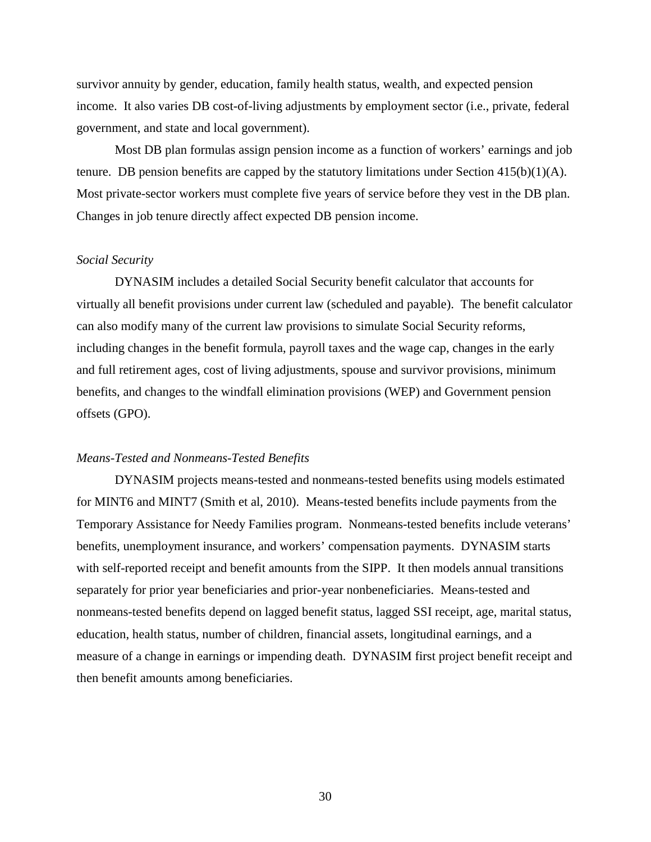survivor annuity by gender, education, family health status, wealth, and expected pension income. It also varies DB cost-of-living adjustments by employment sector (i.e., private, federal government, and state and local government).

Most DB plan formulas assign pension income as a function of workers' earnings and job tenure. DB pension benefits are capped by the statutory limitations under Section  $415(b)(1)(A)$ . Most private-sector workers must complete five years of service before they vest in the DB plan. Changes in job tenure directly affect expected DB pension income.

### *Social Security*

DYNASIM includes a detailed Social Security benefit calculator that accounts for virtually all benefit provisions under current law (scheduled and payable). The benefit calculator can also modify many of the current law provisions to simulate Social Security reforms, including changes in the benefit formula, payroll taxes and the wage cap, changes in the early and full retirement ages, cost of living adjustments, spouse and survivor provisions, minimum benefits, and changes to the windfall elimination provisions (WEP) and Government pension offsets (GPO).

#### *Means-Tested and Nonmeans-Tested Benefits*

DYNASIM projects means-tested and nonmeans-tested benefits using models estimated for MINT6 and MINT7 (Smith et al, 2010). Means-tested benefits include payments from the Temporary Assistance for Needy Families program. Nonmeans-tested benefits include veterans' benefits, unemployment insurance, and workers' compensation payments. DYNASIM starts with self-reported receipt and benefit amounts from the SIPP. It then models annual transitions separately for prior year beneficiaries and prior-year nonbeneficiaries. Means-tested and nonmeans-tested benefits depend on lagged benefit status, lagged SSI receipt, age, marital status, education, health status, number of children, financial assets, longitudinal earnings, and a measure of a change in earnings or impending death. DYNASIM first project benefit receipt and then benefit amounts among beneficiaries.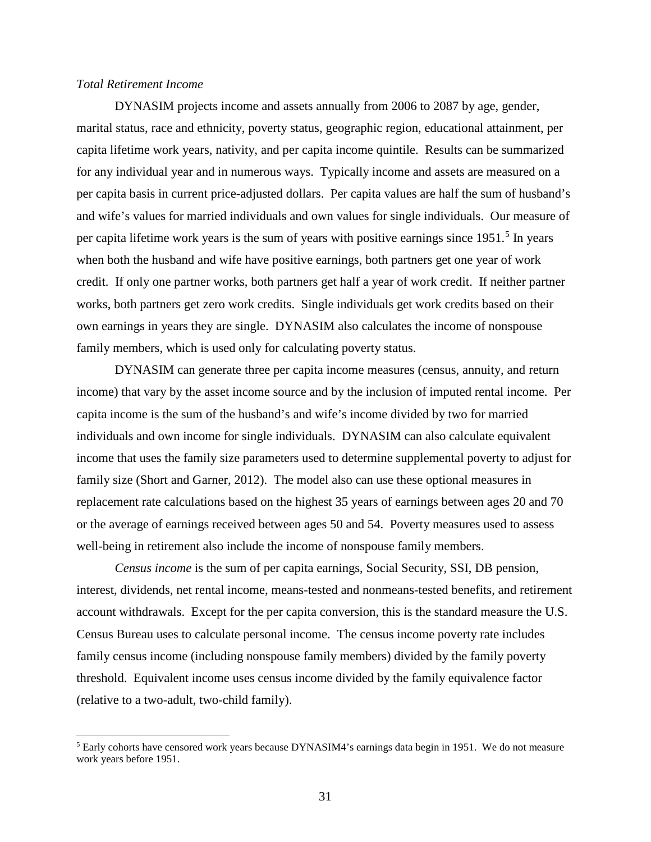### *Total Retirement Income*

l

DYNASIM projects income and assets annually from 2006 to 2087 by age, gender, marital status, race and ethnicity, poverty status, geographic region, educational attainment, per capita lifetime work years, nativity, and per capita income quintile. Results can be summarized for any individual year and in numerous ways. Typically income and assets are measured on a per capita basis in current price-adjusted dollars. Per capita values are half the sum of husband's and wife's values for married individuals and own values for single individuals. Our measure of per capita lifetime work years is the sum of years with positive earnings since 19[5](#page-31-0)1.<sup>5</sup> In years when both the husband and wife have positive earnings, both partners get one year of work credit. If only one partner works, both partners get half a year of work credit. If neither partner works, both partners get zero work credits. Single individuals get work credits based on their own earnings in years they are single. DYNASIM also calculates the income of nonspouse family members, which is used only for calculating poverty status.

DYNASIM can generate three per capita income measures (census, annuity, and return income) that vary by the asset income source and by the inclusion of imputed rental income. Per capita income is the sum of the husband's and wife's income divided by two for married individuals and own income for single individuals. DYNASIM can also calculate equivalent income that uses the family size parameters used to determine supplemental poverty to adjust for family size (Short and Garner, 2012). The model also can use these optional measures in replacement rate calculations based on the highest 35 years of earnings between ages 20 and 70 or the average of earnings received between ages 50 and 54. Poverty measures used to assess well-being in retirement also include the income of nonspouse family members.

*Census income* is the sum of per capita earnings, Social Security, SSI, DB pension, interest, dividends, net rental income, means-tested and nonmeans-tested benefits, and retirement account withdrawals. Except for the per capita conversion, this is the standard measure the U.S. Census Bureau uses to calculate personal income. The census income poverty rate includes family census income (including nonspouse family members) divided by the family poverty threshold. Equivalent income uses census income divided by the family equivalence factor (relative to a two-adult, two-child family).

<span id="page-31-0"></span><sup>&</sup>lt;sup>5</sup> Early cohorts have censored work years because DYNASIM4's earnings data begin in 1951. We do not measure work years before 1951.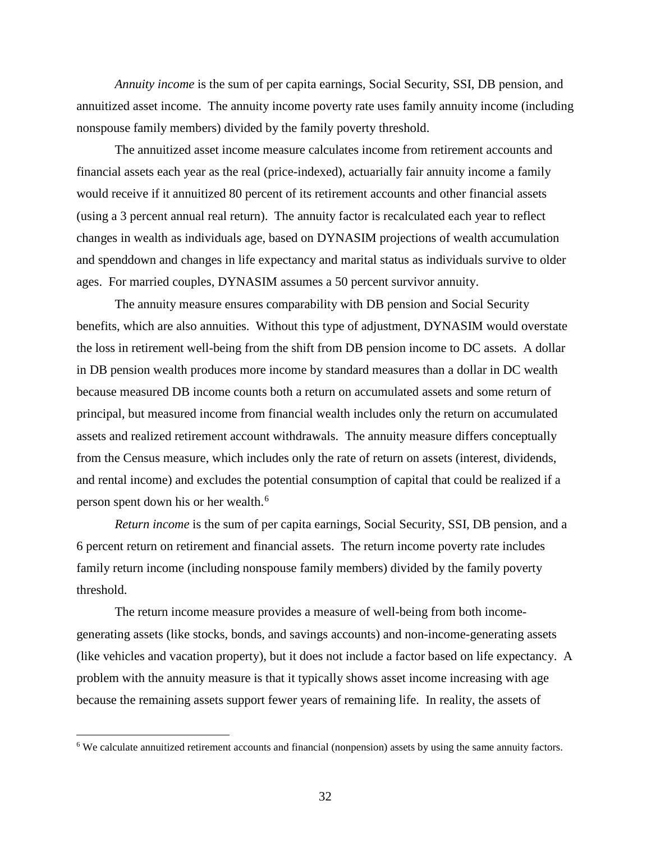*Annuity income* is the sum of per capita earnings, Social Security, SSI, DB pension, and annuitized asset income. The annuity income poverty rate uses family annuity income (including nonspouse family members) divided by the family poverty threshold.

The annuitized asset income measure calculates income from retirement accounts and financial assets each year as the real (price-indexed), actuarially fair annuity income a family would receive if it annuitized 80 percent of its retirement accounts and other financial assets (using a 3 percent annual real return). The annuity factor is recalculated each year to reflect changes in wealth as individuals age, based on DYNASIM projections of wealth accumulation and spenddown and changes in life expectancy and marital status as individuals survive to older ages. For married couples, DYNASIM assumes a 50 percent survivor annuity.

The annuity measure ensures comparability with DB pension and Social Security benefits, which are also annuities. Without this type of adjustment, DYNASIM would overstate the loss in retirement well-being from the shift from DB pension income to DC assets. A dollar in DB pension wealth produces more income by standard measures than a dollar in DC wealth because measured DB income counts both a return on accumulated assets and some return of principal, but measured income from financial wealth includes only the return on accumulated assets and realized retirement account withdrawals. The annuity measure differs conceptually from the Census measure, which includes only the rate of return on assets (interest, dividends, and rental income) and excludes the potential consumption of capital that could be realized if a person spent down his or her wealth.[6](#page-32-0)

*Return income* is the sum of per capita earnings, Social Security, SSI, DB pension, and a 6 percent return on retirement and financial assets. The return income poverty rate includes family return income (including nonspouse family members) divided by the family poverty threshold.

The return income measure provides a measure of well-being from both incomegenerating assets (like stocks, bonds, and savings accounts) and non-income-generating assets (like vehicles and vacation property), but it does not include a factor based on life expectancy. A problem with the annuity measure is that it typically shows asset income increasing with age because the remaining assets support fewer years of remaining life. In reality, the assets of

l

<span id="page-32-0"></span><sup>&</sup>lt;sup>6</sup> We calculate annuitized retirement accounts and financial (nonpension) assets by using the same annuity factors.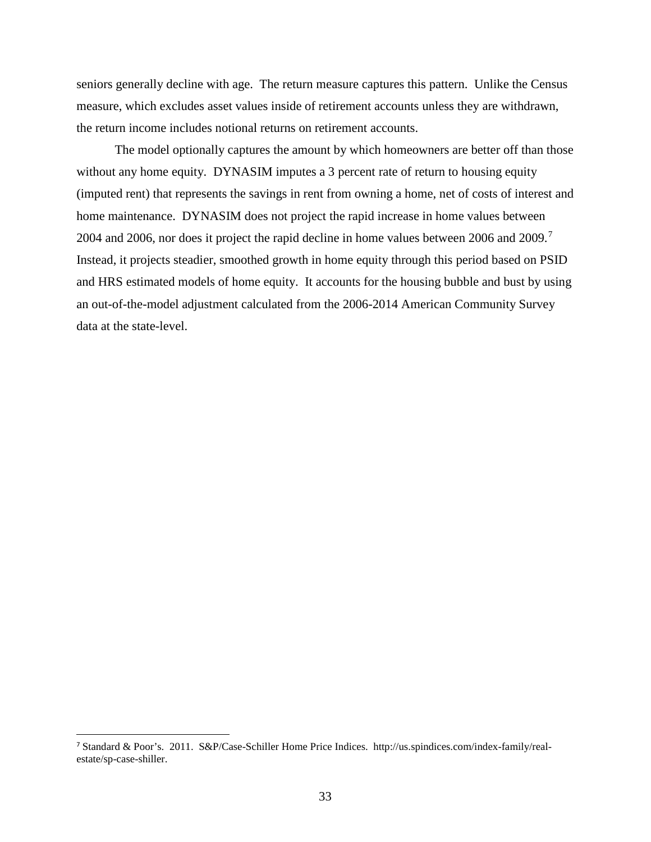seniors generally decline with age. The return measure captures this pattern. Unlike the Census measure, which excludes asset values inside of retirement accounts unless they are withdrawn, the return income includes notional returns on retirement accounts.

The model optionally captures the amount by which homeowners are better off than those without any home equity. DYNASIM imputes a 3 percent rate of return to housing equity (imputed rent) that represents the savings in rent from owning a home, net of costs of interest and home maintenance. DYNASIM does not project the rapid increase in home values between 2004 and 2006, nor does it project the rapid decline in home values between 2006 and 2009.[7](#page-33-0) Instead, it projects steadier, smoothed growth in home equity through this period based on PSID and HRS estimated models of home equity. It accounts for the housing bubble and bust by using an out-of-the-model adjustment calculated from the 2006-2014 American Community Survey data at the state-level.

<span id="page-33-0"></span> <sup>7</sup> Standard & Poor's. 2011. S&P/Case-Schiller Home Price Indices. http://us.spindices.com/index-family/realestate/sp-case-shiller.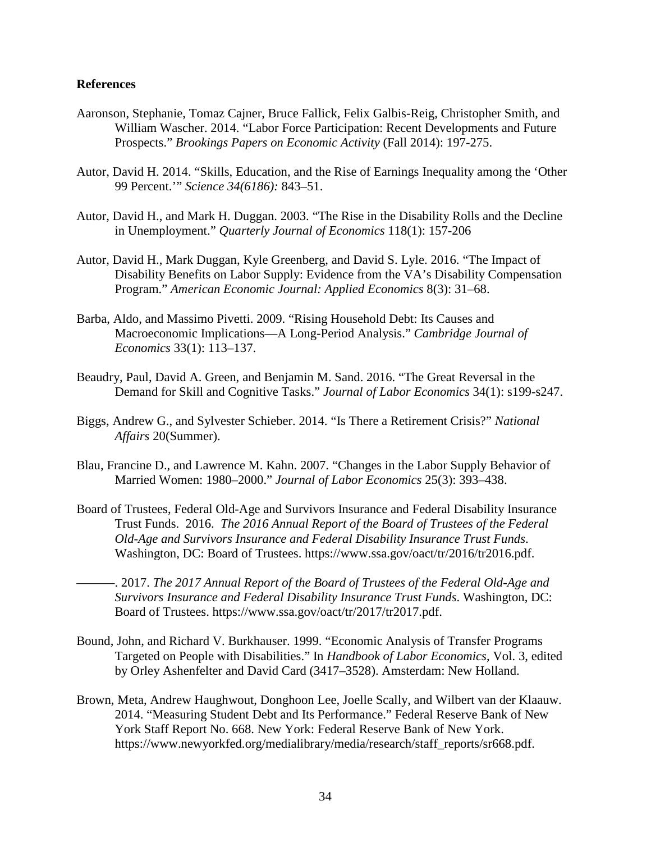### **References**

- Aaronson, Stephanie, Tomaz Cajner, Bruce Fallick, Felix Galbis-Reig, Christopher Smith, and William Wascher. 2014. "Labor Force Participation: Recent Developments and Future Prospects." *Brookings Papers on Economic Activity* (Fall 2014): 197-275.
- Autor, David H. 2014. "Skills, Education, and the Rise of Earnings Inequality among the 'Other 99 Percent.'" *Science 34(6186):* 843–51.
- Autor, David H., and Mark H. Duggan. 2003. "The Rise in the Disability Rolls and the Decline in Unemployment." *Quarterly Journal of Economics* 118(1): 157-206
- Autor, David H., Mark Duggan, Kyle Greenberg, and David S. Lyle. 2016. "The Impact of Disability Benefits on Labor Supply: Evidence from the VA's Disability Compensation Program." *American Economic Journal: Applied Economics* 8(3): 31–68.
- Barba, Aldo, and Massimo Pivetti. 2009. "Rising Household Debt: Its Causes and Macroeconomic Implications—A Long-Period Analysis." *Cambridge Journal of Economics* 33(1): 113–137.
- Beaudry, Paul, David A. Green, and Benjamin M. Sand. 2016. "The Great Reversal in the Demand for Skill and Cognitive Tasks." *Journal of Labor Economics* 34(1): s199-s247.
- Biggs, Andrew G., and Sylvester Schieber. 2014. "Is There a Retirement Crisis?" *National Affairs* 20(Summer).
- Blau, Francine D., and Lawrence M. Kahn. 2007. "Changes in the Labor Supply Behavior of Married Women: 1980–2000." *Journal of Labor Economics* 25(3): 393–438.
- Board of Trustees, Federal Old-Age and Survivors Insurance and Federal Disability Insurance Trust Funds. 2016. *The 2016 Annual Report of the Board of Trustees of the Federal Old-Age and Survivors Insurance and Federal Disability Insurance Trust Funds*. Washington, DC: Board of Trustees. https://www.ssa.gov/oact/tr/2016/tr2016.pdf.
- ———. 2017. *The 2017 Annual Report of the Board of Trustees of the Federal Old-Age and Survivors Insurance and Federal Disability Insurance Trust Funds*. Washington, DC: Board of Trustees. https://www.ssa.gov/oact/tr/2017/tr2017.pdf.
- Bound, John, and Richard V. Burkhauser. 1999. "Economic Analysis of Transfer Programs Targeted on People with Disabilities." In *Handbook of Labor Economics*, Vol. 3, edited by Orley Ashenfelter and David Card (3417–3528). Amsterdam: New Holland.
- Brown, Meta, Andrew Haughwout, Donghoon Lee, Joelle Scally, and Wilbert van der Klaauw. 2014. "Measuring Student Debt and Its Performance." Federal Reserve Bank of New York Staff Report No. 668. New York: Federal Reserve Bank of New York. https://www.newyorkfed.org/medialibrary/media/research/staff\_reports/sr668.pdf.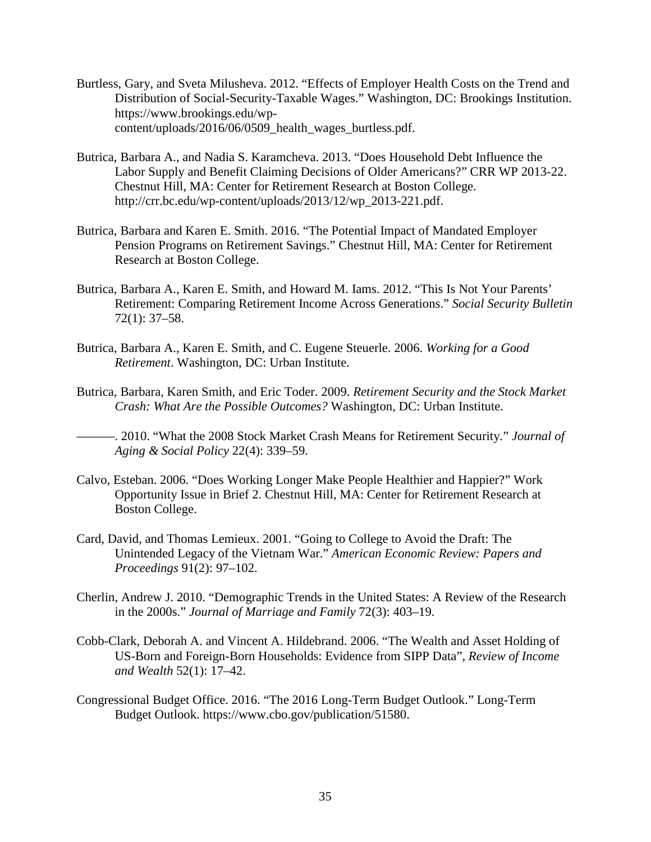- Burtless, Gary, and Sveta Milusheva. 2012. "Effects of Employer Health Costs on the Trend and Distribution of Social-Security-Taxable Wages." Washington, DC: Brookings Institution. https://www.brookings.edu/wpcontent/uploads/2016/06/0509\_health\_wages\_burtless.pdf.
- Butrica, Barbara A., and Nadia S. Karamcheva. 2013. "Does Household Debt Influence the Labor Supply and Benefit Claiming Decisions of Older Americans?" CRR WP 2013-22. Chestnut Hill, MA: Center for Retirement Research at Boston College. http://crr.bc.edu/wp-content/uploads/2013/12/wp\_2013-221.pdf.
- Butrica, Barbara and Karen E. Smith. 2016. "The Potential Impact of Mandated Employer Pension Programs on Retirement Savings." Chestnut Hill, MA: Center for Retirement Research at Boston College.
- Butrica, Barbara A., Karen E. Smith, and Howard M. Iams. 2012. "This Is Not Your Parents' Retirement: Comparing Retirement Income Across Generations." *Social Security Bulletin* 72(1): 37–58.
- Butrica, Barbara A., Karen E. Smith, and C. Eugene Steuerle. 2006. *Working for a Good Retirement*. Washington, DC: Urban Institute.
- Butrica, Barbara, Karen Smith, and Eric Toder. 2009. *Retirement Security and the Stock Market Crash: What Are the Possible Outcomes?* Washington, DC: Urban Institute.
- ———. 2010. "What the 2008 Stock Market Crash Means for Retirement Security." *Journal of Aging & Social Policy* 22(4): 339–59.
- Calvo, Esteban. 2006. "Does Working Longer Make People Healthier and Happier?" Work Opportunity Issue in Brief 2. Chestnut Hill, MA: Center for Retirement Research at Boston College.
- Card, David, and Thomas Lemieux. 2001. "Going to College to Avoid the Draft: The Unintended Legacy of the Vietnam War." *American Economic Review: Papers and Proceedings* 91(2): 97–102.
- Cherlin, Andrew J. 2010. "Demographic Trends in the United States: A Review of the Research in the 2000s." *Journal of Marriage and Family* 72(3): 403–19.
- Cobb-Clark, Deborah A. and Vincent A. Hildebrand. 2006. "The Wealth and Asset Holding of US-Born and Foreign-Born Households: Evidence from SIPP Data", *Review of Income and Wealth* 52(1): 17–42.
- Congressional Budget Office. 2016. "The 2016 Long-Term Budget Outlook." Long-Term Budget Outlook. https://www.cbo.gov/publication/51580.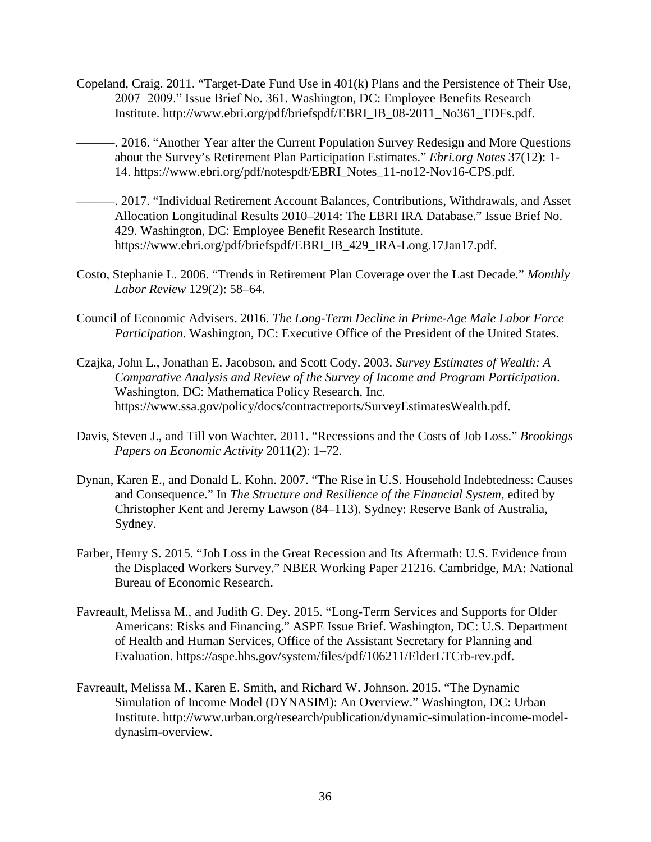- Copeland, Craig. 2011. "Target-Date Fund Use in 401(k) Plans and the Persistence of Their Use, 2007−2009." Issue Brief No. 361. Washington, DC: Employee Benefits Research Institute. http://www.ebri.org/pdf/briefspdf/EBRI\_IB\_08-2011\_No361\_TDFs.pdf.
- -. 2016. "Another Year after the Current Population Survey Redesign and More Questions about the Survey's Retirement Plan Participation Estimates." *Ebri.org Notes* 37(12): 1- 14. https://www.ebri.org/pdf/notespdf/EBRI\_Notes\_11-no12-Nov16-CPS.pdf.
- ———. 2017. "Individual Retirement Account Balances, Contributions, Withdrawals, and Asset Allocation Longitudinal Results 2010–2014: The EBRI IRA Database." Issue Brief No. 429. Washington, DC: Employee Benefit Research Institute. https://www.ebri.org/pdf/briefspdf/EBRI\_IB\_429\_IRA-Long.17Jan17.pdf.
- Costo, Stephanie L. 2006. "Trends in Retirement Plan Coverage over the Last Decade." *Monthly Labor Review* 129(2): 58–64.
- Council of Economic Advisers. 2016. *The Long-Term Decline in Prime-Age Male Labor Force Participation*. Washington, DC: Executive Office of the President of the United States.
- Czajka, John L., Jonathan E. Jacobson, and Scott Cody. 2003. *Survey Estimates of Wealth: A Comparative Analysis and Review of the Survey of Income and Program Participation*. Washington, DC: Mathematica Policy Research, Inc. https://www.ssa.gov/policy/docs/contractreports/SurveyEstimatesWealth.pdf.
- Davis, Steven J., and Till von Wachter. 2011. "Recessions and the Costs of Job Loss." *Brookings Papers on Economic Activity* 2011(2): 1–72.
- Dynan, Karen E., and Donald L. Kohn. 2007. "The Rise in U.S. Household Indebtedness: Causes and Consequence." In *The Structure and Resilience of the Financial System*, edited by Christopher Kent and Jeremy Lawson (84–113). Sydney: Reserve Bank of Australia, Sydney.
- Farber, Henry S. 2015. "Job Loss in the Great Recession and Its Aftermath: U.S. Evidence from the Displaced Workers Survey." NBER Working Paper 21216. Cambridge, MA: National Bureau of Economic Research.
- Favreault, Melissa M., and Judith G. Dey. 2015. "Long-Term Services and Supports for Older Americans: Risks and Financing." ASPE Issue Brief. Washington, DC: U.S. Department of Health and Human Services, Office of the Assistant Secretary for Planning and Evaluation. https://aspe.hhs.gov/system/files/pdf/106211/ElderLTCrb-rev.pdf.
- Favreault, Melissa M., Karen E. Smith, and Richard W. Johnson. 2015. "The Dynamic Simulation of Income Model (DYNASIM): An Overview." Washington, DC: Urban Institute. http://www.urban.org/research/publication/dynamic-simulation-income-modeldynasim-overview.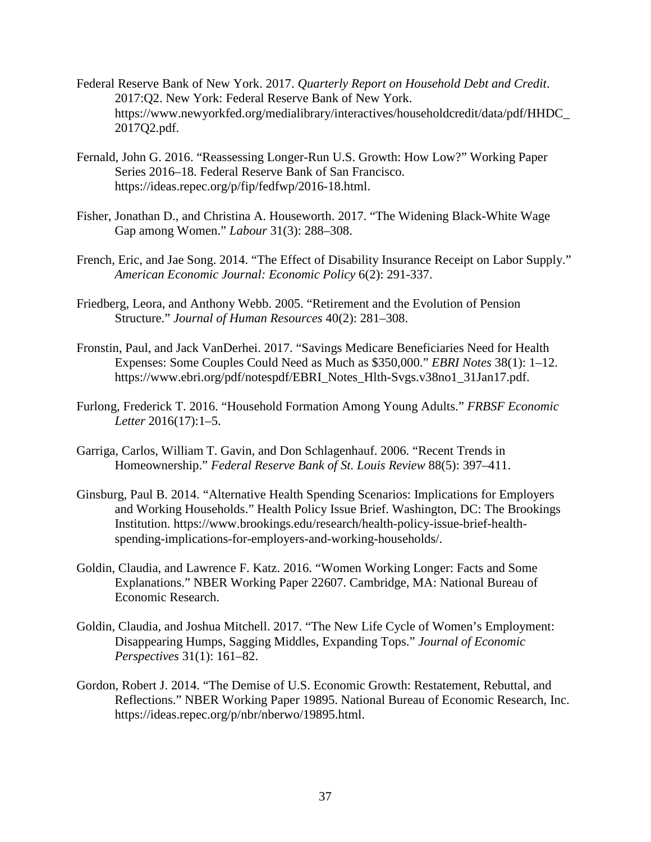- Federal Reserve Bank of New York. 2017. *Quarterly Report on Household Debt and Credit*. 2017:Q2. New York: Federal Reserve Bank of New York. https://www.newyorkfed.org/medialibrary/interactives/householdcredit/data/pdf/HHDC\_ 2017Q2.pdf.
- Fernald, John G. 2016. "Reassessing Longer-Run U.S. Growth: How Low?" Working Paper Series 2016–18. Federal Reserve Bank of San Francisco. https://ideas.repec.org/p/fip/fedfwp/2016-18.html.
- Fisher, Jonathan D., and Christina A. Houseworth. 2017. "The Widening Black-White Wage Gap among Women." *Labour* 31(3): 288–308.
- French, Eric, and Jae Song. 2014. "The Effect of Disability Insurance Receipt on Labor Supply." *American Economic Journal: Economic Policy* 6(2): 291-337.
- Friedberg, Leora, and Anthony Webb. 2005. "Retirement and the Evolution of Pension Structure." *Journal of Human Resources* 40(2): 281–308.
- Fronstin, Paul, and Jack VanDerhei. 2017. "Savings Medicare Beneficiaries Need for Health Expenses: Some Couples Could Need as Much as \$350,000." *EBRI Notes* 38(1): 1–12. https://www.ebri.org/pdf/notespdf/EBRI\_Notes\_Hlth-Svgs.v38no1\_31Jan17.pdf.
- Furlong, Frederick T. 2016. "Household Formation Among Young Adults." *FRBSF Economic Letter* 2016(17):1–5.
- Garriga, Carlos, William T. Gavin, and Don Schlagenhauf. 2006. "Recent Trends in Homeownership." *Federal Reserve Bank of St. Louis Review* 88(5): 397–411.
- Ginsburg, Paul B. 2014. "Alternative Health Spending Scenarios: Implications for Employers and Working Households." Health Policy Issue Brief. Washington, DC: The Brookings Institution. https://www.brookings.edu/research/health-policy-issue-brief-healthspending-implications-for-employers-and-working-households/.
- Goldin, Claudia, and Lawrence F. Katz. 2016. "Women Working Longer: Facts and Some Explanations." NBER Working Paper 22607. Cambridge, MA: National Bureau of Economic Research.
- Goldin, Claudia, and Joshua Mitchell. 2017. "The New Life Cycle of Women's Employment: Disappearing Humps, Sagging Middles, Expanding Tops." *Journal of Economic Perspectives* 31(1): 161–82.
- Gordon, Robert J. 2014. "The Demise of U.S. Economic Growth: Restatement, Rebuttal, and Reflections." NBER Working Paper 19895. National Bureau of Economic Research, Inc. https://ideas.repec.org/p/nbr/nberwo/19895.html.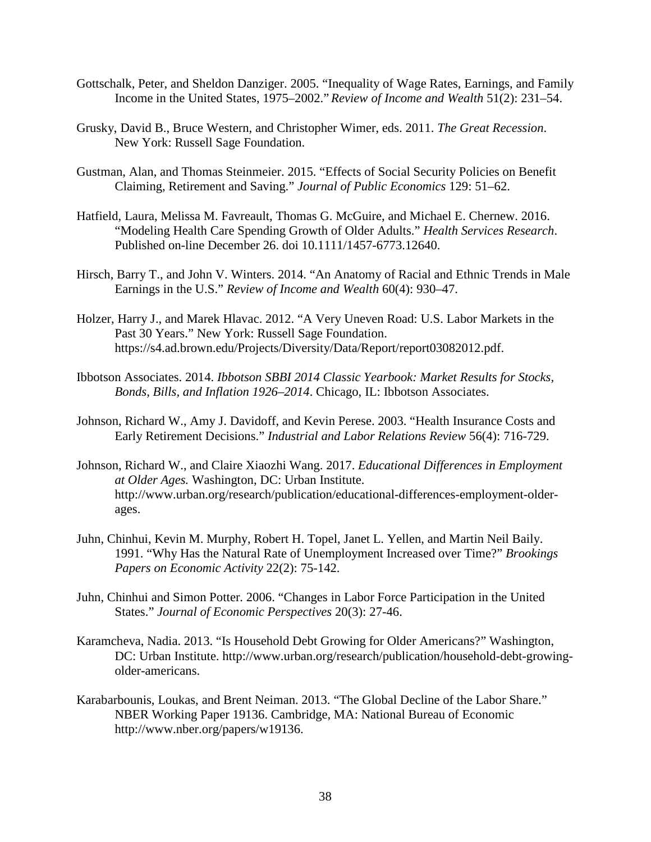- Gottschalk, Peter, and Sheldon Danziger. 2005. "Inequality of Wage Rates, Earnings, and Family Income in the United States, 1975–2002." *Review of Income and Wealth* 51(2): 231–54.
- Grusky, David B., Bruce Western, and Christopher Wimer, eds. 2011. *The Great Recession*. New York: Russell Sage Foundation.
- Gustman, Alan, and Thomas Steinmeier. 2015. "Effects of Social Security Policies on Benefit Claiming, Retirement and Saving." *Journal of Public Economics* 129: 51–62.
- Hatfield, Laura, Melissa M. Favreault, Thomas G. McGuire, and Michael E. Chernew. 2016. "Modeling Health Care Spending Growth of Older Adults." *Health Services Research*. Published on-line December 26. doi 10.1111/1457-6773.12640.
- Hirsch, Barry T., and John V. Winters. 2014. "An Anatomy of Racial and Ethnic Trends in Male Earnings in the U.S." *Review of Income and Wealth* 60(4): 930–47.
- Holzer, Harry J., and Marek Hlavac. 2012. "A Very Uneven Road: U.S. Labor Markets in the Past 30 Years." New York: Russell Sage Foundation. https://s4.ad.brown.edu/Projects/Diversity/Data/Report/report03082012.pdf.
- Ibbotson Associates. 2014. *Ibbotson SBBI 2014 Classic Yearbook: Market Results for Stocks, Bonds, Bills, and Inflation 1926–2014*. Chicago, IL: Ibbotson Associates.
- Johnson, Richard W., Amy J. Davidoff, and Kevin Perese. 2003. "Health Insurance Costs and Early Retirement Decisions." *Industrial and Labor Relations Review* 56(4): 716-729.
- Johnson, Richard W., and Claire Xiaozhi Wang. 2017. *Educational Differences in Employment at Older Ages.* Washington, DC: Urban Institute. http://www.urban.org/research/publication/educational-differences-employment-olderages.
- Juhn, Chinhui, Kevin M. Murphy, Robert H. Topel, Janet L. Yellen, and Martin Neil Baily. 1991. "Why Has the Natural Rate of Unemployment Increased over Time?" *Brookings Papers on Economic Activity* 22(2): 75-142.
- Juhn, Chinhui and Simon Potter. 2006. "Changes in Labor Force Participation in the United States." *Journal of Economic Perspectives* 20(3): 27-46.
- Karamcheva, Nadia. 2013. "Is Household Debt Growing for Older Americans?" Washington, DC: Urban Institute. http://www.urban.org/research/publication/household-debt-growingolder-americans.
- Karabarbounis, Loukas, and Brent Neiman. 2013. "The Global Decline of the Labor Share." NBER Working Paper 19136. Cambridge, MA: National Bureau of Economic http://www.nber.org/papers/w19136.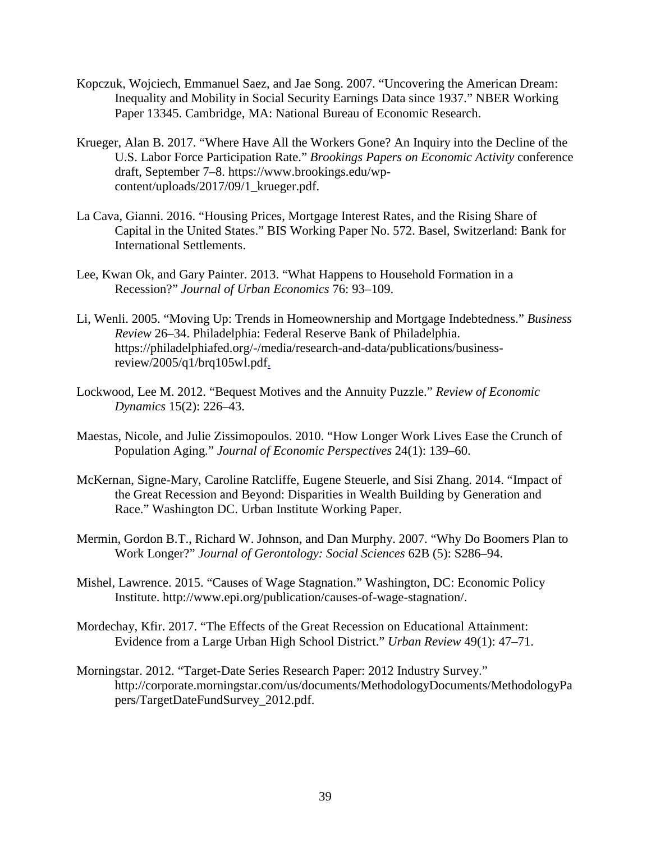- Kopczuk, Wojciech, Emmanuel Saez, and Jae Song. 2007. "Uncovering the American Dream: Inequality and Mobility in Social Security Earnings Data since 1937." NBER Working Paper 13345. Cambridge, MA: National Bureau of Economic Research.
- Krueger, Alan B. 2017. "Where Have All the Workers Gone? An Inquiry into the Decline of the U.S. Labor Force Participation Rate." *Brookings Papers on Economic Activity* conference draft, September 7–8. https://www.brookings.edu/wpcontent/uploads/2017/09/1\_krueger.pdf.
- La Cava, Gianni. 2016. "Housing Prices, Mortgage Interest Rates, and the Rising Share of Capital in the United States." BIS Working Paper No. 572. Basel, Switzerland: Bank for International Settlements.
- Lee, Kwan Ok, and Gary Painter. 2013. "What Happens to Household Formation in a Recession?" *Journal of Urban Economics* 76: 93–109.
- Li, Wenli. 2005. "Moving Up: Trends in Homeownership and Mortgage Indebtedness." *Business Review* 26–34. Philadelphia: Federal Reserve Bank of Philadelphia. https://philadelphiafed.org/-/media/research-and-data/publications/businessreview/2005/q1/brq105wl.pdf.
- Lockwood, Lee M. 2012. "Bequest Motives and the Annuity Puzzle." *Review of Economic Dynamics* 15(2): 226–43.
- Maestas, Nicole, and Julie Zissimopoulos. 2010. "How Longer Work Lives Ease the Crunch of Population Aging." *Journal of Economic Perspectives* 24(1): 139–60.
- McKernan, Signe-Mary, Caroline Ratcliffe, Eugene Steuerle, and Sisi Zhang. 2014. "Impact of the Great Recession and Beyond: Disparities in Wealth Building by Generation and Race." Washington DC. Urban Institute Working Paper.
- Mermin, Gordon B.T., Richard W. Johnson, and Dan Murphy. 2007. "Why Do Boomers Plan to Work Longer?" *Journal of Gerontology: Social Sciences* 62B (5): S286–94.
- Mishel, Lawrence. 2015. "Causes of Wage Stagnation." Washington, DC: Economic Policy Institute. http://www.epi.org/publication/causes-of-wage-stagnation/.
- Mordechay, Kfir. 2017. "The Effects of the Great Recession on Educational Attainment: Evidence from a Large Urban High School District." *Urban Review* 49(1): 47–71.
- Morningstar. 2012. "Target-Date Series Research Paper: 2012 Industry Survey." http://corporate.morningstar.com/us/documents/MethodologyDocuments/MethodologyPa pers/TargetDateFundSurvey\_2012.pdf.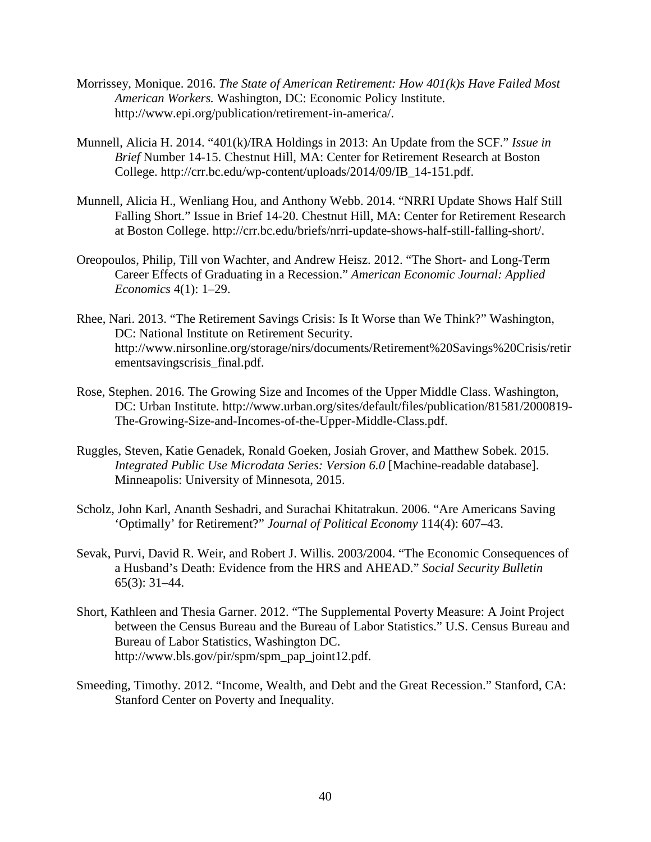- Morrissey, Monique. 2016. *The State of American Retirement: How 401(k)s Have Failed Most American Workers.* Washington, DC: Economic Policy Institute. http://www.epi.org/publication/retirement-in-america/.
- Munnell, Alicia H. 2014. "401(k)/IRA Holdings in 2013: An Update from the SCF." *Issue in Brief* Number 14-15. Chestnut Hill, MA: Center for Retirement Research at Boston College. http://crr.bc.edu/wp-content/uploads/2014/09/IB\_14-151.pdf.
- Munnell, Alicia H., Wenliang Hou, and Anthony Webb. 2014. "NRRI Update Shows Half Still Falling Short." Issue in Brief 14-20. Chestnut Hill, MA: Center for Retirement Research at Boston College. http://crr.bc.edu/briefs/nrri-update-shows-half-still-falling-short/.
- Oreopoulos, Philip, Till von Wachter, and Andrew Heisz. 2012. "The Short- and Long-Term Career Effects of Graduating in a Recession." *American Economic Journal: Applied Economics* 4(1): 1–29.
- Rhee, Nari. 2013. "The Retirement Savings Crisis: Is It Worse than We Think?" Washington, DC: National Institute on Retirement Security. http://www.nirsonline.org/storage/nirs/documents/Retirement%20Savings%20Crisis/retir ementsavingscrisis\_final.pdf.
- Rose, Stephen. 2016. The Growing Size and Incomes of the Upper Middle Class. Washington, DC: Urban Institute. http://www.urban.org/sites/default/files/publication/81581/2000819- The-Growing-Size-and-Incomes-of-the-Upper-Middle-Class.pdf.
- Ruggles, Steven, Katie Genadek, Ronald Goeken, Josiah Grover, and Matthew Sobek. 2015. *Integrated Public Use Microdata Series: Version 6.0* [Machine-readable database]. Minneapolis: University of Minnesota, 2015.
- Scholz, John Karl, Ananth Seshadri, and Surachai Khitatrakun. 2006. "Are Americans Saving 'Optimally' for Retirement?" *Journal of Political Economy* 114(4): 607–43.
- Sevak, Purvi, David R. Weir, and Robert J. Willis. 2003/2004. "The Economic Consequences of a Husband's Death: Evidence from the HRS and AHEAD." *Social Security Bulletin* 65(3): 31–44.
- Short, Kathleen and Thesia Garner. 2012. "The Supplemental Poverty Measure: A Joint Project between the Census Bureau and the Bureau of Labor Statistics." U.S. Census Bureau and Bureau of Labor Statistics, Washington DC. http://www.bls.gov/pir/spm/spm\_pap\_joint12.pdf.
- Smeeding, Timothy. 2012. "Income, Wealth, and Debt and the Great Recession." Stanford, CA: Stanford Center on Poverty and Inequality.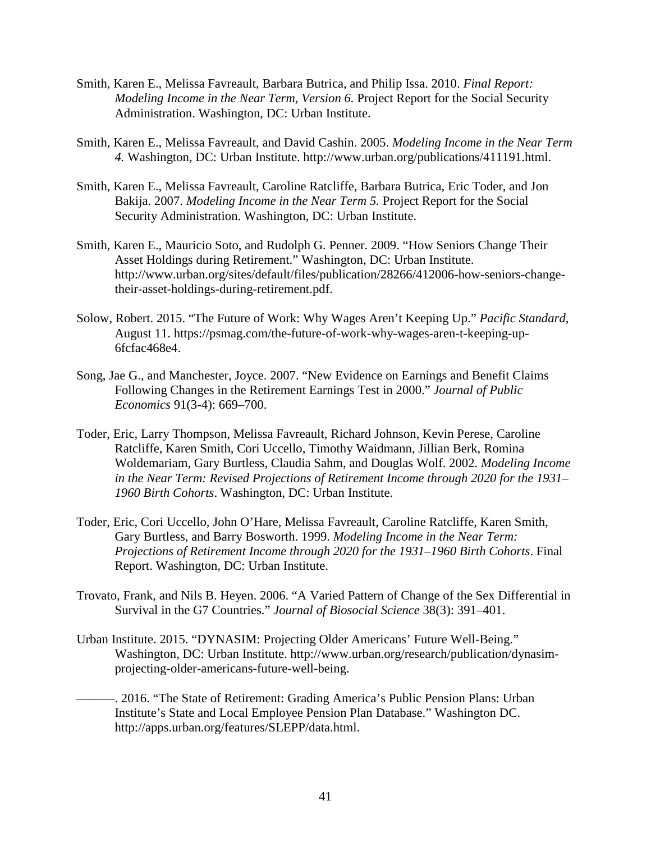- Smith, Karen E., Melissa Favreault, Barbara Butrica, and Philip Issa. 2010. *Final Report: Modeling Income in the Near Term, Version 6.* Project Report for the Social Security Administration. Washington, DC: Urban Institute.
- Smith, Karen E., Melissa Favreault, and David Cashin. 2005. *Modeling Income in the Near Term 4.* Washington, DC: Urban Institute. http://www.urban.org/publications/411191.html.
- Smith, Karen E., Melissa Favreault, Caroline Ratcliffe, Barbara Butrica, Eric Toder, and Jon Bakija. 2007. *Modeling Income in the Near Term 5.* Project Report for the Social Security Administration. Washington, DC: Urban Institute.
- Smith, Karen E., Mauricio Soto, and Rudolph G. Penner. 2009. "How Seniors Change Their Asset Holdings during Retirement." Washington, DC: Urban Institute. http://www.urban.org/sites/default/files/publication/28266/412006-how-seniors-changetheir-asset-holdings-during-retirement.pdf.
- Solow, Robert. 2015. "The Future of Work: Why Wages Aren't Keeping Up." *Pacific Standard*, August 11. https://psmag.com/the-future-of-work-why-wages-aren-t-keeping-up-6fcfac468e4.
- Song, Jae G., and Manchester, Joyce. 2007. "New Evidence on Earnings and Benefit Claims Following Changes in the Retirement Earnings Test in 2000." *Journal of Public Economics* 91(3-4): 669–700.
- Toder, Eric, Larry Thompson, Melissa Favreault, Richard Johnson, Kevin Perese, Caroline Ratcliffe, Karen Smith, Cori Uccello, Timothy Waidmann, Jillian Berk, Romina Woldemariam, Gary Burtless, Claudia Sahm, and Douglas Wolf. 2002. *Modeling Income in the Near Term: Revised Projections of Retirement Income through 2020 for the 1931– 1960 Birth Cohorts*. Washington, DC: Urban Institute.
- Toder, Eric, Cori Uccello, John O'Hare, Melissa Favreault, Caroline Ratcliffe, Karen Smith, Gary Burtless, and Barry Bosworth. 1999. *Modeling Income in the Near Term: Projections of Retirement Income through 2020 for the 1931–1960 Birth Cohorts*. Final Report. Washington, DC: Urban Institute.
- Trovato, Frank, and Nils B. Heyen. 2006. "A Varied Pattern of Change of the Sex Differential in Survival in the G7 Countries." *Journal of Biosocial Science* 38(3): 391–401.
- Urban Institute. 2015. "DYNASIM: Projecting Older Americans' Future Well-Being." Washington, DC: Urban Institute. http://www.urban.org/research/publication/dynasimprojecting-older-americans-future-well-being.
- ———. 2016. "The State of Retirement: Grading America's Public Pension Plans: Urban Institute's State and Local Employee Pension Plan Database." Washington DC. http://apps.urban.org/features/SLEPP/data.html.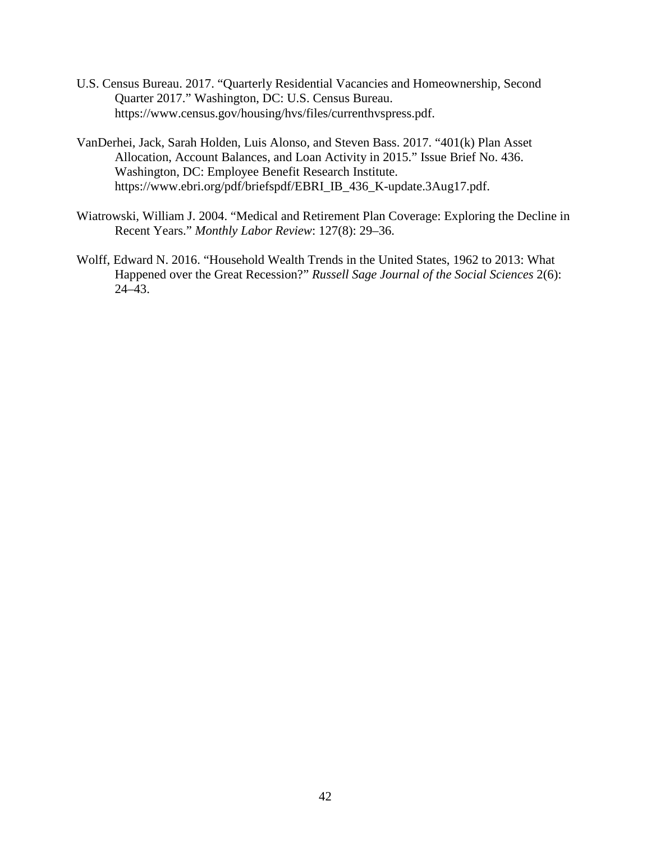- U.S. Census Bureau. 2017. "Quarterly Residential Vacancies and Homeownership, Second Quarter 2017." Washington, DC: U.S. Census Bureau. https://www.census.gov/housing/hvs/files/currenthvspress.pdf.
- VanDerhei, Jack, Sarah Holden, Luis Alonso, and Steven Bass. 2017. "401(k) Plan Asset Allocation, Account Balances, and Loan Activity in 2015." Issue Brief No. 436. Washington, DC: Employee Benefit Research Institute. https://www.ebri.org/pdf/briefspdf/EBRI\_IB\_436\_K-update.3Aug17.pdf.
- Wiatrowski, William J. 2004. "Medical and Retirement Plan Coverage: Exploring the Decline in Recent Years." *Monthly Labor Review*: 127(8): 29–36.
- Wolff, Edward N. 2016. "Household Wealth Trends in the United States, 1962 to 2013: What Happened over the Great Recession?" *Russell Sage Journal of the Social Sciences* 2(6): 24–43.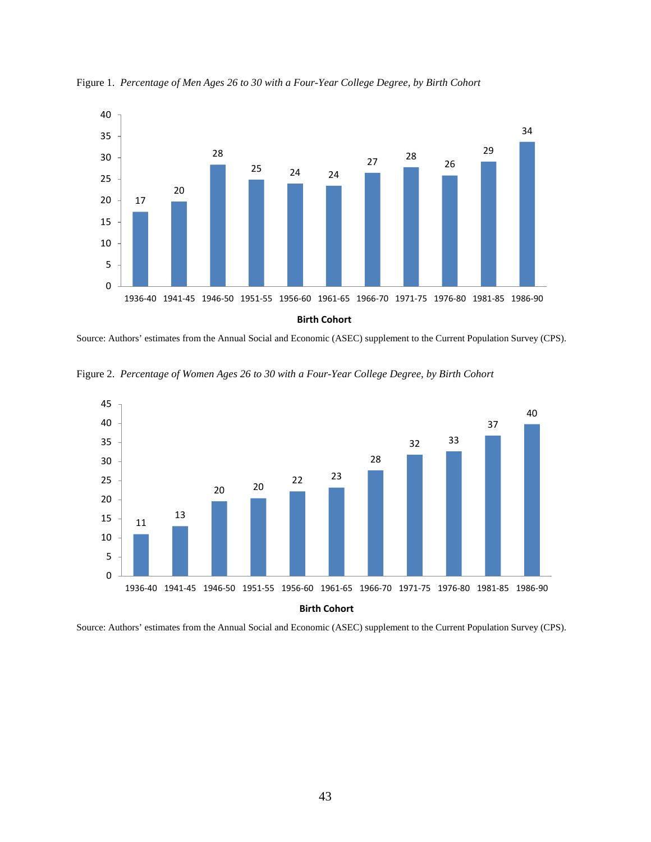

Figure 1. *Percentage of Men Ages 26 to 30 with a Four-Year College Degree, by Birth Cohort*

Source: Authors' estimates from the Annual Social and Economic (ASEC) supplement to the Current Population Survey (CPS).





Source: Authors' estimates from the Annual Social and Economic (ASEC) supplement to the Current Population Survey (CPS).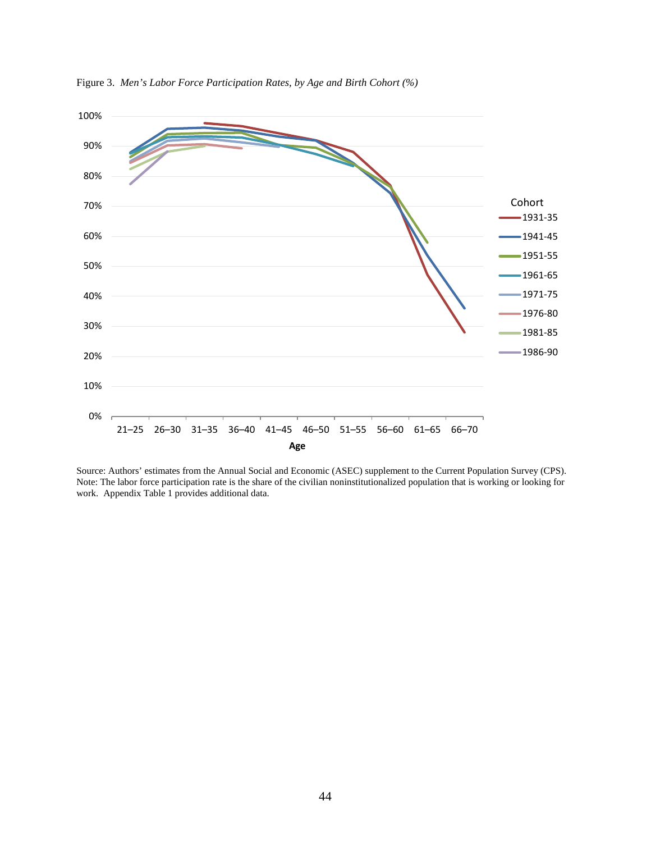

Figure 3. *Men's Labor Force Participation Rates, by Age and Birth Cohort (%)*

Source: Authors' estimates from the Annual Social and Economic (ASEC) supplement to the Current Population Survey (CPS). Note: The labor force participation rate is the share of the civilian noninstitutionalized population that is working or looking for work. Appendix Table 1 provides additional data.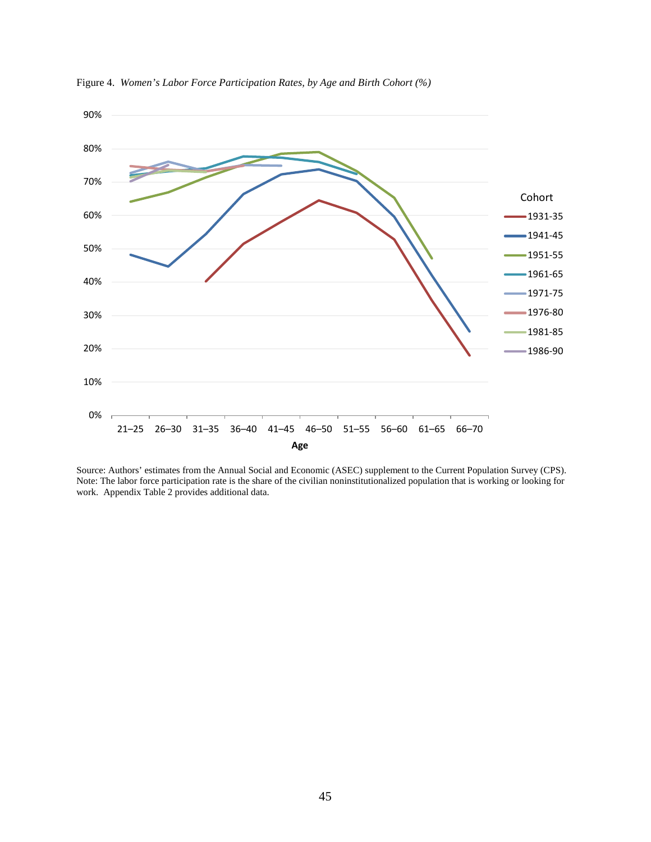

Figure 4. *Women's Labor Force Participation Rates, by Age and Birth Cohort (%)*

Source: Authors' estimates from the Annual Social and Economic (ASEC) supplement to the Current Population Survey (CPS). Note: The labor force participation rate is the share of the civilian noninstitutionalized population that is working or looking for work. Appendix Table 2 provides additional data.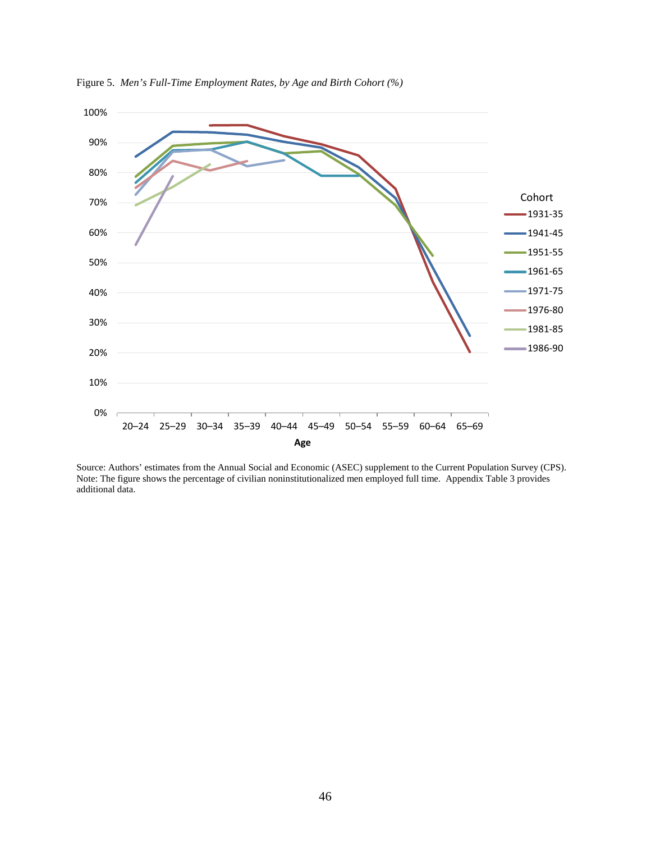

Figure 5. *Men's Full-Time Employment Rates, by Age and Birth Cohort (%)*

Source: Authors' estimates from the Annual Social and Economic (ASEC) supplement to the Current Population Survey (CPS). Note: The figure shows the percentage of civilian noninstitutionalized men employed full time. Appendix Table 3 provides additional data.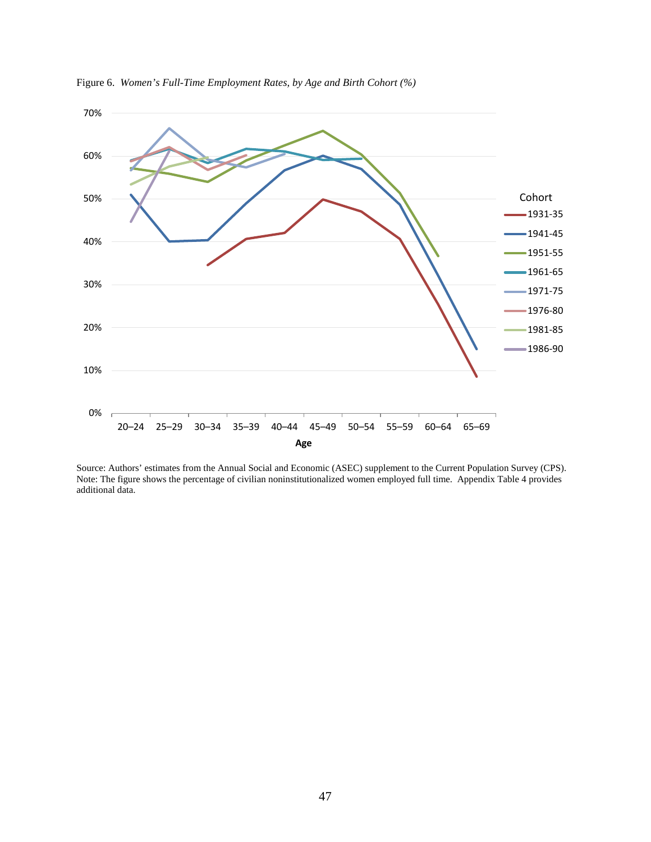

Figure 6. *Women's Full-Time Employment Rates, by Age and Birth Cohort (%)*

Source: Authors' estimates from the Annual Social and Economic (ASEC) supplement to the Current Population Survey (CPS). Note: The figure shows the percentage of civilian noninstitutionalized women employed full time. Appendix Table 4 provides additional data.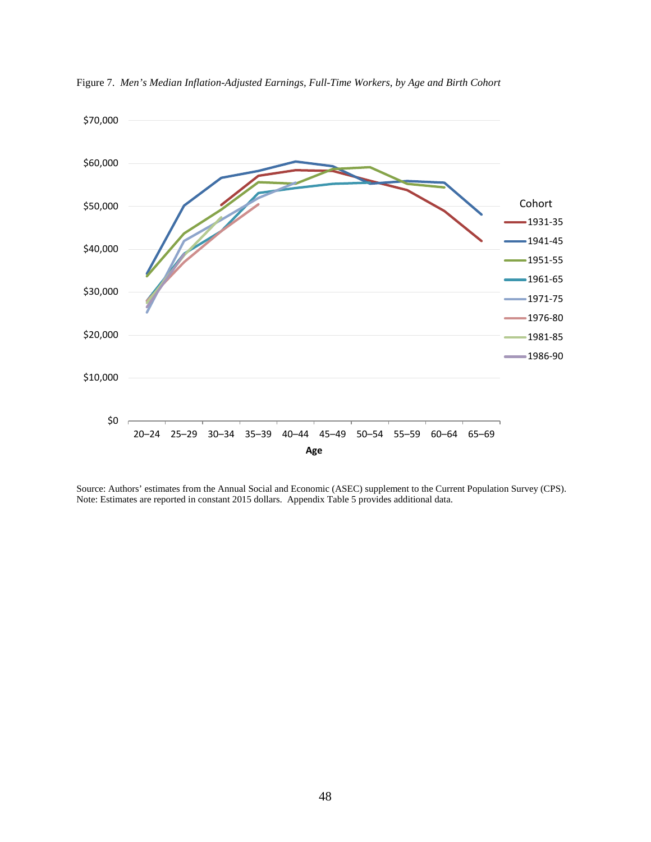

Figure 7. *Men's Median Inflation-Adjusted Earnings, Full-Time Workers, by Age and Birth Cohort*

Source: Authors' estimates from the Annual Social and Economic (ASEC) supplement to the Current Population Survey (CPS). Note: Estimates are reported in constant 2015 dollars. Appendix Table 5 provides additional data.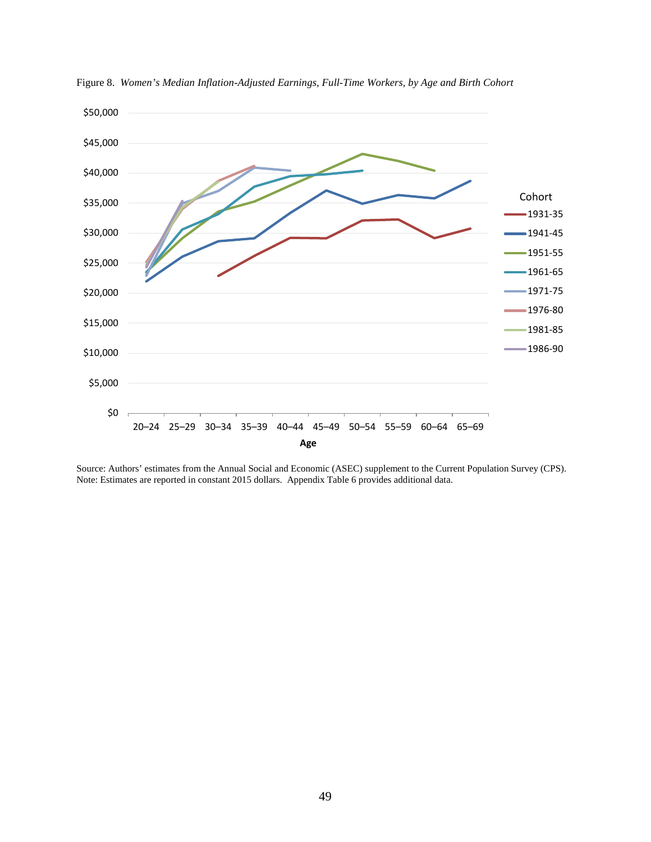

Figure 8. *Women's Median Inflation-Adjusted Earnings, Full-Time Workers, by Age and Birth Cohort*

Source: Authors' estimates from the Annual Social and Economic (ASEC) supplement to the Current Population Survey (CPS). Note: Estimates are reported in constant 2015 dollars. Appendix Table 6 provides additional data.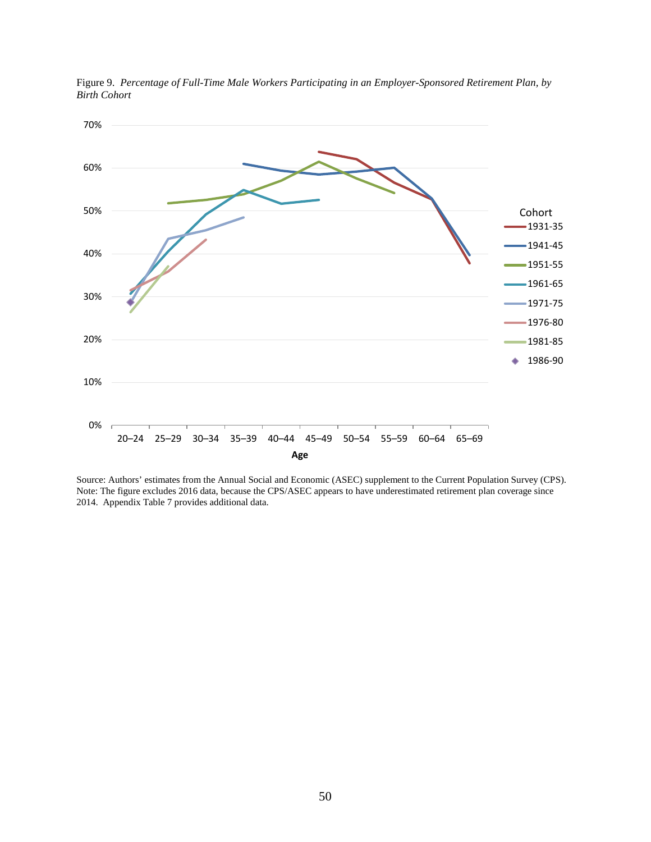

Figure 9. *Percentage of Full-Time Male Workers Participating in an Employer-Sponsored Retirement Plan, by Birth Cohort*

Source: Authors' estimates from the Annual Social and Economic (ASEC) supplement to the Current Population Survey (CPS). Note: The figure excludes 2016 data, because the CPS/ASEC appears to have underestimated retirement plan coverage since 2014. Appendix Table 7 provides additional data.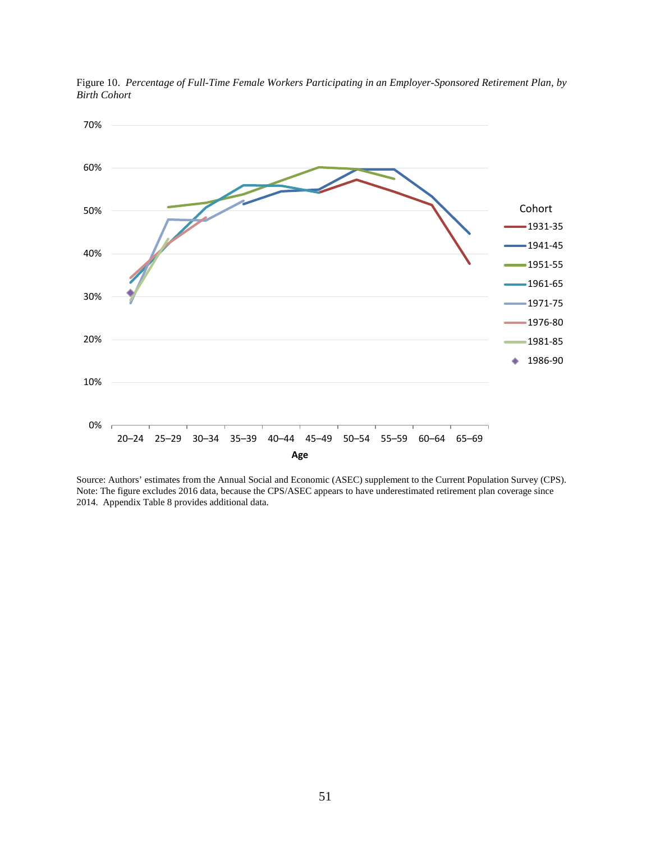

Figure 10. *Percentage of Full-Time Female Workers Participating in an Employer-Sponsored Retirement Plan, by Birth Cohort*

Source: Authors' estimates from the Annual Social and Economic (ASEC) supplement to the Current Population Survey (CPS). Note: The figure excludes 2016 data, because the CPS/ASEC appears to have underestimated retirement plan coverage since 2014. Appendix Table 8 provides additional data.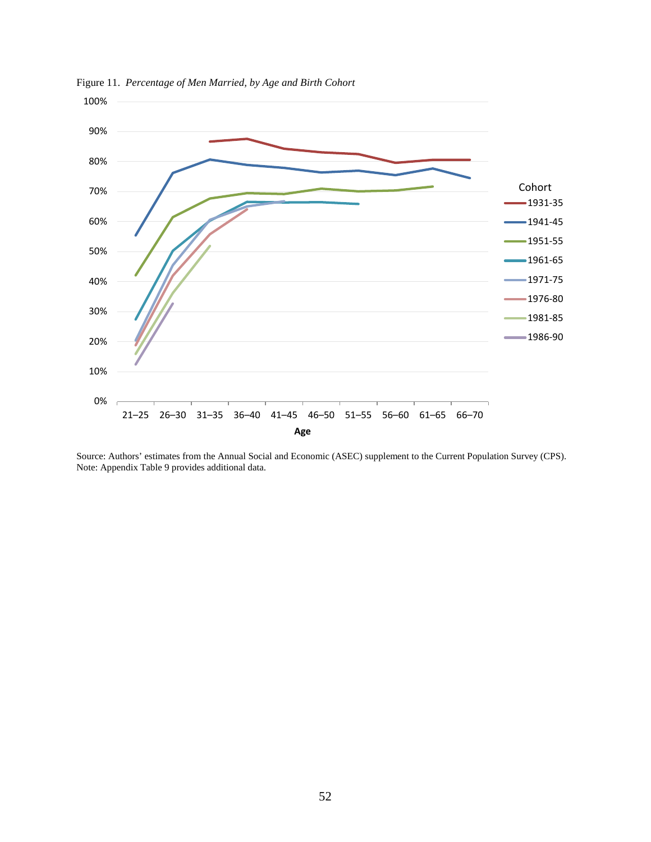

Figure 11. *Percentage of Men Married, by Age and Birth Cohort*

Source: Authors' estimates from the Annual Social and Economic (ASEC) supplement to the Current Population Survey (CPS). Note: Appendix Table 9 provides additional data.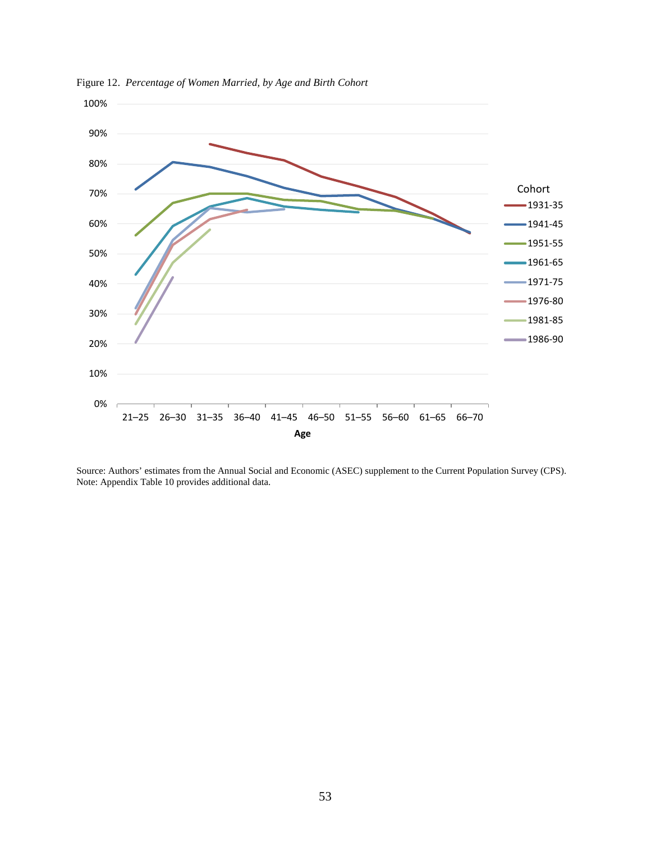

Figure 12. *Percentage of Women Married, by Age and Birth Cohort*

Source: Authors' estimates from the Annual Social and Economic (ASEC) supplement to the Current Population Survey (CPS). Note: Appendix Table 10 provides additional data.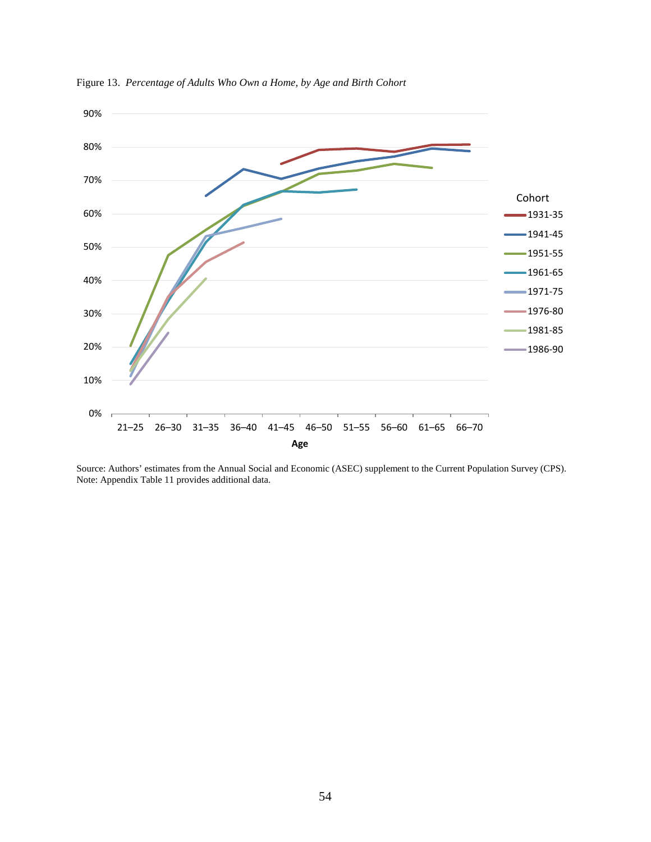

Figure 13. *Percentage of Adults Who Own a Home, by Age and Birth Cohort*

Source: Authors' estimates from the Annual Social and Economic (ASEC) supplement to the Current Population Survey (CPS). Note: Appendix Table 11 provides additional data.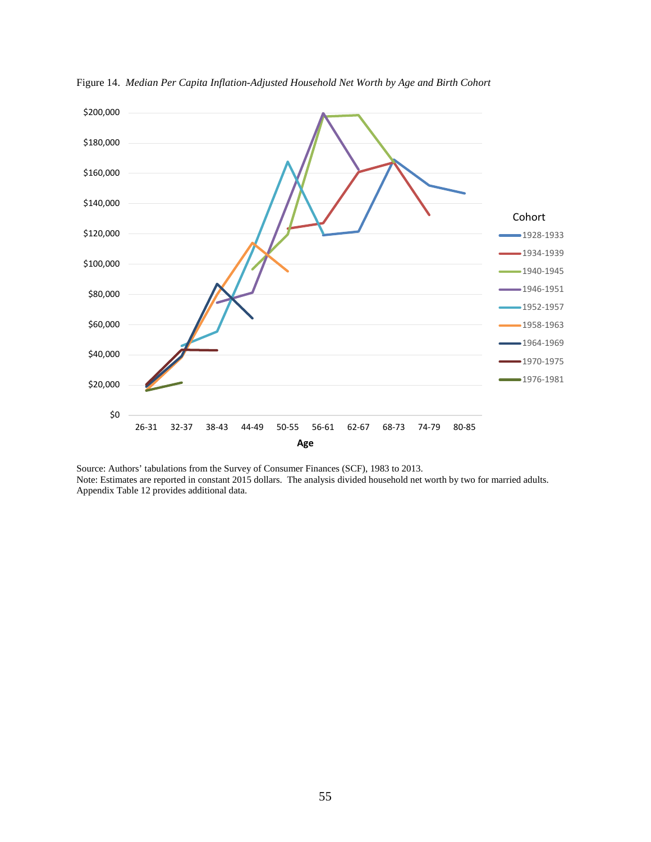

Figure 14. *Median Per Capita Inflation-Adjusted Household Net Worth by Age and Birth Cohort*

Source: Authors' tabulations from the Survey of Consumer Finances (SCF), 1983 to 2013. Note: Estimates are reported in constant 2015 dollars. The analysis divided household net worth by two for married adults. Appendix Table 12 provides additional data.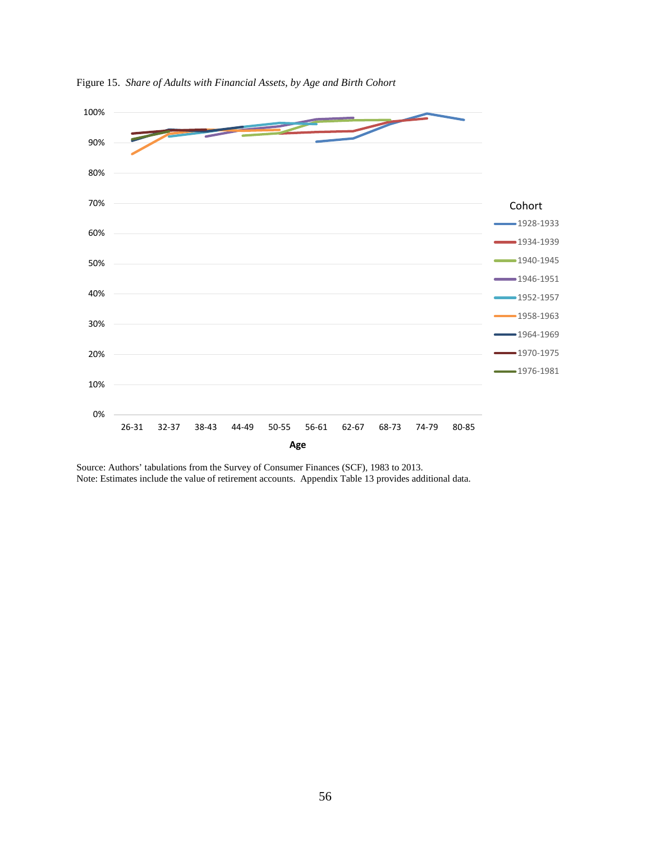

Figure 15. *Share of Adults with Financial Assets, by Age and Birth Cohort*

Source: Authors' tabulations from the Survey of Consumer Finances (SCF), 1983 to 2013. Note: Estimates include the value of retirement accounts. Appendix Table 13 provides additional data.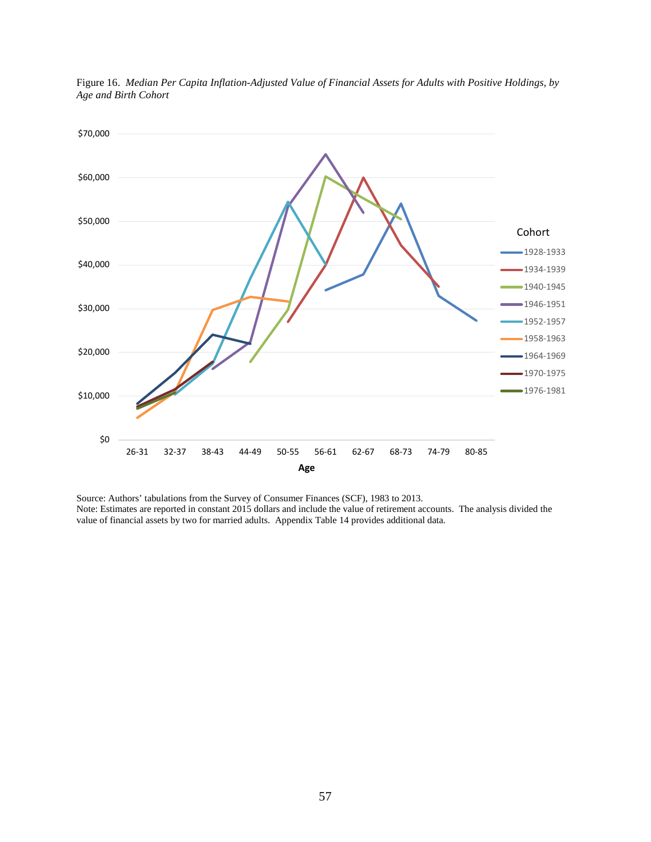

Figure 16. *Median Per Capita Inflation-Adjusted Value of Financial Assets for Adults with Positive Holdings, by Age and Birth Cohort*

Source: Authors' tabulations from the Survey of Consumer Finances (SCF), 1983 to 2013. Note: Estimates are reported in constant 2015 dollars and include the value of retirement accounts. The analysis divided the value of financial assets by two for married adults. Appendix Table 14 provides additional data.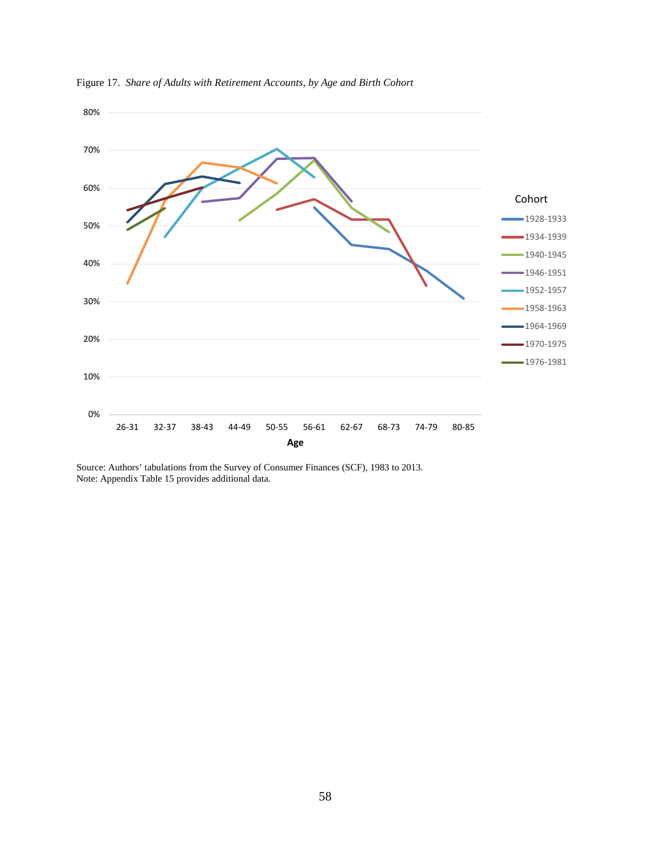

Figure 17. *Share of Adults with Retirement Accounts, by Age and Birth Cohort*

Source: Authors' tabulations from the Survey of Consumer Finances (SCF), 1983 to 2013. Note: Appendix Table 15 provides additional data.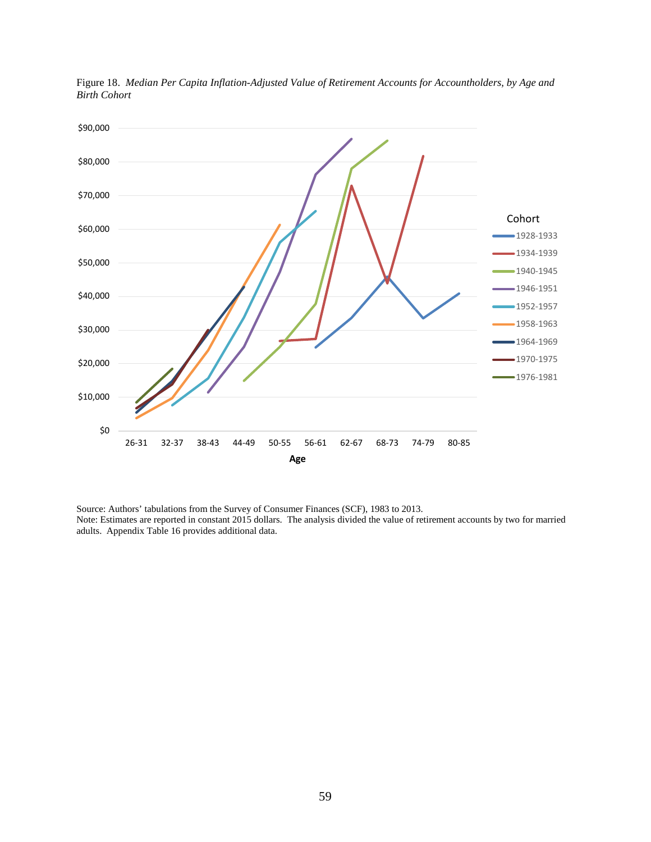

Figure 18. *Median Per Capita Inflation-Adjusted Value of Retirement Accounts for Accountholders, by Age and Birth Cohort*

Source: Authors' tabulations from the Survey of Consumer Finances (SCF), 1983 to 2013. Note: Estimates are reported in constant 2015 dollars. The analysis divided the value of retirement accounts by two for married adults. Appendix Table 16 provides additional data.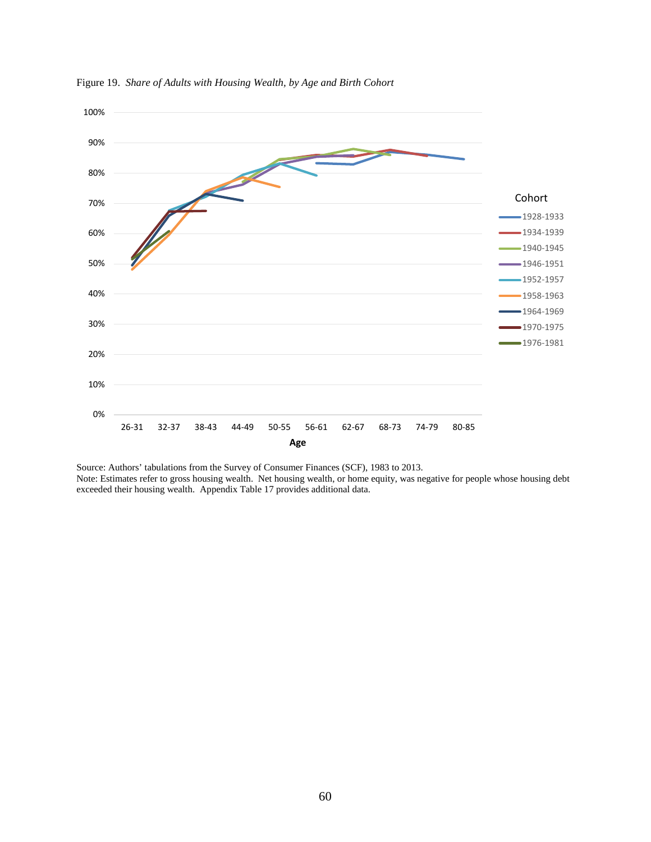

Figure 19. *Share of Adults with Housing Wealth, by Age and Birth Cohort*

Source: Authors' tabulations from the Survey of Consumer Finances (SCF), 1983 to 2013. Note: Estimates refer to gross housing wealth. Net housing wealth, or home equity, was negative for people whose housing debt exceeded their housing wealth. Appendix Table 17 provides additional data.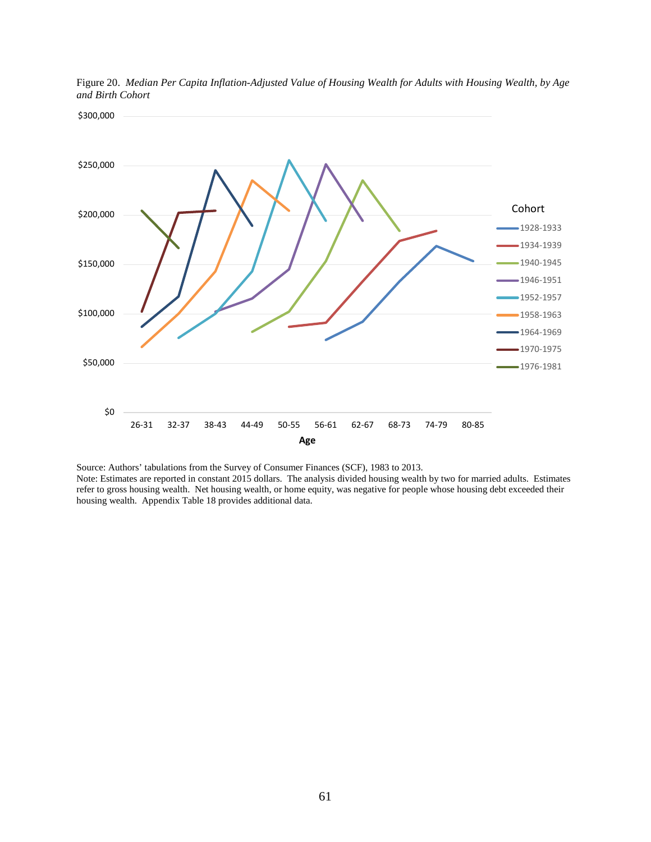

Figure 20. *Median Per Capita Inflation-Adjusted Value of Housing Wealth for Adults with Housing Wealth, by Age and Birth Cohort*

Source: Authors' tabulations from the Survey of Consumer Finances (SCF), 1983 to 2013. Note: Estimates are reported in constant 2015 dollars. The analysis divided housing wealth by two for married adults. Estimates refer to gross housing wealth. Net housing wealth, or home equity, was negative for people whose housing debt exceeded their housing wealth. Appendix Table 18 provides additional data.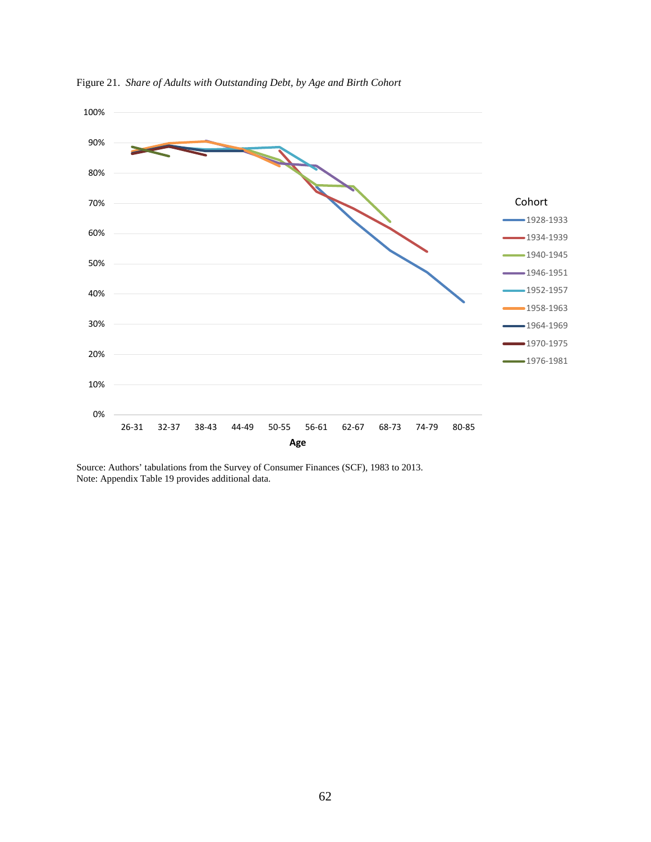

Figure 21. *Share of Adults with Outstanding Debt, by Age and Birth Cohort*

Source: Authors' tabulations from the Survey of Consumer Finances (SCF), 1983 to 2013. Note: Appendix Table 19 provides additional data.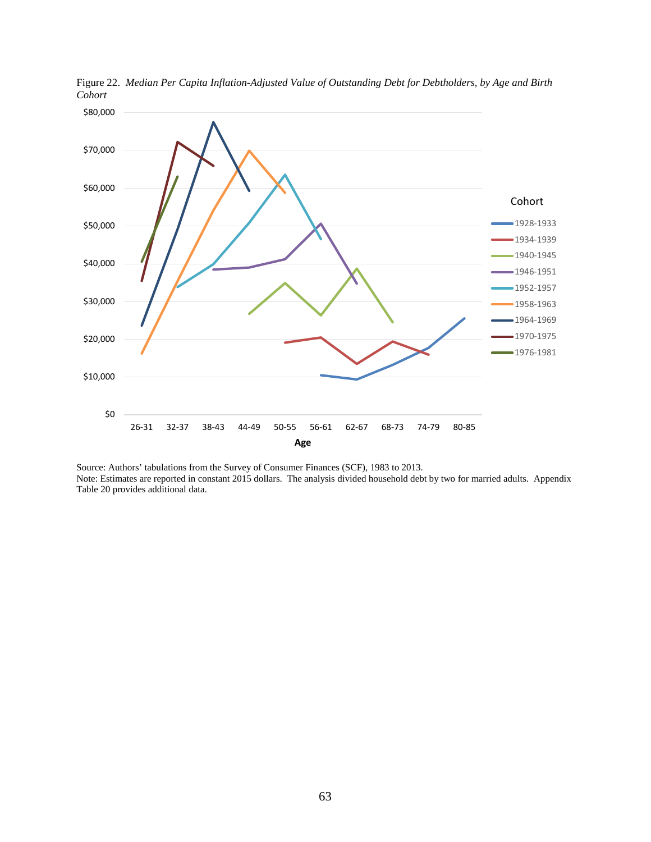

Figure 22. *Median Per Capita Inflation-Adjusted Value of Outstanding Debt for Debtholders, by Age and Birth Cohort*

Source: Authors' tabulations from the Survey of Consumer Finances (SCF), 1983 to 2013. Note: Estimates are reported in constant 2015 dollars. The analysis divided household debt by two for married adults. Appendix Table 20 provides additional data.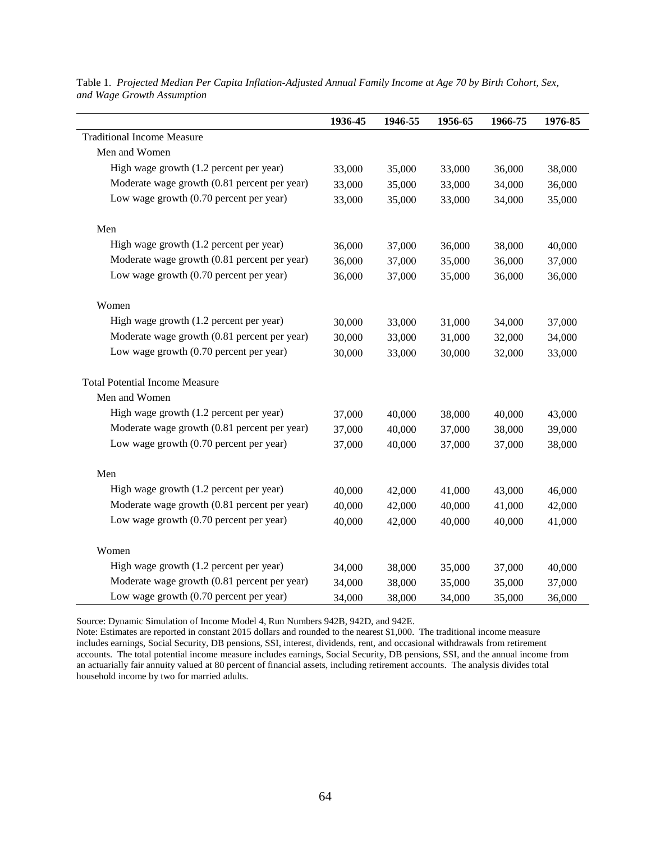|                                              | 1936-45 | 1946-55 | 1956-65 | 1966-75 | 1976-85 |
|----------------------------------------------|---------|---------|---------|---------|---------|
| <b>Traditional Income Measure</b>            |         |         |         |         |         |
| Men and Women                                |         |         |         |         |         |
| High wage growth (1.2 percent per year)      | 33,000  | 35,000  | 33,000  | 36,000  | 38,000  |
| Moderate wage growth (0.81 percent per year) | 33,000  | 35,000  | 33,000  | 34,000  | 36,000  |
| Low wage growth (0.70 percent per year)      | 33,000  | 35,000  | 33,000  | 34,000  | 35,000  |
| Men                                          |         |         |         |         |         |
| High wage growth (1.2 percent per year)      | 36,000  | 37,000  | 36,000  | 38,000  | 40,000  |
| Moderate wage growth (0.81 percent per year) | 36,000  | 37,000  | 35,000  | 36,000  | 37,000  |
| Low wage growth (0.70 percent per year)      | 36,000  | 37,000  | 35,000  | 36,000  | 36,000  |
| Women                                        |         |         |         |         |         |
| High wage growth (1.2 percent per year)      | 30,000  | 33,000  | 31,000  | 34,000  | 37,000  |
| Moderate wage growth (0.81 percent per year) | 30,000  | 33,000  | 31,000  | 32,000  | 34,000  |
| Low wage growth (0.70 percent per year)      | 30,000  | 33,000  | 30,000  | 32,000  | 33,000  |
| <b>Total Potential Income Measure</b>        |         |         |         |         |         |
| Men and Women                                |         |         |         |         |         |
| High wage growth (1.2 percent per year)      | 37,000  | 40,000  | 38,000  | 40,000  | 43,000  |
| Moderate wage growth (0.81 percent per year) | 37,000  | 40,000  | 37,000  | 38,000  | 39,000  |
| Low wage growth (0.70 percent per year)      | 37,000  | 40,000  | 37,000  | 37,000  | 38,000  |
| Men                                          |         |         |         |         |         |
| High wage growth (1.2 percent per year)      | 40,000  | 42,000  | 41,000  | 43,000  | 46,000  |
| Moderate wage growth (0.81 percent per year) | 40,000  | 42,000  | 40,000  | 41,000  | 42,000  |
| Low wage growth (0.70 percent per year)      | 40,000  | 42,000  | 40,000  | 40,000  | 41,000  |
| Women                                        |         |         |         |         |         |
| High wage growth (1.2 percent per year)      | 34,000  | 38,000  | 35,000  | 37,000  | 40,000  |
| Moderate wage growth (0.81 percent per year) | 34,000  | 38,000  | 35,000  | 35,000  | 37,000  |
| Low wage growth (0.70 percent per year)      | 34,000  | 38,000  | 34,000  | 35,000  | 36,000  |

Table 1. *Projected Median Per Capita Inflation-Adjusted Annual Family Income at Age 70 by Birth Cohort, Sex, and Wage Growth Assumption*

Source: Dynamic Simulation of Income Model 4, Run Numbers 942B, 942D, and 942E.

Note: Estimates are reported in constant 2015 dollars and rounded to the nearest \$1,000. The traditional income measure includes earnings, Social Security, DB pensions, SSI, interest, dividends, rent, and occasional withdrawals from retirement accounts. The total potential income measure includes earnings, Social Security, DB pensions, SSI, and the annual income from an actuarially fair annuity valued at 80 percent of financial assets, including retirement accounts. The analysis divides total household income by two for married adults.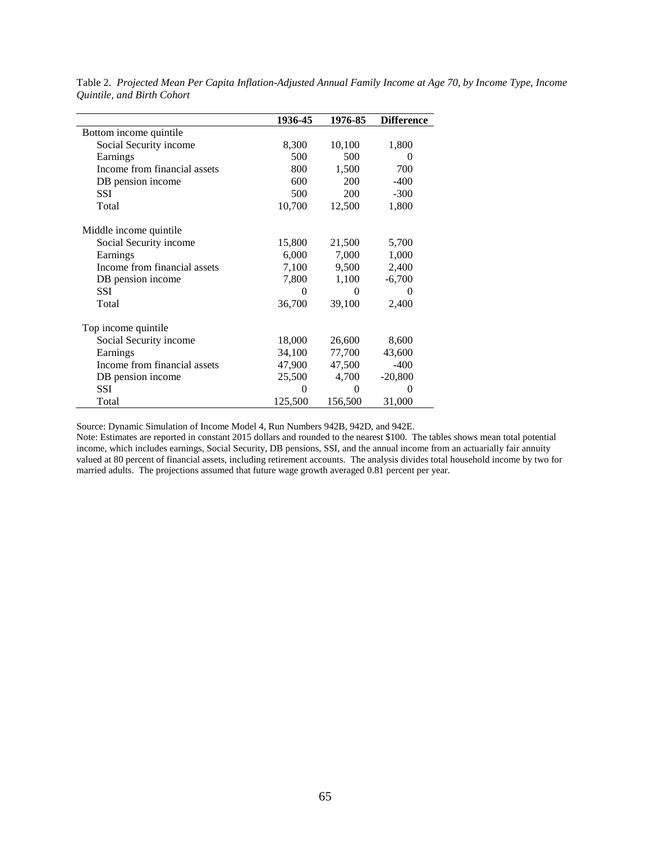|                              | 1936-45  | 1976-85  | <b>Difference</b> |
|------------------------------|----------|----------|-------------------|
| Bottom income quintile       |          |          |                   |
| Social Security income       | 8,300    | 10,100   | 1,800             |
| Earnings                     | 500      | 500      | $\Omega$          |
| Income from financial assets | 800      | 1,500    | 700               |
| DB pension income            | 600      | 200      | $-400$            |
| <b>SSI</b>                   | 500      | 200      | $-300$            |
| Total                        | 10,700   | 12,500   | 1,800             |
| Middle income quintile       |          |          |                   |
| Social Security income       | 15,800   | 21,500   | 5,700             |
| Earnings                     | 6,000    | 7,000    | 1,000             |
| Income from financial assets | 7,100    | 9,500    | 2,400             |
| DB pension income            | 7,800    | 1,100    | $-6,700$          |
| <b>SSI</b>                   | $\Omega$ | 0        | 0                 |
| Total                        | 36,700   | 39,100   | 2,400             |
| Top income quintile          |          |          |                   |
| Social Security income       | 18,000   | 26,600   | 8,600             |
| Earnings                     | 34,100   | 77,700   | 43,600            |
| Income from financial assets | 47,900   | 47,500   | $-400$            |
| DB pension income            | 25,500   | 4,700    | $-20,800$         |
| <b>SSI</b>                   | $\Omega$ | $\theta$ | $\Omega$          |
| Total                        | 125,500  | 156,500  | 31,000            |

Table 2. *Projected Mean Per Capita Inflation-Adjusted Annual Family Income at Age 70, by Income Type, Income Quintile, and Birth Cohort*

Source: Dynamic Simulation of Income Model 4, Run Numbers 942B, 942D, and 942E.

Note: Estimates are reported in constant 2015 dollars and rounded to the nearest \$100. The tables shows mean total potential income, which includes earnings, Social Security, DB pensions, SSI, and the annual income from an actuarially fair annuity valued at 80 percent of financial assets, including retirement accounts. The analysis divides total household income by two for married adults. The projections assumed that future wage growth averaged 0.81 percent per year.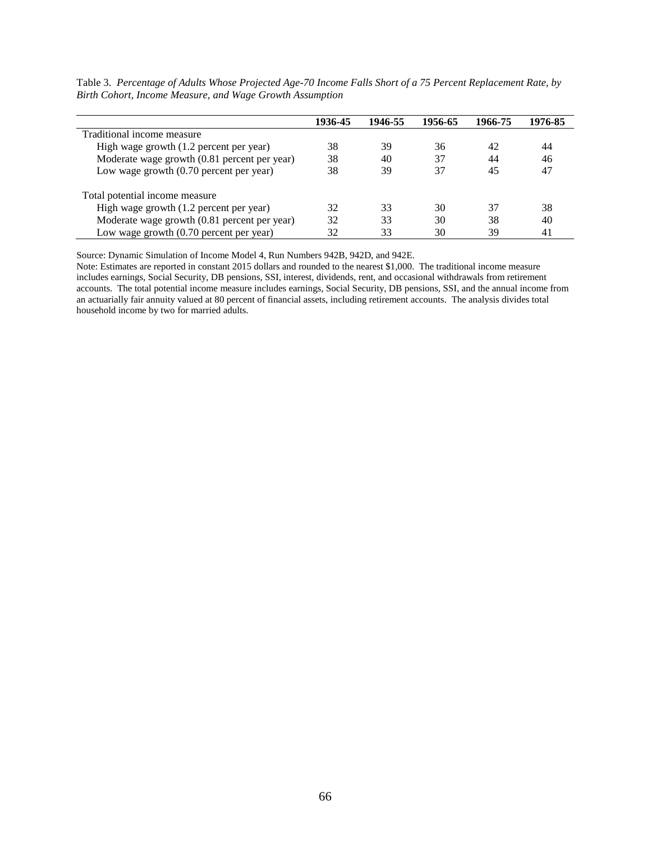|                                              | 1936-45 | 1946-55 | 1956-65 | 1966-75 | 1976-85 |
|----------------------------------------------|---------|---------|---------|---------|---------|
| Traditional income measure                   |         |         |         |         |         |
| High wage growth (1.2 percent per year)      | 38      | 39      | 36      | 42      | 44      |
| Moderate wage growth (0.81 percent per year) | 38      | 40      | 37      | 44      | 46      |
| Low wage growth $(0.70)$ percent per year)   | 38      | 39      | 37      | 45      | 47      |
| Total potential income measure               |         |         |         |         |         |
| High wage growth (1.2 percent per year)      | 32      | 33      | 30      | 37      | 38      |
| Moderate wage growth (0.81 percent per year) | 32      | 33      | 30      | 38      | 40      |
| Low wage growth $(0.70$ percent per year)    | 32      | 33      | 30      | 39      | 41      |

Table 3. *Percentage of Adults Whose Projected Age-70 Income Falls Short of a 75 Percent Replacement Rate, by Birth Cohort, Income Measure, and Wage Growth Assumption*

Source: Dynamic Simulation of Income Model 4, Run Numbers 942B, 942D, and 942E.

Note: Estimates are reported in constant 2015 dollars and rounded to the nearest \$1,000. The traditional income measure includes earnings, Social Security, DB pensions, SSI, interest, dividends, rent, and occasional withdrawals from retirement accounts. The total potential income measure includes earnings, Social Security, DB pensions, SSI, and the annual income from an actuarially fair annuity valued at 80 percent of financial assets, including retirement accounts. The analysis divides total household income by two for married adults.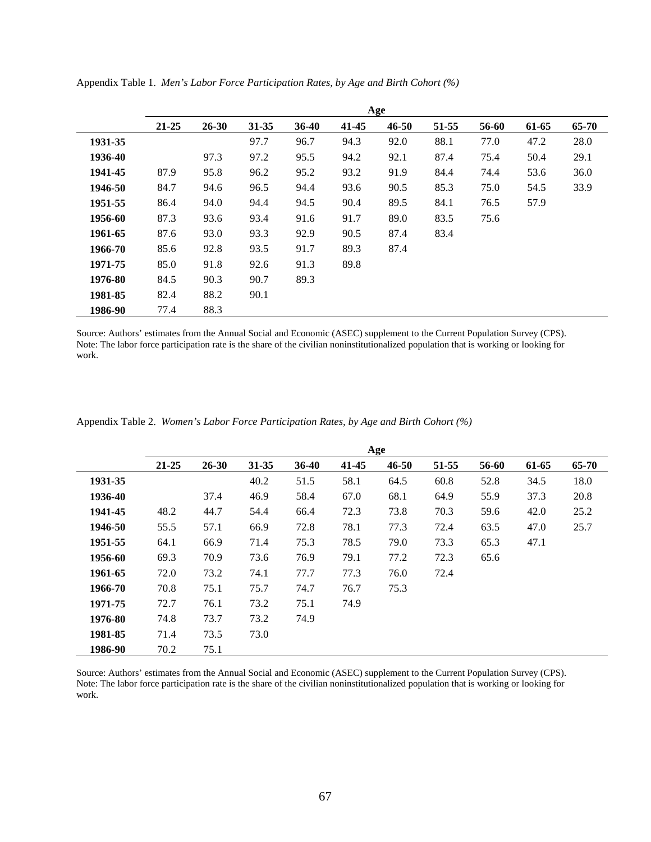|         | Age       |           |           |       |       |           |       |       |       |       |
|---------|-----------|-----------|-----------|-------|-------|-----------|-------|-------|-------|-------|
|         | $21 - 25$ | $26 - 30$ | $31 - 35$ | 36-40 | 41-45 | $46 - 50$ | 51-55 | 56-60 | 61-65 | 65-70 |
| 1931-35 |           |           | 97.7      | 96.7  | 94.3  | 92.0      | 88.1  | 77.0  | 47.2  | 28.0  |
| 1936-40 |           | 97.3      | 97.2      | 95.5  | 94.2  | 92.1      | 87.4  | 75.4  | 50.4  | 29.1  |
| 1941-45 | 87.9      | 95.8      | 96.2      | 95.2  | 93.2  | 91.9      | 84.4  | 74.4  | 53.6  | 36.0  |
| 1946-50 | 84.7      | 94.6      | 96.5      | 94.4  | 93.6  | 90.5      | 85.3  | 75.0  | 54.5  | 33.9  |
| 1951-55 | 86.4      | 94.0      | 94.4      | 94.5  | 90.4  | 89.5      | 84.1  | 76.5  | 57.9  |       |
| 1956-60 | 87.3      | 93.6      | 93.4      | 91.6  | 91.7  | 89.0      | 83.5  | 75.6  |       |       |
| 1961-65 | 87.6      | 93.0      | 93.3      | 92.9  | 90.5  | 87.4      | 83.4  |       |       |       |
| 1966-70 | 85.6      | 92.8      | 93.5      | 91.7  | 89.3  | 87.4      |       |       |       |       |
| 1971-75 | 85.0      | 91.8      | 92.6      | 91.3  | 89.8  |           |       |       |       |       |
| 1976-80 | 84.5      | 90.3      | 90.7      | 89.3  |       |           |       |       |       |       |
| 1981-85 | 82.4      | 88.2      | 90.1      |       |       |           |       |       |       |       |
| 1986-90 | 77.4      | 88.3      |           |       |       |           |       |       |       |       |

Appendix Table 1. *Men's Labor Force Participation Rates, by Age and Birth Cohort (%)*

Source: Authors' estimates from the Annual Social and Economic (ASEC) supplement to the Current Population Survey (CPS). Note: The labor force participation rate is the share of the civilian noninstitutionalized population that is working or looking for work.

|  | Appendix Table 2. Women's Labor Force Participation Rates, by Age and Birth Cohort (%) |  |
|--|----------------------------------------------------------------------------------------|--|
|  |                                                                                        |  |

|         | Age       |           |           |         |       |           |       |       |       |           |  |
|---------|-----------|-----------|-----------|---------|-------|-----------|-------|-------|-------|-----------|--|
|         | $21 - 25$ | $26 - 30$ | $31 - 35$ | $36-40$ | 41-45 | $46 - 50$ | 51-55 | 56-60 | 61-65 | $65 - 70$ |  |
| 1931-35 |           |           | 40.2      | 51.5    | 58.1  | 64.5      | 60.8  | 52.8  | 34.5  | 18.0      |  |
| 1936-40 |           | 37.4      | 46.9      | 58.4    | 67.0  | 68.1      | 64.9  | 55.9  | 37.3  | 20.8      |  |
| 1941-45 | 48.2      | 44.7      | 54.4      | 66.4    | 72.3  | 73.8      | 70.3  | 59.6  | 42.0  | 25.2      |  |
| 1946-50 | 55.5      | 57.1      | 66.9      | 72.8    | 78.1  | 77.3      | 72.4  | 63.5  | 47.0  | 25.7      |  |
| 1951-55 | 64.1      | 66.9      | 71.4      | 75.3    | 78.5  | 79.0      | 73.3  | 65.3  | 47.1  |           |  |
| 1956-60 | 69.3      | 70.9      | 73.6      | 76.9    | 79.1  | 77.2      | 72.3  | 65.6  |       |           |  |
| 1961-65 | 72.0      | 73.2      | 74.1      | 77.7    | 77.3  | 76.0      | 72.4  |       |       |           |  |
| 1966-70 | 70.8      | 75.1      | 75.7      | 74.7    | 76.7  | 75.3      |       |       |       |           |  |
| 1971-75 | 72.7      | 76.1      | 73.2      | 75.1    | 74.9  |           |       |       |       |           |  |
| 1976-80 | 74.8      | 73.7      | 73.2      | 74.9    |       |           |       |       |       |           |  |
| 1981-85 | 71.4      | 73.5      | 73.0      |         |       |           |       |       |       |           |  |
| 1986-90 | 70.2      | 75.1      |           |         |       |           |       |       |       |           |  |

Source: Authors' estimates from the Annual Social and Economic (ASEC) supplement to the Current Population Survey (CPS). Note: The labor force participation rate is the share of the civilian noninstitutionalized population that is working or looking for work.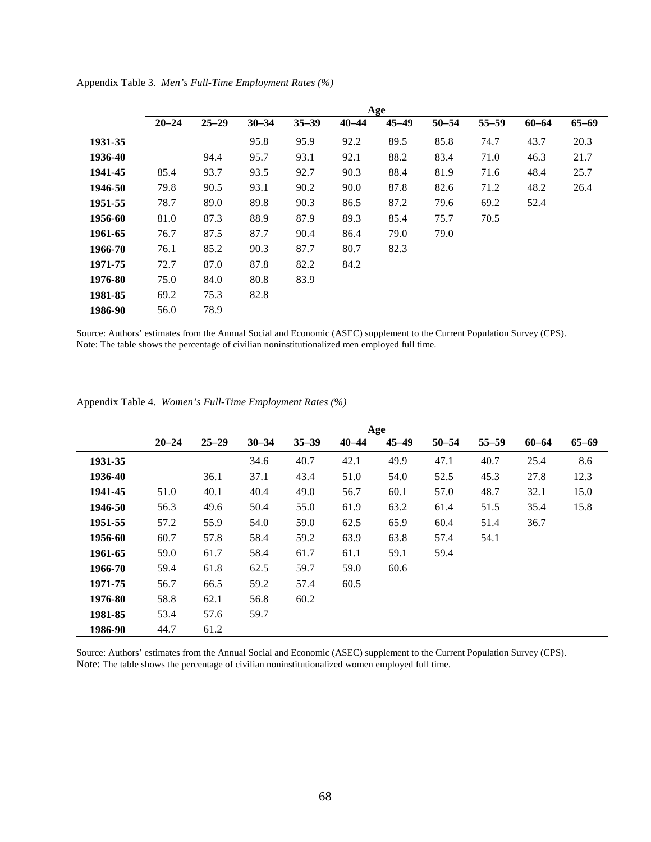|         | Age       |           |           |           |           |           |           |           |           |           |  |
|---------|-----------|-----------|-----------|-----------|-----------|-----------|-----------|-----------|-----------|-----------|--|
|         | $20 - 24$ | $25 - 29$ | $30 - 34$ | $35 - 39$ | $40 - 44$ | $45 - 49$ | $50 - 54$ | $55 - 59$ | $60 - 64$ | $65 - 69$ |  |
| 1931-35 |           |           | 95.8      | 95.9      | 92.2      | 89.5      | 85.8      | 74.7      | 43.7      | 20.3      |  |
| 1936-40 |           | 94.4      | 95.7      | 93.1      | 92.1      | 88.2      | 83.4      | 71.0      | 46.3      | 21.7      |  |
| 1941-45 | 85.4      | 93.7      | 93.5      | 92.7      | 90.3      | 88.4      | 81.9      | 71.6      | 48.4      | 25.7      |  |
| 1946-50 | 79.8      | 90.5      | 93.1      | 90.2      | 90.0      | 87.8      | 82.6      | 71.2      | 48.2      | 26.4      |  |
| 1951-55 | 78.7      | 89.0      | 89.8      | 90.3      | 86.5      | 87.2      | 79.6      | 69.2      | 52.4      |           |  |
| 1956-60 | 81.0      | 87.3      | 88.9      | 87.9      | 89.3      | 85.4      | 75.7      | 70.5      |           |           |  |
| 1961-65 | 76.7      | 87.5      | 87.7      | 90.4      | 86.4      | 79.0      | 79.0      |           |           |           |  |
| 1966-70 | 76.1      | 85.2      | 90.3      | 87.7      | 80.7      | 82.3      |           |           |           |           |  |
| 1971-75 | 72.7      | 87.0      | 87.8      | 82.2      | 84.2      |           |           |           |           |           |  |
| 1976-80 | 75.0      | 84.0      | 80.8      | 83.9      |           |           |           |           |           |           |  |
| 1981-85 | 69.2      | 75.3      | 82.8      |           |           |           |           |           |           |           |  |
| 1986-90 | 56.0      | 78.9      |           |           |           |           |           |           |           |           |  |
|         |           |           |           |           |           |           |           |           |           |           |  |

Appendix Table 3. *Men's Full-Time Employment Rates (%)*

Source: Authors' estimates from the Annual Social and Economic (ASEC) supplement to the Current Population Survey (CPS). Note: The table shows the percentage of civilian noninstitutionalized men employed full time.

| Appendix Table 4. Women's Full-Time Employment Rates (%) |
|----------------------------------------------------------|
|----------------------------------------------------------|

|         | Age       |           |           |           |           |           |           |           |           |           |  |
|---------|-----------|-----------|-----------|-----------|-----------|-----------|-----------|-----------|-----------|-----------|--|
|         | $20 - 24$ | $25 - 29$ | $30 - 34$ | $35 - 39$ | $40 - 44$ | $45 - 49$ | $50 - 54$ | $55 - 59$ | $60 - 64$ | $65 - 69$ |  |
| 1931-35 |           |           | 34.6      | 40.7      | 42.1      | 49.9      | 47.1      | 40.7      | 25.4      | 8.6       |  |
| 1936-40 |           | 36.1      | 37.1      | 43.4      | 51.0      | 54.0      | 52.5      | 45.3      | 27.8      | 12.3      |  |
| 1941-45 | 51.0      | 40.1      | 40.4      | 49.0      | 56.7      | 60.1      | 57.0      | 48.7      | 32.1      | 15.0      |  |
| 1946-50 | 56.3      | 49.6      | 50.4      | 55.0      | 61.9      | 63.2      | 61.4      | 51.5      | 35.4      | 15.8      |  |
| 1951-55 | 57.2      | 55.9      | 54.0      | 59.0      | 62.5      | 65.9      | 60.4      | 51.4      | 36.7      |           |  |
| 1956-60 | 60.7      | 57.8      | 58.4      | 59.2      | 63.9      | 63.8      | 57.4      | 54.1      |           |           |  |
| 1961-65 | 59.0      | 61.7      | 58.4      | 61.7      | 61.1      | 59.1      | 59.4      |           |           |           |  |
| 1966-70 | 59.4      | 61.8      | 62.5      | 59.7      | 59.0      | 60.6      |           |           |           |           |  |
| 1971-75 | 56.7      | 66.5      | 59.2      | 57.4      | 60.5      |           |           |           |           |           |  |
| 1976-80 | 58.8      | 62.1      | 56.8      | 60.2      |           |           |           |           |           |           |  |
| 1981-85 | 53.4      | 57.6      | 59.7      |           |           |           |           |           |           |           |  |
| 1986-90 | 44.7      | 61.2      |           |           |           |           |           |           |           |           |  |

Source: Authors' estimates from the Annual Social and Economic (ASEC) supplement to the Current Population Survey (CPS). Note: The table shows the percentage of civilian noninstitutionalized women employed full time.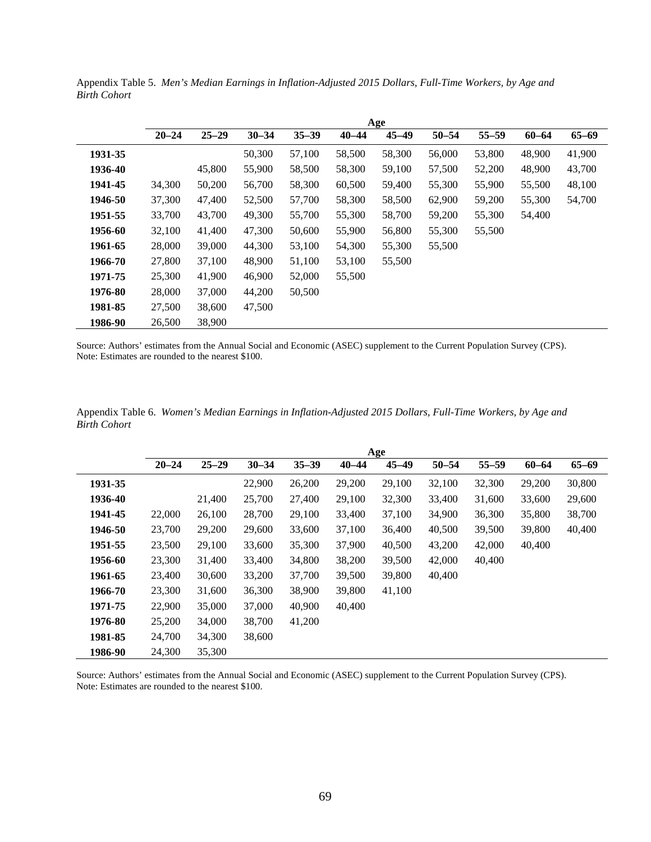|         | Age       |           |           |           |           |           |           |           |           |           |  |
|---------|-----------|-----------|-----------|-----------|-----------|-----------|-----------|-----------|-----------|-----------|--|
|         | $20 - 24$ | $25 - 29$ | $30 - 34$ | $35 - 39$ | $40 - 44$ | $45 - 49$ | $50 - 54$ | $55 - 59$ | $60 - 64$ | $65 - 69$ |  |
| 1931-35 |           |           | 50,300    | 57,100    | 58,500    | 58,300    | 56,000    | 53,800    | 48,900    | 41,900    |  |
| 1936-40 |           | 45,800    | 55,900    | 58,500    | 58,300    | 59,100    | 57,500    | 52,200    | 48,900    | 43,700    |  |
| 1941-45 | 34,300    | 50,200    | 56,700    | 58,300    | 60,500    | 59,400    | 55,300    | 55,900    | 55,500    | 48,100    |  |
| 1946-50 | 37,300    | 47,400    | 52,500    | 57,700    | 58,300    | 58,500    | 62,900    | 59,200    | 55,300    | 54,700    |  |
| 1951-55 | 33,700    | 43,700    | 49,300    | 55,700    | 55,300    | 58,700    | 59,200    | 55,300    | 54,400    |           |  |
| 1956-60 | 32,100    | 41,400    | 47,300    | 50,600    | 55,900    | 56,800    | 55,300    | 55,500    |           |           |  |
| 1961-65 | 28,000    | 39,000    | 44,300    | 53,100    | 54,300    | 55,300    | 55,500    |           |           |           |  |
| 1966-70 | 27,800    | 37,100    | 48,900    | 51,100    | 53,100    | 55,500    |           |           |           |           |  |
| 1971-75 | 25,300    | 41,900    | 46,900    | 52,000    | 55,500    |           |           |           |           |           |  |
| 1976-80 | 28,000    | 37,000    | 44,200    | 50,500    |           |           |           |           |           |           |  |
| 1981-85 | 27,500    | 38,600    | 47,500    |           |           |           |           |           |           |           |  |
| 1986-90 | 26,500    | 38,900    |           |           |           |           |           |           |           |           |  |

Appendix Table 5. *Men's Median Earnings in Inflation-Adjusted 2015 Dollars, Full-Time Workers, by Age and Birth Cohort*

Source: Authors' estimates from the Annual Social and Economic (ASEC) supplement to the Current Population Survey (CPS). Note: Estimates are rounded to the nearest \$100.

|         | Age       |           |           |           |           |           |           |           |           |           |  |
|---------|-----------|-----------|-----------|-----------|-----------|-----------|-----------|-----------|-----------|-----------|--|
|         | $20 - 24$ | $25 - 29$ | $30 - 34$ | $35 - 39$ | $40 - 44$ | $45 - 49$ | $50 - 54$ | $55 - 59$ | $60 - 64$ | $65 - 69$ |  |
| 1931-35 |           |           | 22,900    | 26,200    | 29,200    | 29,100    | 32,100    | 32,300    | 29,200    | 30,800    |  |
| 1936-40 |           | 21,400    | 25,700    | 27,400    | 29,100    | 32,300    | 33,400    | 31,600    | 33,600    | 29,600    |  |
| 1941-45 | 22,000    | 26,100    | 28,700    | 29,100    | 33,400    | 37,100    | 34,900    | 36,300    | 35,800    | 38,700    |  |
| 1946-50 | 23,700    | 29,200    | 29,600    | 33,600    | 37,100    | 36,400    | 40,500    | 39,500    | 39,800    | 40,400    |  |
| 1951-55 | 23,500    | 29,100    | 33,600    | 35,300    | 37,900    | 40,500    | 43,200    | 42,000    | 40,400    |           |  |
| 1956-60 | 23,300    | 31,400    | 33,400    | 34,800    | 38,200    | 39,500    | 42,000    | 40,400    |           |           |  |
| 1961-65 | 23,400    | 30,600    | 33,200    | 37,700    | 39,500    | 39,800    | 40,400    |           |           |           |  |
| 1966-70 | 23,300    | 31,600    | 36,300    | 38,900    | 39,800    | 41,100    |           |           |           |           |  |
| 1971-75 | 22,900    | 35,000    | 37,000    | 40,900    | 40,400    |           |           |           |           |           |  |
| 1976-80 | 25,200    | 34,000    | 38,700    | 41,200    |           |           |           |           |           |           |  |
| 1981-85 | 24,700    | 34,300    | 38,600    |           |           |           |           |           |           |           |  |
| 1986-90 | 24,300    | 35,300    |           |           |           |           |           |           |           |           |  |

Appendix Table 6. *Women's Median Earnings in Inflation-Adjusted 2015 Dollars, Full-Time Workers, by Age and Birth Cohort*

Source: Authors' estimates from the Annual Social and Economic (ASEC) supplement to the Current Population Survey (CPS). Note: Estimates are rounded to the nearest \$100.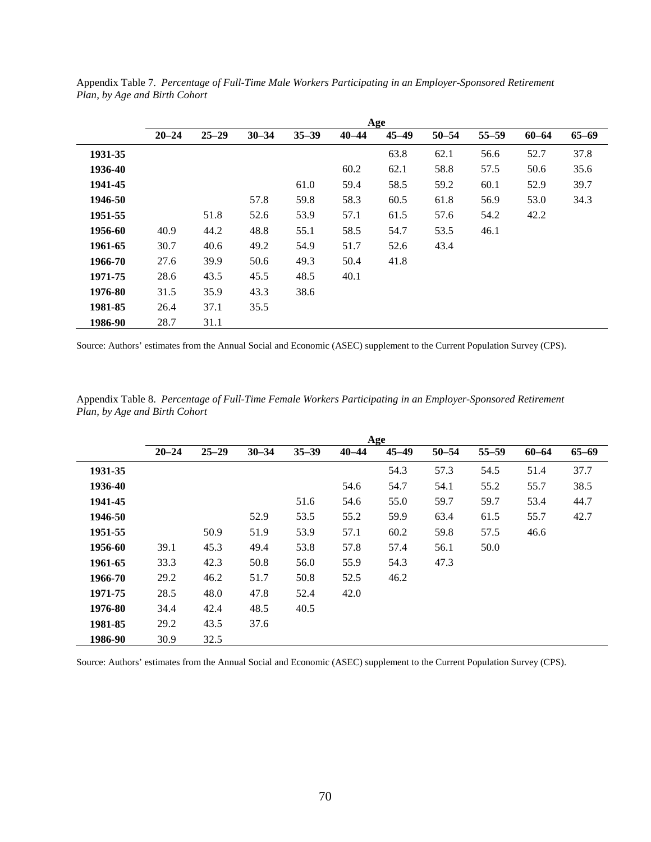|         | Age       |           |           |           |           |           |           |           |           |           |  |
|---------|-----------|-----------|-----------|-----------|-----------|-----------|-----------|-----------|-----------|-----------|--|
|         | $20 - 24$ | $25 - 29$ | $30 - 34$ | $35 - 39$ | $40 - 44$ | $45 - 49$ | $50 - 54$ | $55 - 59$ | $60 - 64$ | $65 - 69$ |  |
| 1931-35 |           |           |           |           |           | 63.8      | 62.1      | 56.6      | 52.7      | 37.8      |  |
| 1936-40 |           |           |           |           | 60.2      | 62.1      | 58.8      | 57.5      | 50.6      | 35.6      |  |
| 1941-45 |           |           |           | 61.0      | 59.4      | 58.5      | 59.2      | 60.1      | 52.9      | 39.7      |  |
| 1946-50 |           |           | 57.8      | 59.8      | 58.3      | 60.5      | 61.8      | 56.9      | 53.0      | 34.3      |  |
| 1951-55 |           | 51.8      | 52.6      | 53.9      | 57.1      | 61.5      | 57.6      | 54.2      | 42.2      |           |  |
| 1956-60 | 40.9      | 44.2      | 48.8      | 55.1      | 58.5      | 54.7      | 53.5      | 46.1      |           |           |  |
| 1961-65 | 30.7      | 40.6      | 49.2      | 54.9      | 51.7      | 52.6      | 43.4      |           |           |           |  |
| 1966-70 | 27.6      | 39.9      | 50.6      | 49.3      | 50.4      | 41.8      |           |           |           |           |  |
| 1971-75 | 28.6      | 43.5      | 45.5      | 48.5      | 40.1      |           |           |           |           |           |  |
| 1976-80 | 31.5      | 35.9      | 43.3      | 38.6      |           |           |           |           |           |           |  |
| 1981-85 | 26.4      | 37.1      | 35.5      |           |           |           |           |           |           |           |  |
| 1986-90 | 28.7      | 31.1      |           |           |           |           |           |           |           |           |  |

Appendix Table 7. *Percentage of Full-Time Male Workers Participating in an Employer-Sponsored Retirement Plan, by Age and Birth Cohort*

Source: Authors' estimates from the Annual Social and Economic (ASEC) supplement to the Current Population Survey (CPS).

|         | Age       |           |           |           |           |           |           |           |           |           |
|---------|-----------|-----------|-----------|-----------|-----------|-----------|-----------|-----------|-----------|-----------|
|         | $20 - 24$ | $25 - 29$ | $30 - 34$ | $35 - 39$ | $40 - 44$ | $45 - 49$ | $50 - 54$ | $55 - 59$ | $60 - 64$ | $65 - 69$ |
| 1931-35 |           |           |           |           |           | 54.3      | 57.3      | 54.5      | 51.4      | 37.7      |
| 1936-40 |           |           |           |           | 54.6      | 54.7      | 54.1      | 55.2      | 55.7      | 38.5      |
| 1941-45 |           |           |           | 51.6      | 54.6      | 55.0      | 59.7      | 59.7      | 53.4      | 44.7      |
| 1946-50 |           |           | 52.9      | 53.5      | 55.2      | 59.9      | 63.4      | 61.5      | 55.7      | 42.7      |
| 1951-55 |           | 50.9      | 51.9      | 53.9      | 57.1      | 60.2      | 59.8      | 57.5      | 46.6      |           |
| 1956-60 | 39.1      | 45.3      | 49.4      | 53.8      | 57.8      | 57.4      | 56.1      | 50.0      |           |           |
| 1961-65 | 33.3      | 42.3      | 50.8      | 56.0      | 55.9      | 54.3      | 47.3      |           |           |           |
| 1966-70 | 29.2      | 46.2      | 51.7      | 50.8      | 52.5      | 46.2      |           |           |           |           |
| 1971-75 | 28.5      | 48.0      | 47.8      | 52.4      | 42.0      |           |           |           |           |           |
| 1976-80 | 34.4      | 42.4      | 48.5      | 40.5      |           |           |           |           |           |           |
| 1981-85 | 29.2      | 43.5      | 37.6      |           |           |           |           |           |           |           |
| 1986-90 | 30.9      | 32.5      |           |           |           |           |           |           |           |           |

Appendix Table 8. *Percentage of Full-Time Female Workers Participating in an Employer-Sponsored Retirement Plan, by Age and Birth Cohort*

Source: Authors' estimates from the Annual Social and Economic (ASEC) supplement to the Current Population Survey (CPS).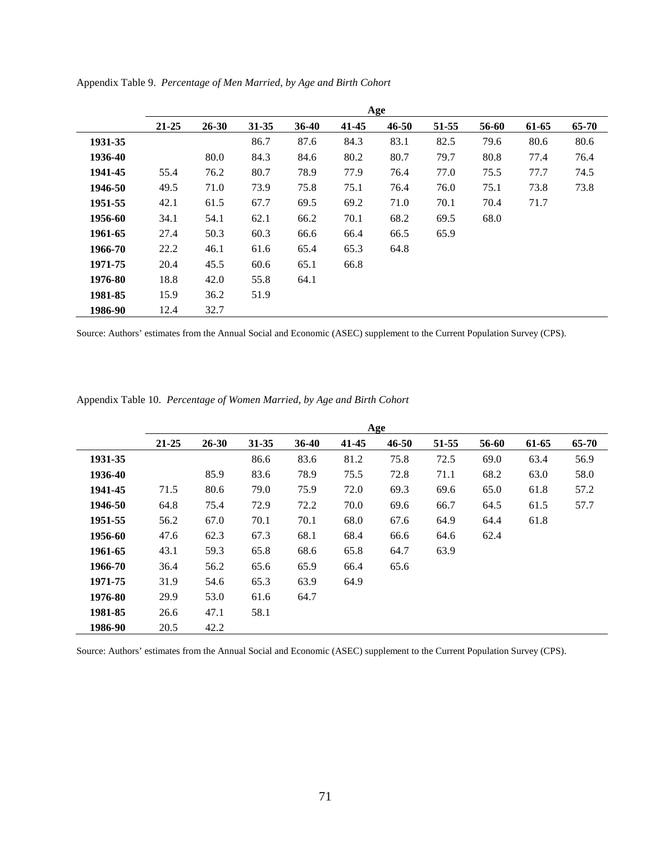|         | Age   |           |           |       |       |           |       |       |       |       |
|---------|-------|-----------|-----------|-------|-------|-----------|-------|-------|-------|-------|
|         | 21-25 | $26 - 30$ | $31 - 35$ | 36-40 | 41-45 | $46 - 50$ | 51-55 | 56-60 | 61-65 | 65-70 |
| 1931-35 |       |           | 86.7      | 87.6  | 84.3  | 83.1      | 82.5  | 79.6  | 80.6  | 80.6  |
| 1936-40 |       | 80.0      | 84.3      | 84.6  | 80.2  | 80.7      | 79.7  | 80.8  | 77.4  | 76.4  |
| 1941-45 | 55.4  | 76.2      | 80.7      | 78.9  | 77.9  | 76.4      | 77.0  | 75.5  | 77.7  | 74.5  |
| 1946-50 | 49.5  | 71.0      | 73.9      | 75.8  | 75.1  | 76.4      | 76.0  | 75.1  | 73.8  | 73.8  |
| 1951-55 | 42.1  | 61.5      | 67.7      | 69.5  | 69.2  | 71.0      | 70.1  | 70.4  | 71.7  |       |
| 1956-60 | 34.1  | 54.1      | 62.1      | 66.2  | 70.1  | 68.2      | 69.5  | 68.0  |       |       |
| 1961-65 | 27.4  | 50.3      | 60.3      | 66.6  | 66.4  | 66.5      | 65.9  |       |       |       |
| 1966-70 | 22.2  | 46.1      | 61.6      | 65.4  | 65.3  | 64.8      |       |       |       |       |
| 1971-75 | 20.4  | 45.5      | 60.6      | 65.1  | 66.8  |           |       |       |       |       |
| 1976-80 | 18.8  | 42.0      | 55.8      | 64.1  |       |           |       |       |       |       |
| 1981-85 | 15.9  | 36.2      | 51.9      |       |       |           |       |       |       |       |
| 1986-90 | 12.4  | 32.7      |           |       |       |           |       |       |       |       |

Appendix Table 9. *Percentage of Men Married, by Age and Birth Cohort*

Source: Authors' estimates from the Annual Social and Economic (ASEC) supplement to the Current Population Survey (CPS).

Appendix Table 10. *Percentage of Women Married, by Age and Birth Cohort*

|         | Age       |           |       |         |       |           |       |       |       |       |  |
|---------|-----------|-----------|-------|---------|-------|-----------|-------|-------|-------|-------|--|
|         | $21 - 25$ | $26 - 30$ | 31-35 | $36-40$ | 41-45 | $46 - 50$ | 51-55 | 56-60 | 61-65 | 65-70 |  |
| 1931-35 |           |           | 86.6  | 83.6    | 81.2  | 75.8      | 72.5  | 69.0  | 63.4  | 56.9  |  |
| 1936-40 |           | 85.9      | 83.6  | 78.9    | 75.5  | 72.8      | 71.1  | 68.2  | 63.0  | 58.0  |  |
| 1941-45 | 71.5      | 80.6      | 79.0  | 75.9    | 72.0  | 69.3      | 69.6  | 65.0  | 61.8  | 57.2  |  |
| 1946-50 | 64.8      | 75.4      | 72.9  | 72.2    | 70.0  | 69.6      | 66.7  | 64.5  | 61.5  | 57.7  |  |
| 1951-55 | 56.2      | 67.0      | 70.1  | 70.1    | 68.0  | 67.6      | 64.9  | 64.4  | 61.8  |       |  |
| 1956-60 | 47.6      | 62.3      | 67.3  | 68.1    | 68.4  | 66.6      | 64.6  | 62.4  |       |       |  |
| 1961-65 | 43.1      | 59.3      | 65.8  | 68.6    | 65.8  | 64.7      | 63.9  |       |       |       |  |
| 1966-70 | 36.4      | 56.2      | 65.6  | 65.9    | 66.4  | 65.6      |       |       |       |       |  |
| 1971-75 | 31.9      | 54.6      | 65.3  | 63.9    | 64.9  |           |       |       |       |       |  |
| 1976-80 | 29.9      | 53.0      | 61.6  | 64.7    |       |           |       |       |       |       |  |
| 1981-85 | 26.6      | 47.1      | 58.1  |         |       |           |       |       |       |       |  |
| 1986-90 | 20.5      | 42.2      |       |         |       |           |       |       |       |       |  |

Source: Authors' estimates from the Annual Social and Economic (ASEC) supplement to the Current Population Survey (CPS).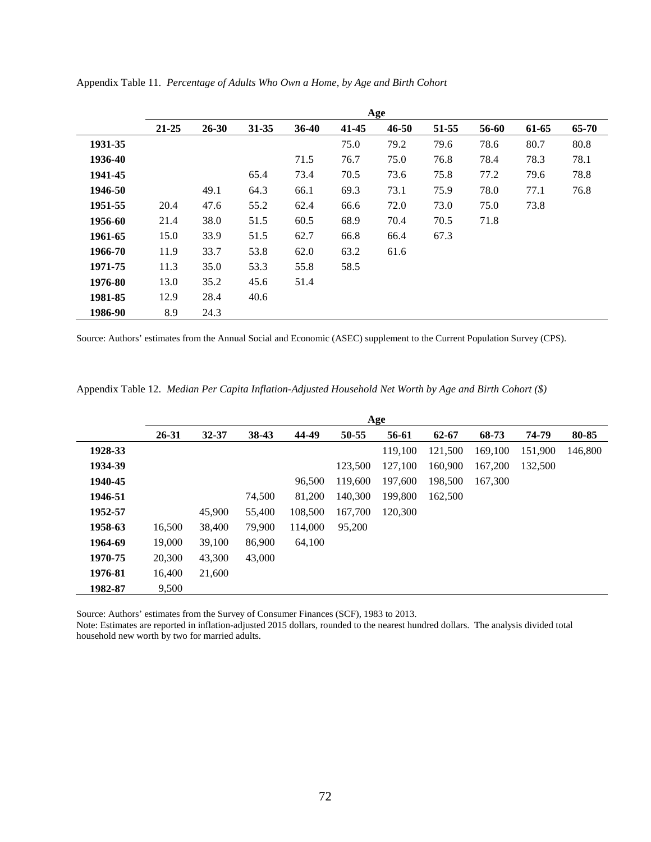|         |           | Age       |           |           |           |           |       |       |       |       |  |  |  |
|---------|-----------|-----------|-----------|-----------|-----------|-----------|-------|-------|-------|-------|--|--|--|
|         | $21 - 25$ | $26 - 30$ | $31 - 35$ | $36 - 40$ | $41 - 45$ | $46 - 50$ | 51-55 | 56-60 | 61-65 | 65-70 |  |  |  |
| 1931-35 |           |           |           |           | 75.0      | 79.2      | 79.6  | 78.6  | 80.7  | 80.8  |  |  |  |
| 1936-40 |           |           |           | 71.5      | 76.7      | 75.0      | 76.8  | 78.4  | 78.3  | 78.1  |  |  |  |
| 1941-45 |           |           | 65.4      | 73.4      | 70.5      | 73.6      | 75.8  | 77.2  | 79.6  | 78.8  |  |  |  |
| 1946-50 |           | 49.1      | 64.3      | 66.1      | 69.3      | 73.1      | 75.9  | 78.0  | 77.1  | 76.8  |  |  |  |
| 1951-55 | 20.4      | 47.6      | 55.2      | 62.4      | 66.6      | 72.0      | 73.0  | 75.0  | 73.8  |       |  |  |  |
| 1956-60 | 21.4      | 38.0      | 51.5      | 60.5      | 68.9      | 70.4      | 70.5  | 71.8  |       |       |  |  |  |
| 1961-65 | 15.0      | 33.9      | 51.5      | 62.7      | 66.8      | 66.4      | 67.3  |       |       |       |  |  |  |
| 1966-70 | 11.9      | 33.7      | 53.8      | 62.0      | 63.2      | 61.6      |       |       |       |       |  |  |  |
| 1971-75 | 11.3      | 35.0      | 53.3      | 55.8      | 58.5      |           |       |       |       |       |  |  |  |
| 1976-80 | 13.0      | 35.2      | 45.6      | 51.4      |           |           |       |       |       |       |  |  |  |
| 1981-85 | 12.9      | 28.4      | 40.6      |           |           |           |       |       |       |       |  |  |  |
| 1986-90 | 8.9       | 24.3      |           |           |           |           |       |       |       |       |  |  |  |

Appendix Table 11. *Percentage of Adults Who Own a Home, by Age and Birth Cohort*

Source: Authors' estimates from the Annual Social and Economic (ASEC) supplement to the Current Population Survey (CPS).

Appendix Table 12. *Median Per Capita Inflation-Adjusted Household Net Worth by Age and Birth Cohort (\$)*

|         |        | Age       |        |         |         |         |           |         |         |         |  |  |  |
|---------|--------|-----------|--------|---------|---------|---------|-----------|---------|---------|---------|--|--|--|
|         | 26-31  | $32 - 37$ | 38-43  | 44-49   | 50-55   | 56-61   | $62 - 67$ | 68-73   | 74-79   | 80-85   |  |  |  |
| 1928-33 |        |           |        |         |         | 119,100 | 121,500   | 169,100 | 151,900 | 146,800 |  |  |  |
| 1934-39 |        |           |        |         | 123,500 | 127,100 | 160,900   | 167,200 | 132,500 |         |  |  |  |
| 1940-45 |        |           |        | 96,500  | 119,600 | 197,600 | 198,500   | 167,300 |         |         |  |  |  |
| 1946-51 |        |           | 74,500 | 81,200  | 140,300 | 199.800 | 162,500   |         |         |         |  |  |  |
| 1952-57 |        | 45,900    | 55,400 | 108,500 | 167,700 | 120,300 |           |         |         |         |  |  |  |
| 1958-63 | 16,500 | 38,400    | 79,900 | 114,000 | 95,200  |         |           |         |         |         |  |  |  |
| 1964-69 | 19,000 | 39,100    | 86,900 | 64,100  |         |         |           |         |         |         |  |  |  |
| 1970-75 | 20,300 | 43,300    | 43,000 |         |         |         |           |         |         |         |  |  |  |
| 1976-81 | 16,400 | 21,600    |        |         |         |         |           |         |         |         |  |  |  |
| 1982-87 | 9.500  |           |        |         |         |         |           |         |         |         |  |  |  |

Source: Authors' estimates from the Survey of Consumer Finances (SCF), 1983 to 2013.

Note: Estimates are reported in inflation-adjusted 2015 dollars, rounded to the nearest hundred dollars. The analysis divided total household new worth by two for married adults.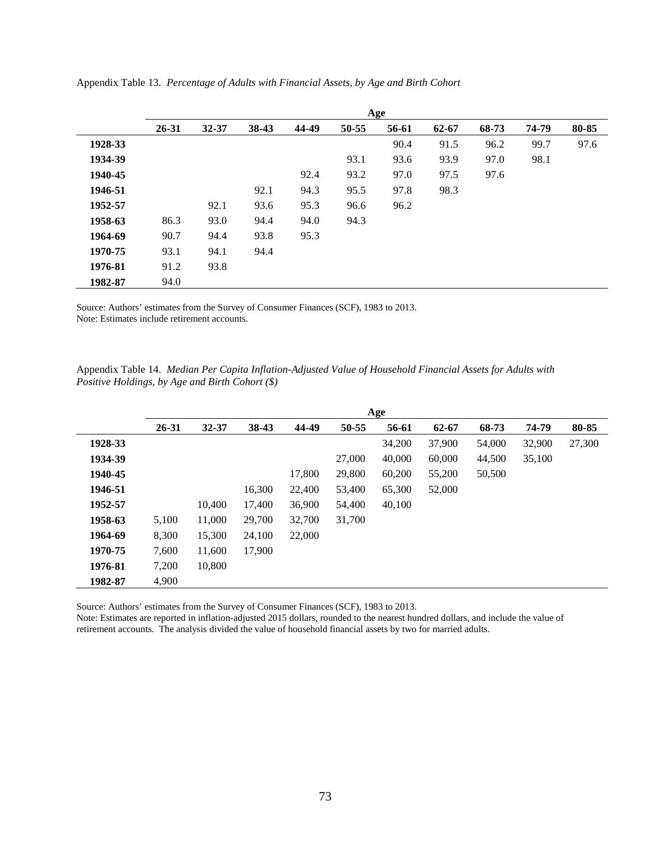|         |           | Age       |       |       |       |       |       |       |       |       |  |  |  |
|---------|-----------|-----------|-------|-------|-------|-------|-------|-------|-------|-------|--|--|--|
|         | $26 - 31$ | $32 - 37$ | 38-43 | 44-49 | 50-55 | 56-61 | 62-67 | 68-73 | 74-79 | 80-85 |  |  |  |
| 1928-33 |           |           |       |       |       | 90.4  | 91.5  | 96.2  | 99.7  | 97.6  |  |  |  |
| 1934-39 |           |           |       |       | 93.1  | 93.6  | 93.9  | 97.0  | 98.1  |       |  |  |  |
| 1940-45 |           |           |       | 92.4  | 93.2  | 97.0  | 97.5  | 97.6  |       |       |  |  |  |
| 1946-51 |           |           | 92.1  | 94.3  | 95.5  | 97.8  | 98.3  |       |       |       |  |  |  |
| 1952-57 |           | 92.1      | 93.6  | 95.3  | 96.6  | 96.2  |       |       |       |       |  |  |  |
| 1958-63 | 86.3      | 93.0      | 94.4  | 94.0  | 94.3  |       |       |       |       |       |  |  |  |
| 1964-69 | 90.7      | 94.4      | 93.8  | 95.3  |       |       |       |       |       |       |  |  |  |
| 1970-75 | 93.1      | 94.1      | 94.4  |       |       |       |       |       |       |       |  |  |  |
| 1976-81 | 91.2      | 93.8      |       |       |       |       |       |       |       |       |  |  |  |
| 1982-87 | 94.0      |           |       |       |       |       |       |       |       |       |  |  |  |

Appendix Table 13. *Percentage of Adults with Financial Assets, by Age and Birth Cohort*

Source: Authors' estimates from the Survey of Consumer Finances (SCF), 1983 to 2013. Note: Estimates include retirement accounts.

| Appendix Table 14. Median Per Capita Inflation-Adjusted Value of Household Financial Assets for Adults with |  |  |
|-------------------------------------------------------------------------------------------------------------|--|--|
| <i>Positive Holdings, by Age and Birth Cohort (\$)</i>                                                      |  |  |

|         |       |           |        |        |        | Age    |        |        |        |        |
|---------|-------|-----------|--------|--------|--------|--------|--------|--------|--------|--------|
|         | 26-31 | $32 - 37$ | 38-43  | 44-49  | 50-55  | 56-61  | 62-67  | 68-73  | 74-79  | 80-85  |
| 1928-33 |       |           |        |        |        | 34,200 | 37,900 | 54,000 | 32,900 | 27,300 |
| 1934-39 |       |           |        |        | 27,000 | 40,000 | 60,000 | 44,500 | 35,100 |        |
| 1940-45 |       |           |        | 17,800 | 29,800 | 60,200 | 55,200 | 50,500 |        |        |
| 1946-51 |       |           | 16,300 | 22,400 | 53,400 | 65,300 | 52,000 |        |        |        |
| 1952-57 |       | 10,400    | 17,400 | 36,900 | 54,400 | 40,100 |        |        |        |        |
| 1958-63 | 5,100 | 11,000    | 29,700 | 32,700 | 31,700 |        |        |        |        |        |
| 1964-69 | 8,300 | 15,300    | 24,100 | 22,000 |        |        |        |        |        |        |
| 1970-75 | 7,600 | 11,600    | 17,900 |        |        |        |        |        |        |        |
| 1976-81 | 7,200 | 10,800    |        |        |        |        |        |        |        |        |
| 1982-87 | 4,900 |           |        |        |        |        |        |        |        |        |

Source: Authors' estimates from the Survey of Consumer Finances (SCF), 1983 to 2013.

Note: Estimates are reported in inflation-adjusted 2015 dollars, rounded to the nearest hundred dollars, and include the value of retirement accounts. The analysis divided the value of household financial assets by two for married adults.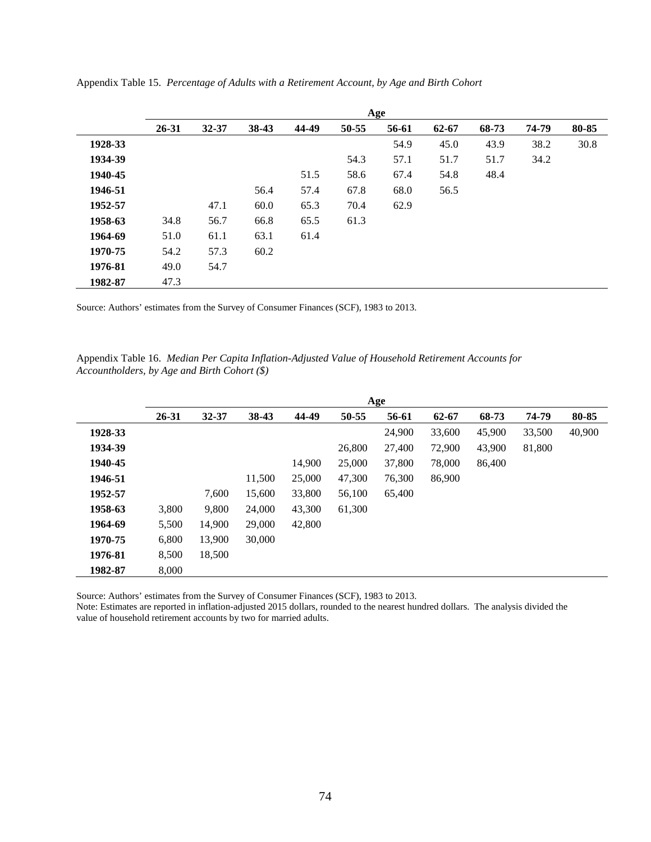|         |           |           |       |       |       | Age   |           |       |       |       |
|---------|-----------|-----------|-------|-------|-------|-------|-----------|-------|-------|-------|
|         | $26 - 31$ | $32 - 37$ | 38-43 | 44-49 | 50-55 | 56-61 | $62 - 67$ | 68-73 | 74-79 | 80-85 |
| 1928-33 |           |           |       |       |       | 54.9  | 45.0      | 43.9  | 38.2  | 30.8  |
| 1934-39 |           |           |       |       | 54.3  | 57.1  | 51.7      | 51.7  | 34.2  |       |
| 1940-45 |           |           |       | 51.5  | 58.6  | 67.4  | 54.8      | 48.4  |       |       |
| 1946-51 |           |           | 56.4  | 57.4  | 67.8  | 68.0  | 56.5      |       |       |       |
| 1952-57 |           | 47.1      | 60.0  | 65.3  | 70.4  | 62.9  |           |       |       |       |
| 1958-63 | 34.8      | 56.7      | 66.8  | 65.5  | 61.3  |       |           |       |       |       |
| 1964-69 | 51.0      | 61.1      | 63.1  | 61.4  |       |       |           |       |       |       |
| 1970-75 | 54.2      | 57.3      | 60.2  |       |       |       |           |       |       |       |
| 1976-81 | 49.0      | 54.7      |       |       |       |       |           |       |       |       |
| 1982-87 | 47.3      |           |       |       |       |       |           |       |       |       |

Appendix Table 15. *Percentage of Adults with a Retirement Account, by Age and Birth Cohort*

Source: Authors' estimates from the Survey of Consumer Finances (SCF), 1983 to 2013.

Appendix Table 16. *Median Per Capita Inflation-Adjusted Value of Household Retirement Accounts for Accountholders, by Age and Birth Cohort (\$)* 

|         |           | Age       |        |        |        |        |           |        |        |        |  |  |  |
|---------|-----------|-----------|--------|--------|--------|--------|-----------|--------|--------|--------|--|--|--|
|         | $26 - 31$ | $32 - 37$ | 38-43  | 44-49  | 50-55  | 56-61  | $62 - 67$ | 68-73  | 74-79  | 80-85  |  |  |  |
| 1928-33 |           |           |        |        |        | 24,900 | 33,600    | 45,900 | 33,500 | 40,900 |  |  |  |
| 1934-39 |           |           |        |        | 26,800 | 27,400 | 72,900    | 43,900 | 81,800 |        |  |  |  |
| 1940-45 |           |           |        | 14,900 | 25,000 | 37,800 | 78,000    | 86,400 |        |        |  |  |  |
| 1946-51 |           |           | 11,500 | 25,000 | 47,300 | 76,300 | 86,900    |        |        |        |  |  |  |
| 1952-57 |           | 7,600     | 15,600 | 33,800 | 56,100 | 65,400 |           |        |        |        |  |  |  |
| 1958-63 | 3,800     | 9,800     | 24,000 | 43,300 | 61,300 |        |           |        |        |        |  |  |  |
| 1964-69 | 5,500     | 14,900    | 29,000 | 42,800 |        |        |           |        |        |        |  |  |  |
| 1970-75 | 6,800     | 13,900    | 30,000 |        |        |        |           |        |        |        |  |  |  |
| 1976-81 | 8,500     | 18,500    |        |        |        |        |           |        |        |        |  |  |  |
| 1982-87 | 8,000     |           |        |        |        |        |           |        |        |        |  |  |  |

Source: Authors' estimates from the Survey of Consumer Finances (SCF), 1983 to 2013.

Note: Estimates are reported in inflation-adjusted 2015 dollars, rounded to the nearest hundred dollars. The analysis divided the value of household retirement accounts by two for married adults.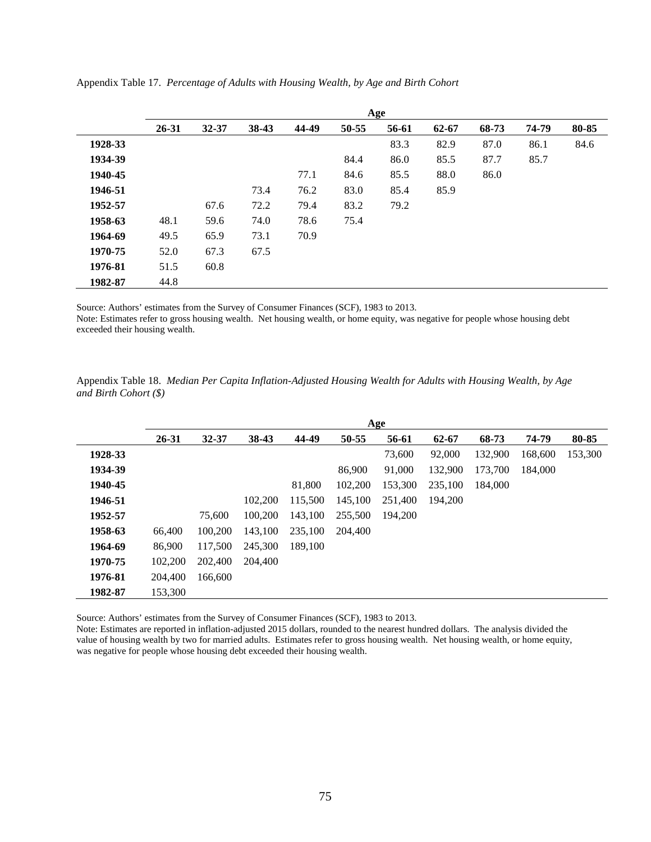|         |           |           |       |       |       | Age   |           |       |       |       |
|---------|-----------|-----------|-------|-------|-------|-------|-----------|-------|-------|-------|
|         | $26 - 31$ | $32 - 37$ | 38-43 | 44-49 | 50-55 | 56-61 | $62 - 67$ | 68-73 | 74-79 | 80-85 |
| 1928-33 |           |           |       |       |       | 83.3  | 82.9      | 87.0  | 86.1  | 84.6  |
| 1934-39 |           |           |       |       | 84.4  | 86.0  | 85.5      | 87.7  | 85.7  |       |
| 1940-45 |           |           |       | 77.1  | 84.6  | 85.5  | 88.0      | 86.0  |       |       |
| 1946-51 |           |           | 73.4  | 76.2  | 83.0  | 85.4  | 85.9      |       |       |       |
| 1952-57 |           | 67.6      | 72.2  | 79.4  | 83.2  | 79.2  |           |       |       |       |
| 1958-63 | 48.1      | 59.6      | 74.0  | 78.6  | 75.4  |       |           |       |       |       |
| 1964-69 | 49.5      | 65.9      | 73.1  | 70.9  |       |       |           |       |       |       |
| 1970-75 | 52.0      | 67.3      | 67.5  |       |       |       |           |       |       |       |
| 1976-81 | 51.5      | 60.8      |       |       |       |       |           |       |       |       |
| 1982-87 | 44.8      |           |       |       |       |       |           |       |       |       |

Appendix Table 17. *Percentage of Adults with Housing Wealth, by Age and Birth Cohort*

Source: Authors' estimates from the Survey of Consumer Finances (SCF), 1983 to 2013.

Note: Estimates refer to gross housing wealth. Net housing wealth, or home equity, was negative for people whose housing debt exceeded their housing wealth.

Appendix Table 18. *Median Per Capita Inflation-Adjusted Housing Wealth for Adults with Housing Wealth, by Age and Birth Cohort (\$)* 

|         |         | Age       |         |         |         |         |         |         |         |         |  |  |
|---------|---------|-----------|---------|---------|---------|---------|---------|---------|---------|---------|--|--|
|         | 26-31   | $32 - 37$ | 38-43   | 44-49   | 50-55   | 56-61   | 62-67   | 68-73   | 74-79   | 80-85   |  |  |
| 1928-33 |         |           |         |         |         | 73,600  | 92,000  | 132,900 | 168,600 | 153,300 |  |  |
| 1934-39 |         |           |         |         | 86,900  | 91,000  | 132,900 | 173,700 | 184,000 |         |  |  |
| 1940-45 |         |           |         | 81,800  | 102,200 | 153,300 | 235,100 | 184,000 |         |         |  |  |
| 1946-51 |         |           | 102,200 | 115.500 | 145,100 | 251,400 | 194.200 |         |         |         |  |  |
| 1952-57 |         | 75,600    | 100,200 | 143.100 | 255,500 | 194,200 |         |         |         |         |  |  |
| 1958-63 | 66,400  | 100,200   | 143,100 | 235,100 | 204,400 |         |         |         |         |         |  |  |
| 1964-69 | 86,900  | 117,500   | 245,300 | 189.100 |         |         |         |         |         |         |  |  |
| 1970-75 | 102,200 | 202,400   | 204,400 |         |         |         |         |         |         |         |  |  |
| 1976-81 | 204,400 | 166,600   |         |         |         |         |         |         |         |         |  |  |
| 1982-87 | 153.300 |           |         |         |         |         |         |         |         |         |  |  |

Source: Authors' estimates from the Survey of Consumer Finances (SCF), 1983 to 2013.

Note: Estimates are reported in inflation-adjusted 2015 dollars, rounded to the nearest hundred dollars. The analysis divided the value of housing wealth by two for married adults. Estimates refer to gross housing wealth. Net housing wealth, or home equity, was negative for people whose housing debt exceeded their housing wealth.